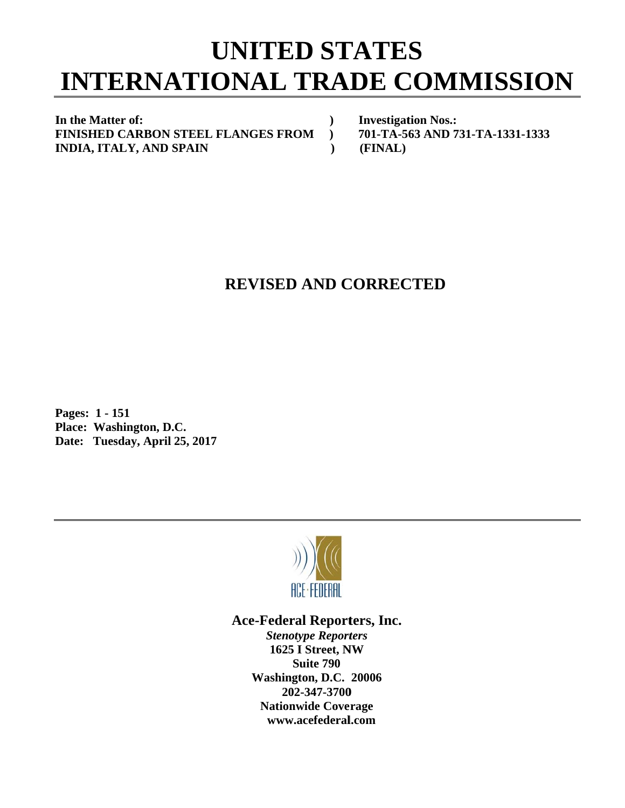## **INTERNATIONAL TRADE COMMISSION UNITED STATES**

 **)** 

 **)** 

In the Matter of: **FINISHED CARBON STEEL FLANGES FROM** ) **INDIA, ITALY, AND SPAIN** 

**Investigation Nos.: 701-TA-5 63 AND 731 1-TA-1331- 1333 (FINAL)**

## **REVISED AND CORRECTED**

**P Pages: 1 - 1 151 P Place: Was hington, D.C C.**  Date: Tuesday, April 25, 2017



## Ace-Federal Reporters, Inc.

**Stenotype Reporters 1625 I Street, NW Washin gton, D.C. 20006 20 02-347-3700** 202-347-3700<br>Nationwide Coverage **www w.acefederal l.com Suite 790**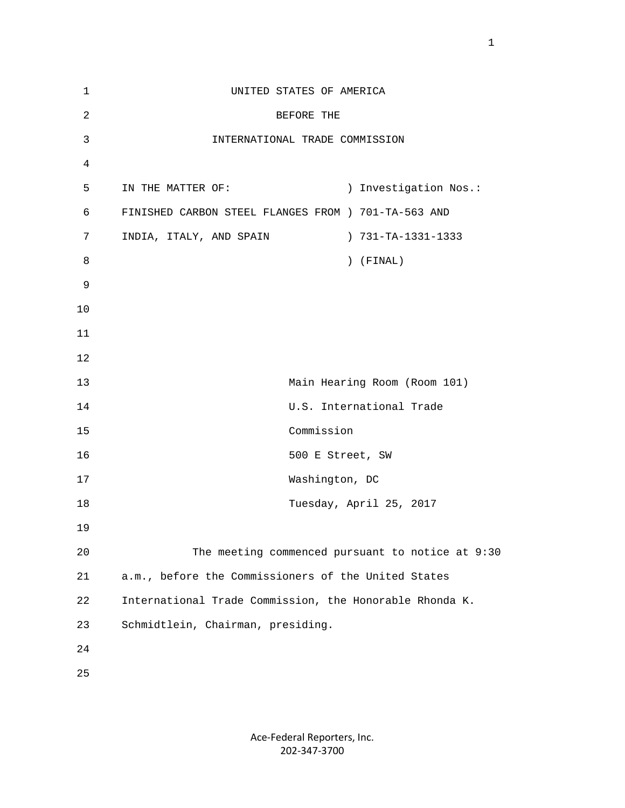| $\mathbf 1$    | UNITED STATES OF AMERICA                                |                                                  |
|----------------|---------------------------------------------------------|--------------------------------------------------|
| $\overline{c}$ | BEFORE THE                                              |                                                  |
| 3              | INTERNATIONAL TRADE COMMISSION                          |                                                  |
| 4              |                                                         |                                                  |
| 5              | IN THE MATTER OF:                                       | ) Investigation Nos.:                            |
| 6              | FINISHED CARBON STEEL FLANGES FROM ) 701-TA-563 AND     |                                                  |
| 7              | INDIA, ITALY, AND SPAIN                                 | ) 731-TA-1331-1333                               |
| 8              |                                                         | $)$ (FINAL)                                      |
| 9              |                                                         |                                                  |
| 10             |                                                         |                                                  |
| 11             |                                                         |                                                  |
| 12             |                                                         |                                                  |
| 13             |                                                         | Main Hearing Room (Room 101)                     |
| 14             |                                                         | U.S. International Trade                         |
| 15             | Commission                                              |                                                  |
| 16             |                                                         | 500 E Street, SW                                 |
| 17             |                                                         | Washington, DC                                   |
| 18             |                                                         | Tuesday, April 25, 2017                          |
| 19             |                                                         |                                                  |
| 20             |                                                         | The meeting commenced pursuant to notice at 9:30 |
| 21             | a.m., before the Commissioners of the United States     |                                                  |
| 22             | International Trade Commission, the Honorable Rhonda K. |                                                  |
| 23             | Schmidtlein, Chairman, presiding.                       |                                                  |
| 24             |                                                         |                                                  |
| 25             |                                                         |                                                  |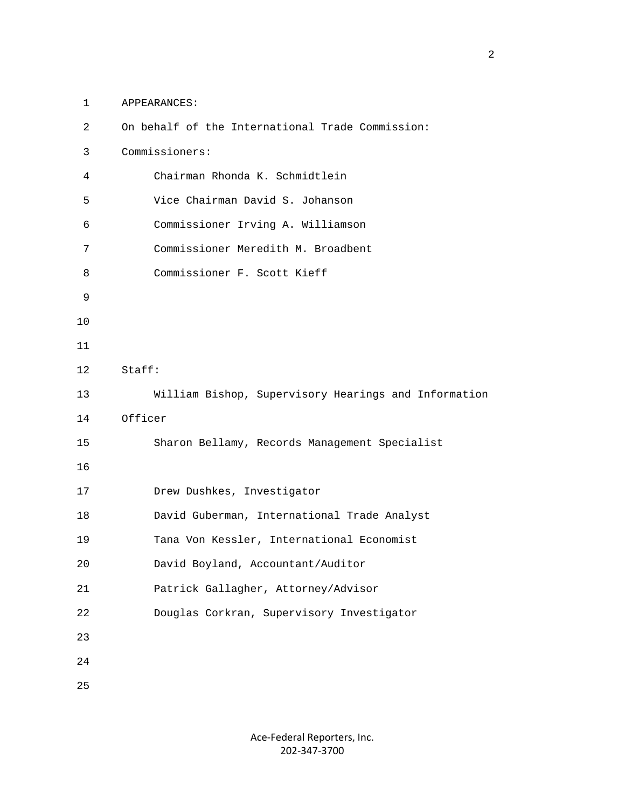1 APPEARANCES:

| $\overline{2}$ | On behalf of the International Trade Commission:     |
|----------------|------------------------------------------------------|
| 3              | Commissioners:                                       |
| $\overline{4}$ | Chairman Rhonda K. Schmidtlein                       |
| 5              | Vice Chairman David S. Johanson                      |
| 6              | Commissioner Irving A. Williamson                    |
| 7              | Commissioner Meredith M. Broadbent                   |
| 8              | Commissioner F. Scott Kieff                          |
| 9              |                                                      |
| $10$           |                                                      |
| 11             |                                                      |
| 12             | Staff:                                               |
| 13             | William Bishop, Supervisory Hearings and Information |
|                | Officer                                              |
| 14             |                                                      |
| 15             | Sharon Bellamy, Records Management Specialist        |
| 16             |                                                      |
| 17             | Drew Dushkes, Investigator                           |
| 18             | David Guberman, International Trade Analyst          |
| 19             | Tana Von Kessler, International Economist            |
| 20             | David Boyland, Accountant/Auditor                    |
| $2\sqrt{1}$    | Patrick Gallagher, Attorney/Advisor                  |
| 22             | Douglas Corkran, Supervisory Investigator            |
| 23             |                                                      |
| 24             |                                                      |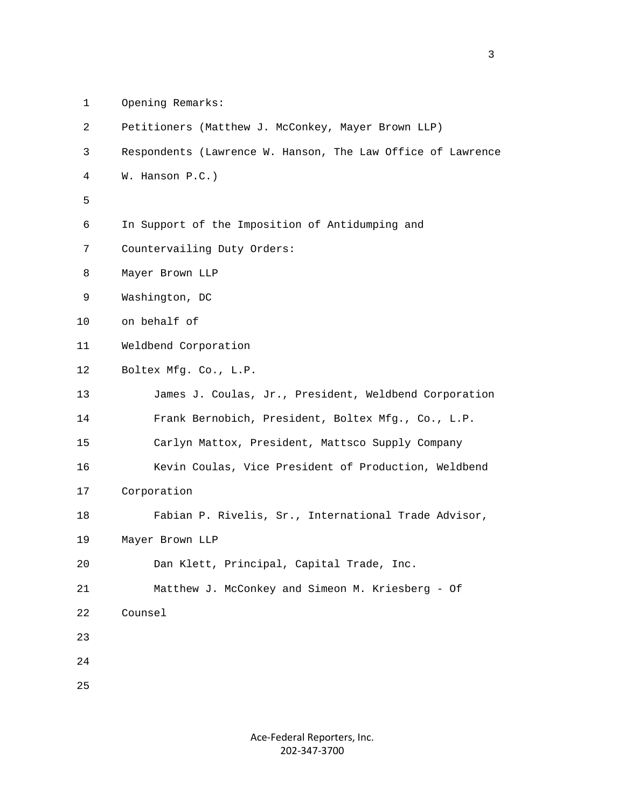1 Opening Remarks:

| $\overline{2}$ | Petitioners (Matthew J. McConkey, Mayer Brown LLP)          |
|----------------|-------------------------------------------------------------|
| 3              | Respondents (Lawrence W. Hanson, The Law Office of Lawrence |
| 4              | W. Hanson P.C.)                                             |
| 5              |                                                             |
| 6              | In Support of the Imposition of Antidumping and             |
| 7              | Countervailing Duty Orders:                                 |
| 8              | Mayer Brown LLP                                             |
| 9              | Washington, DC                                              |
| 10             | on behalf of                                                |
| 11             | Weldbend Corporation                                        |
| 12             | Boltex Mfg. Co., L.P.                                       |
| 13             | James J. Coulas, Jr., President, Weldbend Corporation       |
| 14             | Frank Bernobich, President, Boltex Mfg., Co., L.P.          |
| 15             | Carlyn Mattox, President, Mattsco Supply Company            |
| 16             | Kevin Coulas, Vice President of Production, Weldbend        |
| 17             | Corporation                                                 |
| 18             | Fabian P. Rivelis, Sr., International Trade Advisor,        |
| 19             | Mayer Brown LLP                                             |
| 20             | Dan Klett, Principal, Capital Trade, Inc.                   |
| 21             | Matthew J. McConkey and Simeon M. Kriesberg - Of            |
| 22             | Counsel                                                     |
| 23             |                                                             |
| 24             |                                                             |
| 25             |                                                             |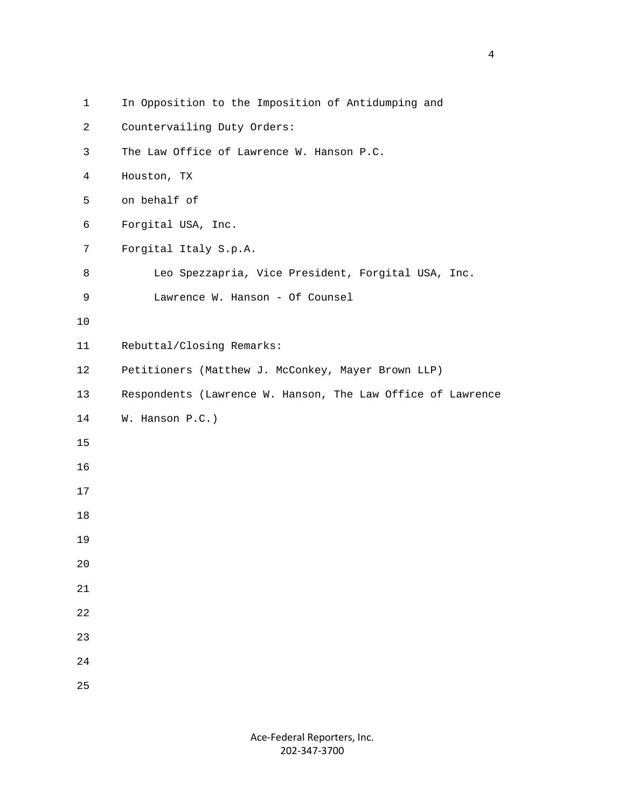| $\mathbf{1}$ | In Opposition to the Imposition of Antidumping and          |
|--------------|-------------------------------------------------------------|
| 2            | Countervailing Duty Orders:                                 |
| 3            | The Law Office of Lawrence W. Hanson P.C.                   |
| 4            | Houston, TX                                                 |
| 5            | on behalf of                                                |
| 6            | Forgital USA, Inc.                                          |
| 7            | Forgital Italy S.p.A.                                       |
| 8            | Leo Spezzapria, Vice President, Forgital USA, Inc.          |
| 9            | Lawrence W. Hanson - Of Counsel                             |
| $10$         |                                                             |
| 11           | Rebuttal/Closing Remarks:                                   |
| 12           | Petitioners (Matthew J. McConkey, Mayer Brown LLP)          |
| 13           | Respondents (Lawrence W. Hanson, The Law Office of Lawrence |
| 14           | W. Hanson P.C.)                                             |
| 15           |                                                             |
| 16           |                                                             |
| 17           |                                                             |
| 18           |                                                             |
| 19           |                                                             |
| 20           |                                                             |
| 21           |                                                             |
| 22           |                                                             |
| 23           |                                                             |
| $2\sqrt{4}$  |                                                             |
| 25           |                                                             |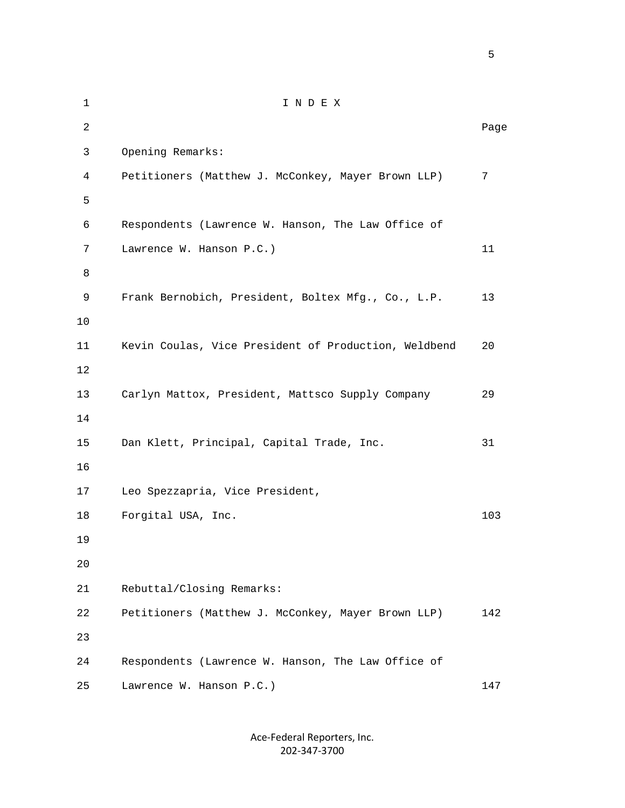1 I N D E X 2 **Page 12** Page 2 **Page 2** Page 2 Page 2 Page 2 Page 2 Page 2 Page 2 Page 2 Page 2 Page 2 Page 2 Page 2 Page 2 Page 2 Page 2 Page 2 Page 2 Page 2 Page 2 Page 2 Page 2 Page 2 Page 2 Page 2 Page 2 Page 2 Page 2 Page 2 Page 3 Opening Remarks: 4 Petitioners (Matthew J. McConkey, Mayer Brown LLP) 7  $5<sub>5</sub>$  6 Respondents (Lawrence W. Hanson, The Law Office of 7 Lawrence W. Hanson P.C.) 11 8 9 Frank Bernobich, President, Boltex Mfg., Co., L.P. 13 10 11 Kevin Coulas, Vice President of Production, Weldbend 20 12 13 Carlyn Mattox, President, Mattsco Supply Company 29 14 15 Dan Klett, Principal, Capital Trade, Inc. 31 16 17 Leo Spezzapria, Vice President, 18 Forgital USA, Inc. 103 19  $20^{\circ}$  21 Rebuttal/Closing Remarks: 22 Petitioners (Matthew J. McConkey, Mayer Brown LLP) 142 23 24 Respondents (Lawrence W. Hanson, The Law Office of 25 Lawrence W. Hanson P.C.) 147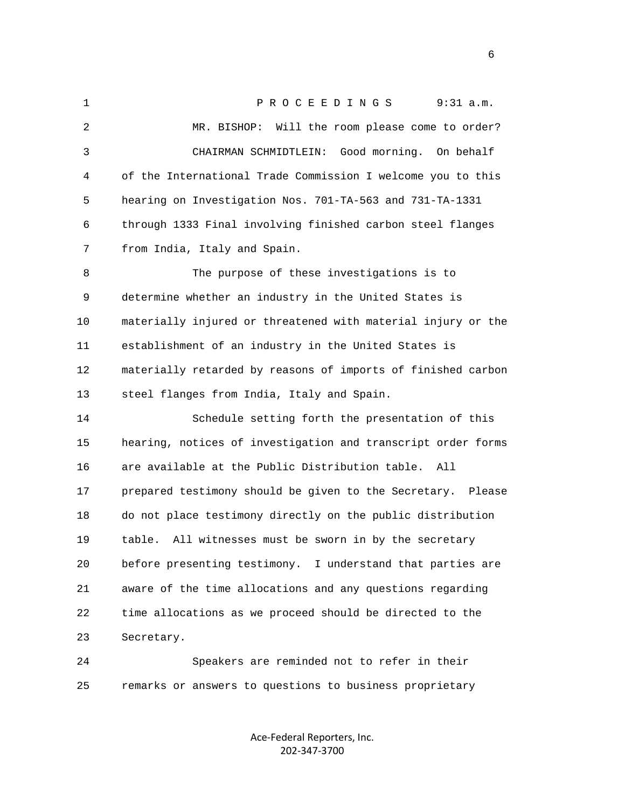1 PROCEEDINGS 9:31 a.m. 2 MR. BISHOP: Will the room please come to order? 3 CHAIRMAN SCHMIDTLEIN: Good morning. On behalf 4 of the International Trade Commission I welcome you to this 5 hearing on Investigation Nos. 701-TA-563 and 731-TA-1331 6 through 1333 Final involving finished carbon steel flanges 7 from India, Italy and Spain. 8 The purpose of these investigations is to 9 determine whether an industry in the United States is 10 materially injured or threatened with material injury or the 11 establishment of an industry in the United States is 12 materially retarded by reasons of imports of finished carbon 13 steel flanges from India, Italy and Spain. 14 Schedule setting forth the presentation of this 15 hearing, notices of investigation and transcript order forms 16 are available at the Public Distribution table. All 17 prepared testimony should be given to the Secretary. Please 18 do not place testimony directly on the public distribution 19 table. All witnesses must be sworn in by the secretary 20 before presenting testimony. I understand that parties are 21 aware of the time allocations and any questions regarding 22 time allocations as we proceed should be directed to the 23 Secretary. 24 Speakers are reminded not to refer in their 25 remarks or answers to questions to business proprietary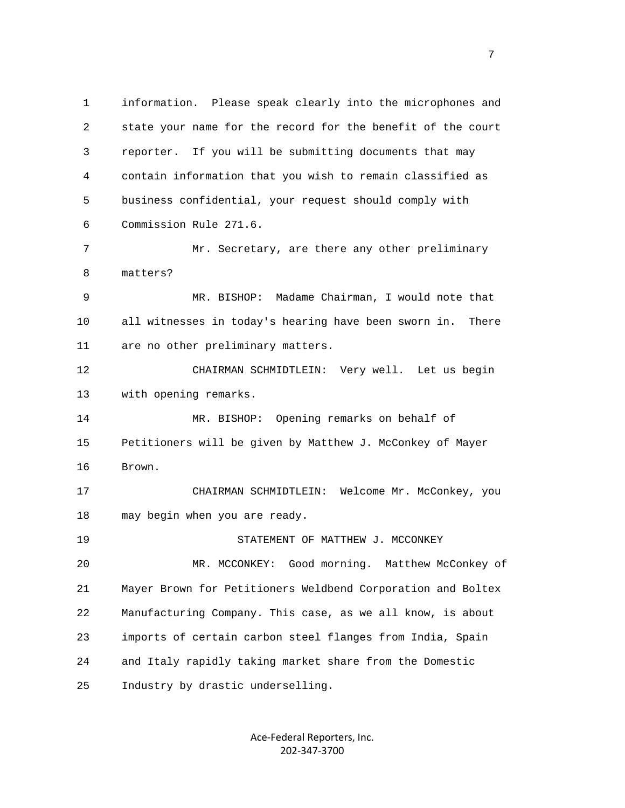1 information. Please speak clearly into the microphones and 2 state your name for the record for the benefit of the court 3 reporter. If you will be submitting documents that may 4 contain information that you wish to remain classified as 5 business confidential, your request should comply with 6 Commission Rule 271.6. 7 Mr. Secretary, are there any other preliminary 8 matters? 9 MR. BISHOP: Madame Chairman, I would note that 10 all witnesses in today's hearing have been sworn in. There 11 are no other preliminary matters. 12 CHAIRMAN SCHMIDTLEIN: Very well. Let us begin 13 with opening remarks. 14 MR. BISHOP: Opening remarks on behalf of 15 Petitioners will be given by Matthew J. McConkey of Mayer 16 Brown. 17 CHAIRMAN SCHMIDTLEIN: Welcome Mr. McConkey, you 18 may begin when you are ready. 19 STATEMENT OF MATTHEW J. MCCONKEY 20 MR. MCCONKEY: Good morning. Matthew McConkey of 21 Mayer Brown for Petitioners Weldbend Corporation and Boltex 22 Manufacturing Company. This case, as we all know, is about 23 imports of certain carbon steel flanges from India, Spain 24 and Italy rapidly taking market share from the Domestic 25 Industry by drastic underselling.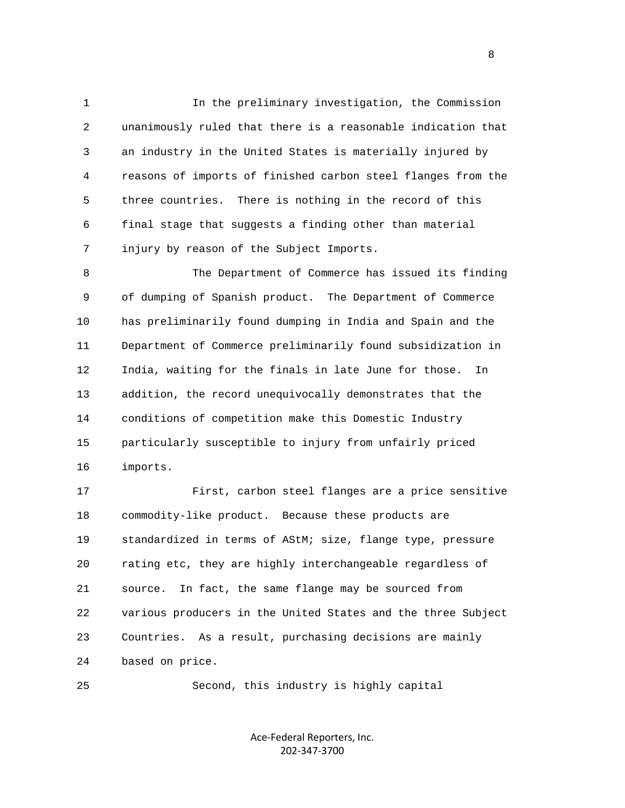1 In the preliminary investigation, the Commission 2 unanimously ruled that there is a reasonable indication that 3 an industry in the United States is materially injured by 4 reasons of imports of finished carbon steel flanges from the 5 three countries. There is nothing in the record of this 6 final stage that suggests a finding other than material 7 injury by reason of the Subject Imports.

 8 The Department of Commerce has issued its finding 9 of dumping of Spanish product. The Department of Commerce 10 has preliminarily found dumping in India and Spain and the 11 Department of Commerce preliminarily found subsidization in 12 India, waiting for the finals in late June for those. In 13 addition, the record unequivocally demonstrates that the 14 conditions of competition make this Domestic Industry 15 particularly susceptible to injury from unfairly priced 16 imports.

 17 First, carbon steel flanges are a price sensitive 18 commodity-like product. Because these products are 19 standardized in terms of AStM; size, flange type, pressure 20 rating etc, they are highly interchangeable regardless of 21 source. In fact, the same flange may be sourced from 22 various producers in the United States and the three Subject 23 Countries. As a result, purchasing decisions are mainly 24 based on price.

25 Second, this industry is highly capital

Ace‐Federal Reporters, Inc. 202‐347‐3700

experience of the state of the state of the state of the state of the state of the state of the state of the s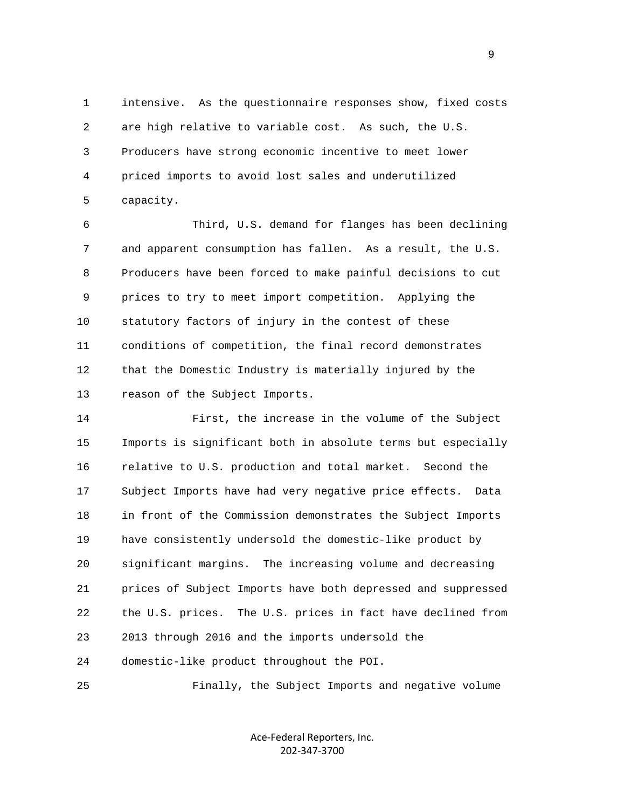1 intensive. As the questionnaire responses show, fixed costs 2 are high relative to variable cost. As such, the U.S. 3 Producers have strong economic incentive to meet lower 4 priced imports to avoid lost sales and underutilized 5 capacity.

 6 Third, U.S. demand for flanges has been declining 7 and apparent consumption has fallen. As a result, the U.S. 8 Producers have been forced to make painful decisions to cut 9 prices to try to meet import competition. Applying the 10 statutory factors of injury in the contest of these 11 conditions of competition, the final record demonstrates 12 that the Domestic Industry is materially injured by the 13 reason of the Subject Imports.

 14 First, the increase in the volume of the Subject 15 Imports is significant both in absolute terms but especially 16 relative to U.S. production and total market. Second the 17 Subject Imports have had very negative price effects. Data 18 in front of the Commission demonstrates the Subject Imports 19 have consistently undersold the domestic-like product by 20 significant margins. The increasing volume and decreasing 21 prices of Subject Imports have both depressed and suppressed 22 the U.S. prices. The U.S. prices in fact have declined from 23 2013 through 2016 and the imports undersold the 24 domestic-like product throughout the POI.

25 Finally, the Subject Imports and negative volume

Ace‐Federal Reporters, Inc. 202‐347‐3700

en de la provincia de la provincia de la provincia de la provincia de la provincia de la provincia de la provi<br>1900 : la provincia de la provincia de la provincia de la provincia de la provincia de la provincia de la prov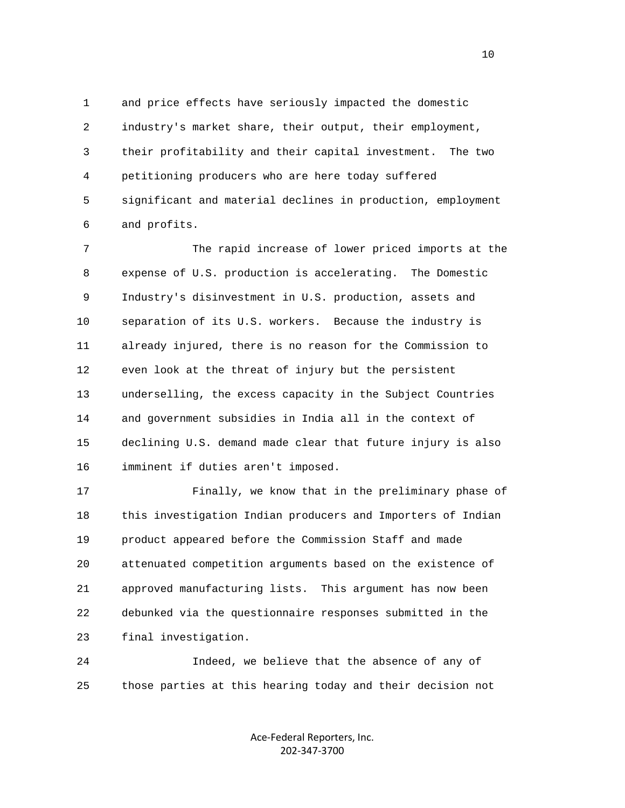1 and price effects have seriously impacted the domestic 2 industry's market share, their output, their employment, 3 their profitability and their capital investment. The two 4 petitioning producers who are here today suffered 5 significant and material declines in production, employment 6 and profits.

 7 The rapid increase of lower priced imports at the 8 expense of U.S. production is accelerating. The Domestic 9 Industry's disinvestment in U.S. production, assets and 10 separation of its U.S. workers. Because the industry is 11 already injured, there is no reason for the Commission to 12 even look at the threat of injury but the persistent 13 underselling, the excess capacity in the Subject Countries 14 and government subsidies in India all in the context of 15 declining U.S. demand made clear that future injury is also 16 imminent if duties aren't imposed.

 17 Finally, we know that in the preliminary phase of 18 this investigation Indian producers and Importers of Indian 19 product appeared before the Commission Staff and made 20 attenuated competition arguments based on the existence of 21 approved manufacturing lists. This argument has now been 22 debunked via the questionnaire responses submitted in the 23 final investigation.

 24 Indeed, we believe that the absence of any of 25 those parties at this hearing today and their decision not

> Ace‐Federal Reporters, Inc. 202‐347‐3700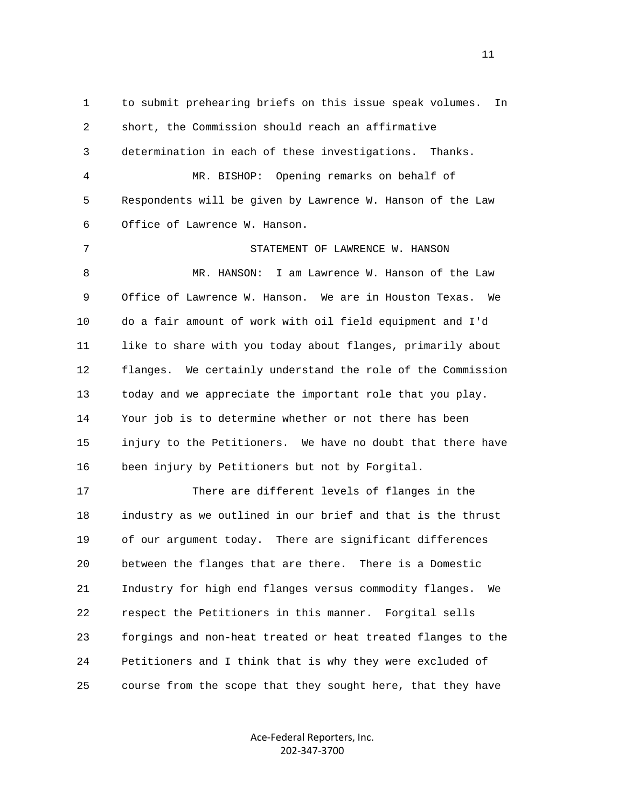1 to submit prehearing briefs on this issue speak volumes. In 2 short, the Commission should reach an affirmative 3 determination in each of these investigations. Thanks. 4 MR. BISHOP: Opening remarks on behalf of 5 Respondents will be given by Lawrence W. Hanson of the Law 6 Office of Lawrence W. Hanson. 7 STATEMENT OF LAWRENCE W. HANSON 8 MR. HANSON: I am Lawrence W. Hanson of the Law 9 Office of Lawrence W. Hanson. We are in Houston Texas. We 10 do a fair amount of work with oil field equipment and I'd 11 like to share with you today about flanges, primarily about 12 flanges. We certainly understand the role of the Commission 13 today and we appreciate the important role that you play. 14 Your job is to determine whether or not there has been 15 injury to the Petitioners. We have no doubt that there have 16 been injury by Petitioners but not by Forgital. 17 There are different levels of flanges in the 18 industry as we outlined in our brief and that is the thrust 19 of our argument today. There are significant differences 20 between the flanges that are there. There is a Domestic 21 Industry for high end flanges versus commodity flanges. We 22 respect the Petitioners in this manner. Forgital sells 23 forgings and non-heat treated or heat treated flanges to the 24 Petitioners and I think that is why they were excluded of 25 course from the scope that they sought here, that they have

> Ace‐Federal Reporters, Inc. 202‐347‐3700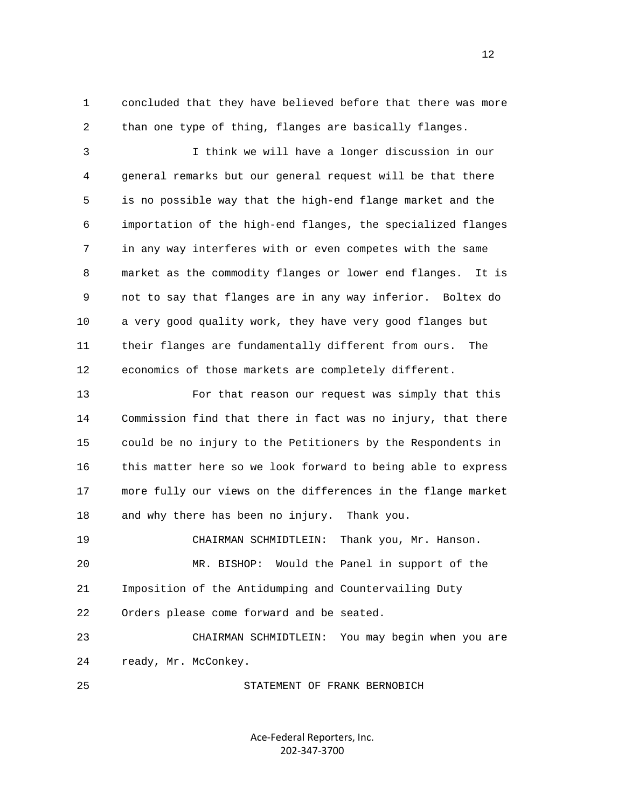1 concluded that they have believed before that there was more 2 than one type of thing, flanges are basically flanges.

 3 I think we will have a longer discussion in our 4 general remarks but our general request will be that there 5 is no possible way that the high-end flange market and the 6 importation of the high-end flanges, the specialized flanges 7 in any way interferes with or even competes with the same 8 market as the commodity flanges or lower end flanges. It is 9 not to say that flanges are in any way inferior. Boltex do 10 a very good quality work, they have very good flanges but 11 their flanges are fundamentally different from ours. The 12 economics of those markets are completely different.

 13 For that reason our request was simply that this 14 Commission find that there in fact was no injury, that there 15 could be no injury to the Petitioners by the Respondents in 16 this matter here so we look forward to being able to express 17 more fully our views on the differences in the flange market 18 and why there has been no injury. Thank you.

 20 MR. BISHOP: Would the Panel in support of the 21 Imposition of the Antidumping and Countervailing Duty 22 Orders please come forward and be seated.

19 CHAIRMAN SCHMIDTLEIN: Thank you, Mr. Hanson.

 23 CHAIRMAN SCHMIDTLEIN: You may begin when you are 24 ready, Mr. McConkey.

25 STATEMENT OF FRANK BERNOBICH

Ace‐Federal Reporters, Inc. 202‐347‐3700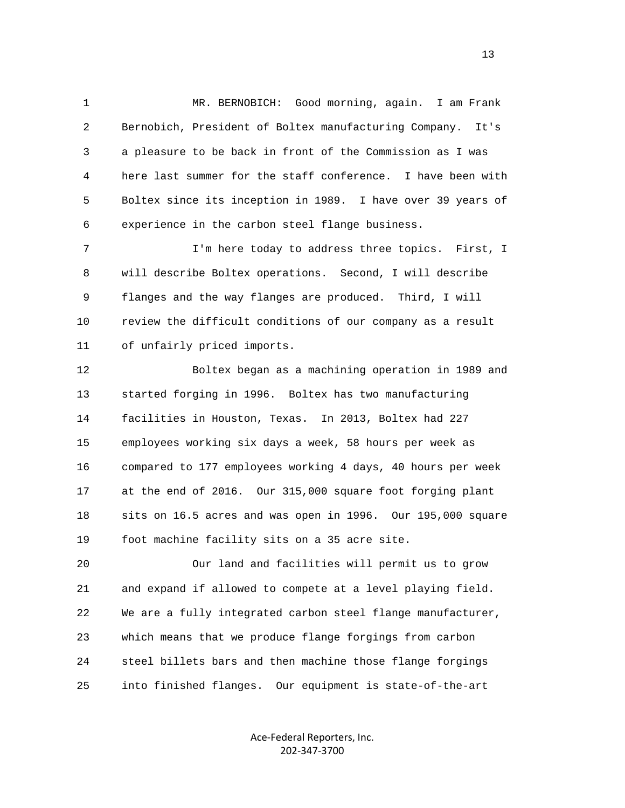1 MR. BERNOBICH: Good morning, again. I am Frank 2 Bernobich, President of Boltex manufacturing Company. It's 3 a pleasure to be back in front of the Commission as I was 4 here last summer for the staff conference. I have been with 5 Boltex since its inception in 1989. I have over 39 years of 6 experience in the carbon steel flange business.

 7 I'm here today to address three topics. First, I 8 will describe Boltex operations. Second, I will describe 9 flanges and the way flanges are produced. Third, I will 10 review the difficult conditions of our company as a result 11 of unfairly priced imports.

 12 Boltex began as a machining operation in 1989 and 13 started forging in 1996. Boltex has two manufacturing 14 facilities in Houston, Texas. In 2013, Boltex had 227 15 employees working six days a week, 58 hours per week as 16 compared to 177 employees working 4 days, 40 hours per week 17 at the end of 2016. Our 315,000 square foot forging plant 18 sits on 16.5 acres and was open in 1996. Our 195,000 square 19 foot machine facility sits on a 35 acre site.

 20 Our land and facilities will permit us to grow 21 and expand if allowed to compete at a level playing field. 22 We are a fully integrated carbon steel flange manufacturer, 23 which means that we produce flange forgings from carbon 24 steel billets bars and then machine those flange forgings 25 into finished flanges. Our equipment is state-of-the-art

> Ace‐Federal Reporters, Inc. 202‐347‐3700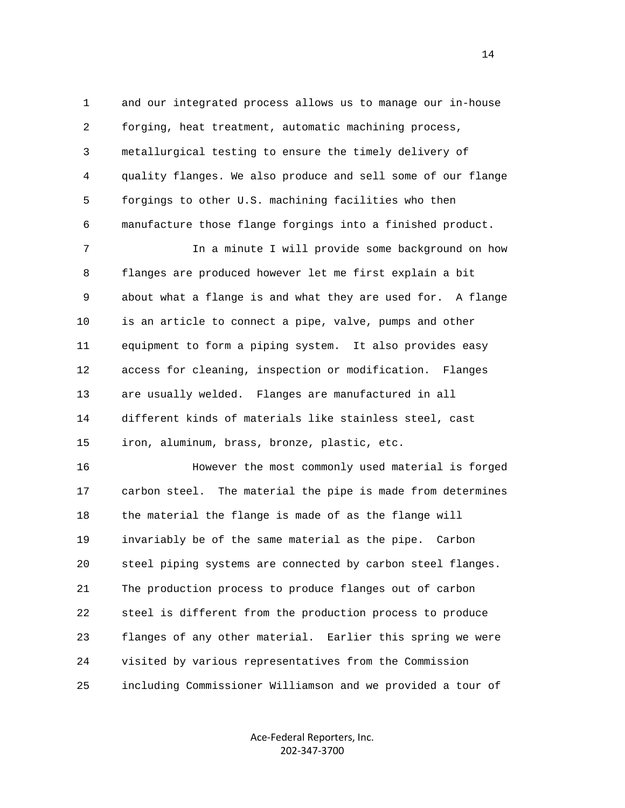1 and our integrated process allows us to manage our in-house 2 forging, heat treatment, automatic machining process, 3 metallurgical testing to ensure the timely delivery of 4 quality flanges. We also produce and sell some of our flange 5 forgings to other U.S. machining facilities who then 6 manufacture those flange forgings into a finished product. 7 In a minute I will provide some background on how 8 flanges are produced however let me first explain a bit

 9 about what a flange is and what they are used for. A flange 10 is an article to connect a pipe, valve, pumps and other 11 equipment to form a piping system. It also provides easy 12 access for cleaning, inspection or modification. Flanges 13 are usually welded. Flanges are manufactured in all 14 different kinds of materials like stainless steel, cast 15 iron, aluminum, brass, bronze, plastic, etc.

 16 However the most commonly used material is forged 17 carbon steel. The material the pipe is made from determines 18 the material the flange is made of as the flange will 19 invariably be of the same material as the pipe. Carbon 20 steel piping systems are connected by carbon steel flanges. 21 The production process to produce flanges out of carbon 22 steel is different from the production process to produce 23 flanges of any other material. Earlier this spring we were 24 visited by various representatives from the Commission 25 including Commissioner Williamson and we provided a tour of

> Ace‐Federal Reporters, Inc. 202‐347‐3700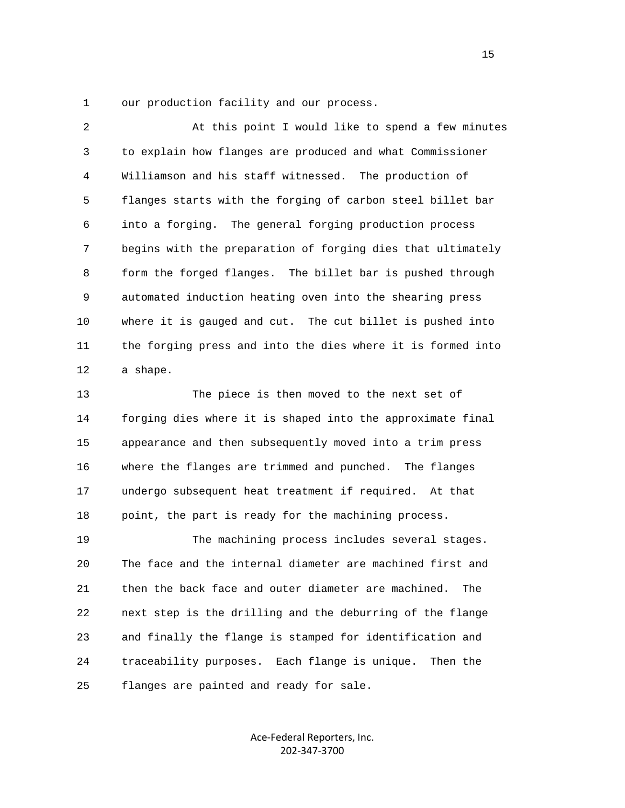1 our production facility and our process.

 2 At this point I would like to spend a few minutes 3 to explain how flanges are produced and what Commissioner 4 Williamson and his staff witnessed. The production of 5 flanges starts with the forging of carbon steel billet bar 6 into a forging. The general forging production process 7 begins with the preparation of forging dies that ultimately 8 form the forged flanges. The billet bar is pushed through 9 automated induction heating oven into the shearing press 10 where it is gauged and cut. The cut billet is pushed into 11 the forging press and into the dies where it is formed into 12 a shape.

 13 The piece is then moved to the next set of 14 forging dies where it is shaped into the approximate final 15 appearance and then subsequently moved into a trim press 16 where the flanges are trimmed and punched. The flanges 17 undergo subsequent heat treatment if required. At that 18 point, the part is ready for the machining process.

 19 The machining process includes several stages. 20 The face and the internal diameter are machined first and 21 then the back face and outer diameter are machined. The 22 next step is the drilling and the deburring of the flange 23 and finally the flange is stamped for identification and 24 traceability purposes. Each flange is unique. Then the 25 flanges are painted and ready for sale.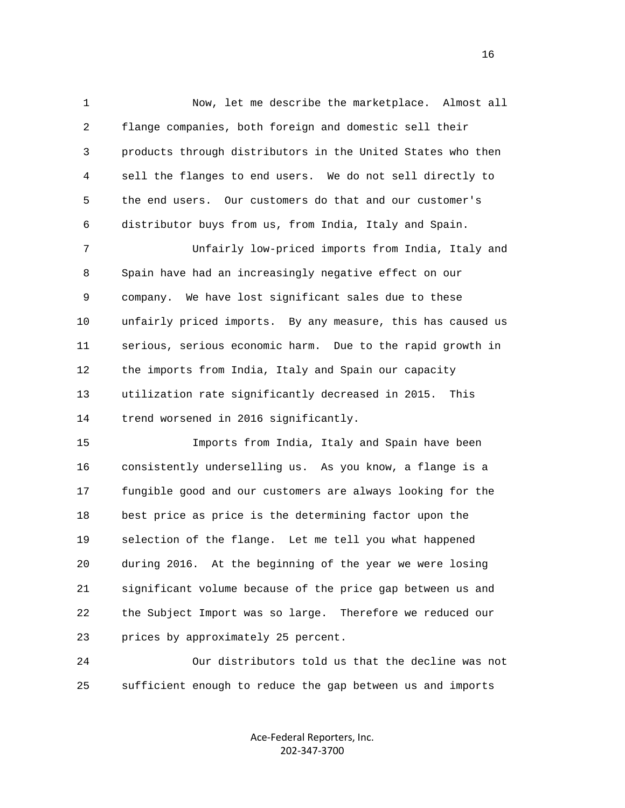1 Now, let me describe the marketplace. Almost all 2 flange companies, both foreign and domestic sell their 3 products through distributors in the United States who then 4 sell the flanges to end users. We do not sell directly to 5 the end users. Our customers do that and our customer's 6 distributor buys from us, from India, Italy and Spain.

 7 Unfairly low-priced imports from India, Italy and 8 Spain have had an increasingly negative effect on our 9 company. We have lost significant sales due to these 10 unfairly priced imports. By any measure, this has caused us 11 serious, serious economic harm. Due to the rapid growth in 12 the imports from India, Italy and Spain our capacity 13 utilization rate significantly decreased in 2015. This 14 trend worsened in 2016 significantly.

 15 Imports from India, Italy and Spain have been 16 consistently underselling us. As you know, a flange is a 17 fungible good and our customers are always looking for the 18 best price as price is the determining factor upon the 19 selection of the flange. Let me tell you what happened 20 during 2016. At the beginning of the year we were losing 21 significant volume because of the price gap between us and 22 the Subject Import was so large. Therefore we reduced our 23 prices by approximately 25 percent.

 24 Our distributors told us that the decline was not 25 sufficient enough to reduce the gap between us and imports

> Ace‐Federal Reporters, Inc. 202‐347‐3700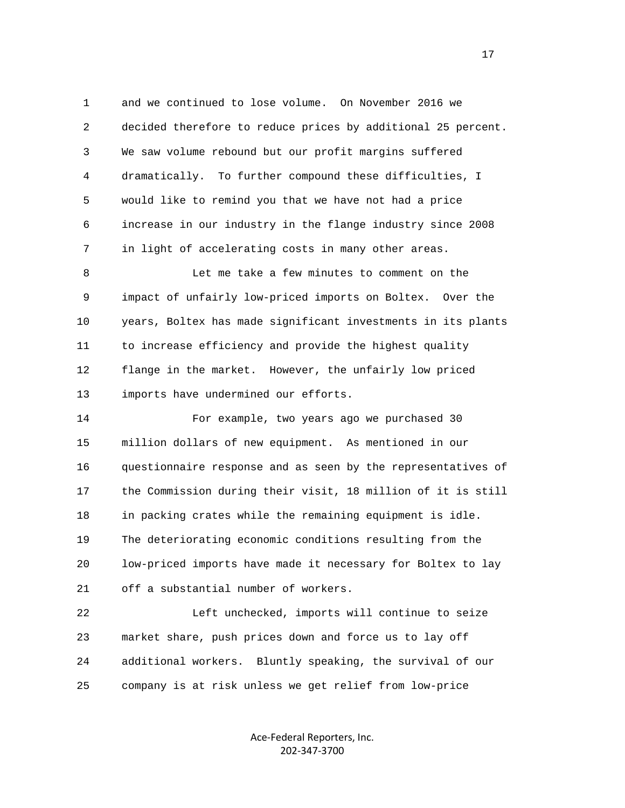1 and we continued to lose volume. On November 2016 we 2 decided therefore to reduce prices by additional 25 percent. 3 We saw volume rebound but our profit margins suffered 4 dramatically. To further compound these difficulties, I 5 would like to remind you that we have not had a price 6 increase in our industry in the flange industry since 2008 7 in light of accelerating costs in many other areas.

 8 Let me take a few minutes to comment on the 9 impact of unfairly low-priced imports on Boltex. Over the 10 years, Boltex has made significant investments in its plants 11 to increase efficiency and provide the highest quality 12 flange in the market. However, the unfairly low priced 13 imports have undermined our efforts.

 14 For example, two years ago we purchased 30 15 million dollars of new equipment. As mentioned in our 16 questionnaire response and as seen by the representatives of 17 the Commission during their visit, 18 million of it is still 18 in packing crates while the remaining equipment is idle. 19 The deteriorating economic conditions resulting from the 20 low-priced imports have made it necessary for Boltex to lay 21 off a substantial number of workers.

 22 Left unchecked, imports will continue to seize 23 market share, push prices down and force us to lay off 24 additional workers. Bluntly speaking, the survival of our 25 company is at risk unless we get relief from low-price

> Ace‐Federal Reporters, Inc. 202‐347‐3700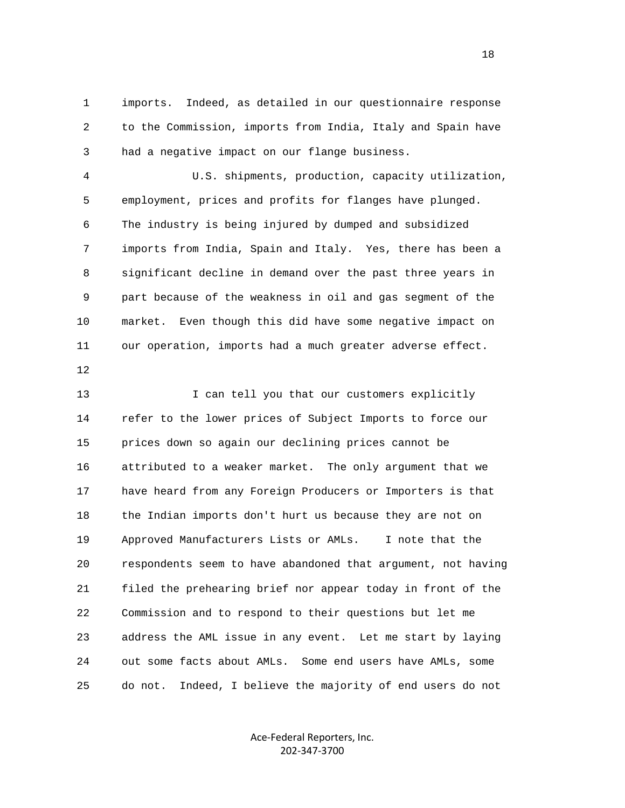1 imports. Indeed, as detailed in our questionnaire response 2 to the Commission, imports from India, Italy and Spain have 3 had a negative impact on our flange business.

 4 U.S. shipments, production, capacity utilization, 5 employment, prices and profits for flanges have plunged. 6 The industry is being injured by dumped and subsidized 7 imports from India, Spain and Italy. Yes, there has been a 8 significant decline in demand over the past three years in 9 part because of the weakness in oil and gas segment of the 10 market. Even though this did have some negative impact on 11 our operation, imports had a much greater adverse effect.

12

13 I can tell you that our customers explicitly 14 refer to the lower prices of Subject Imports to force our 15 prices down so again our declining prices cannot be 16 attributed to a weaker market. The only argument that we 17 have heard from any Foreign Producers or Importers is that 18 the Indian imports don't hurt us because they are not on 19 Approved Manufacturers Lists or AMLs. I note that the 20 respondents seem to have abandoned that argument, not having 21 filed the prehearing brief nor appear today in front of the 22 Commission and to respond to their questions but let me 23 address the AML issue in any event. Let me start by laying 24 out some facts about AMLs. Some end users have AMLs, some 25 do not. Indeed, I believe the majority of end users do not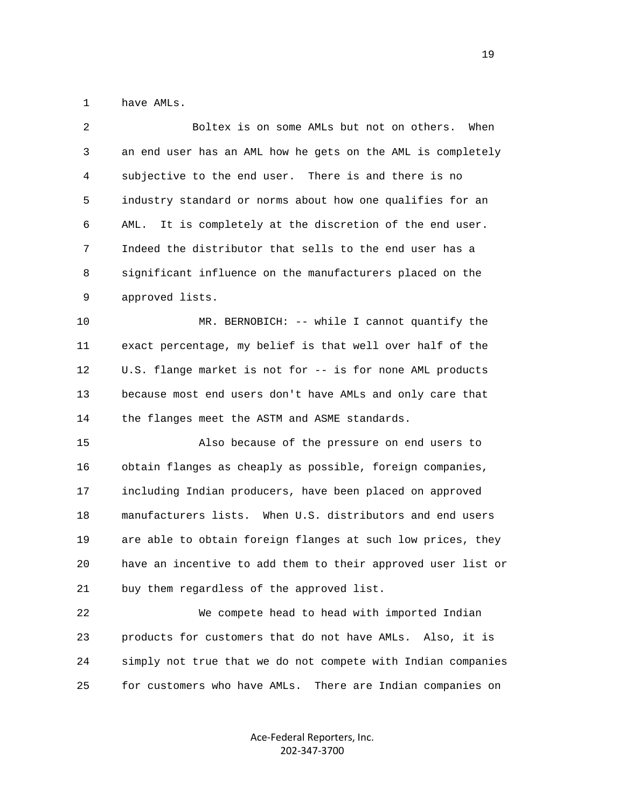1 have AMLs.

| $\overline{c}$ | Boltex is on some AMLs but not on others.<br>When             |
|----------------|---------------------------------------------------------------|
| 3              | an end user has an AML how he gets on the AML is completely   |
| 4              | subjective to the end user. There is and there is no          |
| 5              | industry standard or norms about how one qualifies for an     |
| 6              | It is completely at the discretion of the end user.<br>AML.   |
| 7              | Indeed the distributor that sells to the end user has a       |
| 8              | significant influence on the manufacturers placed on the      |
| 9              | approved lists.                                               |
| 10             | MR. BERNOBICH: -- while I cannot quantify the                 |
| 11             | exact percentage, my belief is that well over half of the     |
| 12             | U.S. flange market is not for -- is for none AML products     |
| 13             | because most end users don't have AMLs and only care that     |
| 14             | the flanges meet the ASTM and ASME standards.                 |
| 15             | Also because of the pressure on end users to                  |
| 16             | obtain flanges as cheaply as possible, foreign companies,     |
| 17             | including Indian producers, have been placed on approved      |
| 18             | manufacturers lists. When U.S. distributors and end users     |
| 19             | are able to obtain foreign flanges at such low prices, they   |
| 20             | have an incentive to add them to their approved user list or  |
| 21             | buy them regardless of the approved list.                     |
| 22             | We compete head to head with imported Indian                  |
| 23             | products for customers that do not have AMLs. Also, it is     |
| 24             | simply not true that we do not compete with Indian companies  |
| 25             | There are Indian companies on<br>for customers who have AMLs. |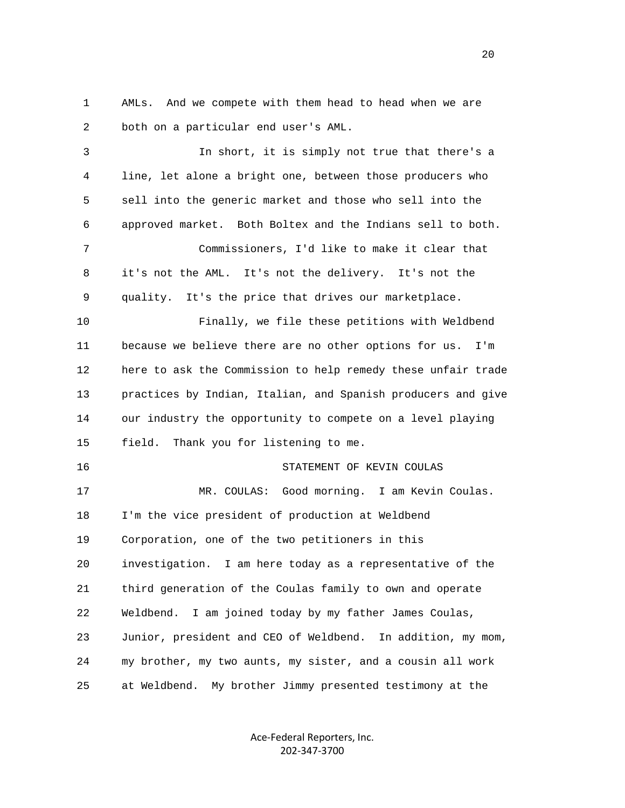1 AMLs. And we compete with them head to head when we are 2 both on a particular end user's AML.

 3 In short, it is simply not true that there's a 4 line, let alone a bright one, between those producers who 5 sell into the generic market and those who sell into the 6 approved market. Both Boltex and the Indians sell to both. 7 Commissioners, I'd like to make it clear that 8 it's not the AML. It's not the delivery. It's not the 9 quality. It's the price that drives our marketplace. 10 Finally, we file these petitions with Weldbend 11 because we believe there are no other options for us. I'm 12 here to ask the Commission to help remedy these unfair trade 13 practices by Indian, Italian, and Spanish producers and give 14 our industry the opportunity to compete on a level playing 15 field. Thank you for listening to me. 16 STATEMENT OF KEVIN COULAS 17 MR. COULAS: Good morning. I am Kevin Coulas. 18 I'm the vice president of production at Weldbend 19 Corporation, one of the two petitioners in this 20 investigation. I am here today as a representative of the 21 third generation of the Coulas family to own and operate 22 Weldbend. I am joined today by my father James Coulas, 23 Junior, president and CEO of Weldbend. In addition, my mom, 24 my brother, my two aunts, my sister, and a cousin all work 25 at Weldbend. My brother Jimmy presented testimony at the

> Ace‐Federal Reporters, Inc. 202‐347‐3700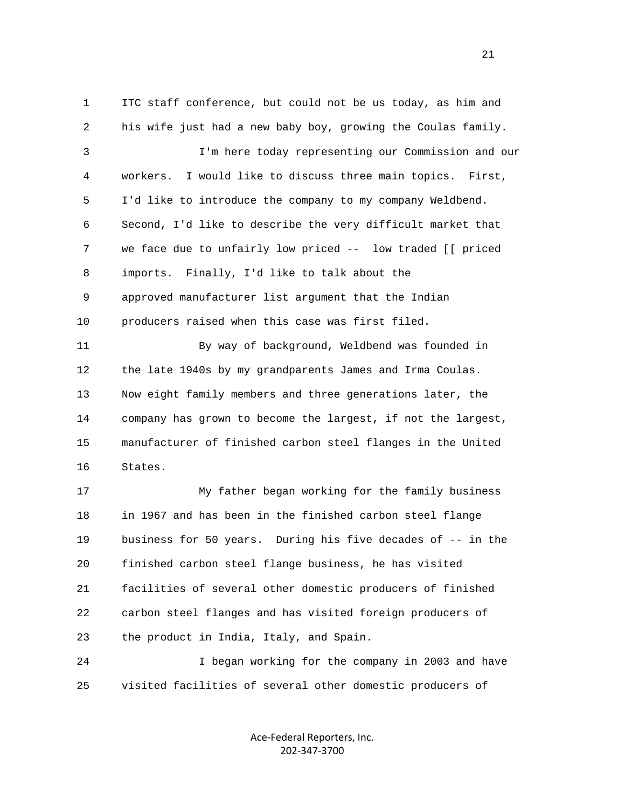1 ITC staff conference, but could not be us today, as him and 2 his wife just had a new baby boy, growing the Coulas family. 3 I'm here today representing our Commission and our 4 workers. I would like to discuss three main topics. First, 5 I'd like to introduce the company to my company Weldbend. 6 Second, I'd like to describe the very difficult market that 7 we face due to unfairly low priced -- low traded [[ priced 8 imports. Finally, I'd like to talk about the 9 approved manufacturer list argument that the Indian 10 producers raised when this case was first filed. 11 By way of background, Weldbend was founded in 12 the late 1940s by my grandparents James and Irma Coulas. 13 Now eight family members and three generations later, the 14 company has grown to become the largest, if not the largest, 15 manufacturer of finished carbon steel flanges in the United 16 States. 17 My father began working for the family business 18 in 1967 and has been in the finished carbon steel flange 19 business for 50 years. During his five decades of -- in the 20 finished carbon steel flange business, he has visited 21 facilities of several other domestic producers of finished 22 carbon steel flanges and has visited foreign producers of

23 the product in India, Italy, and Spain.

 24 I began working for the company in 2003 and have 25 visited facilities of several other domestic producers of

> Ace‐Federal Reporters, Inc. 202‐347‐3700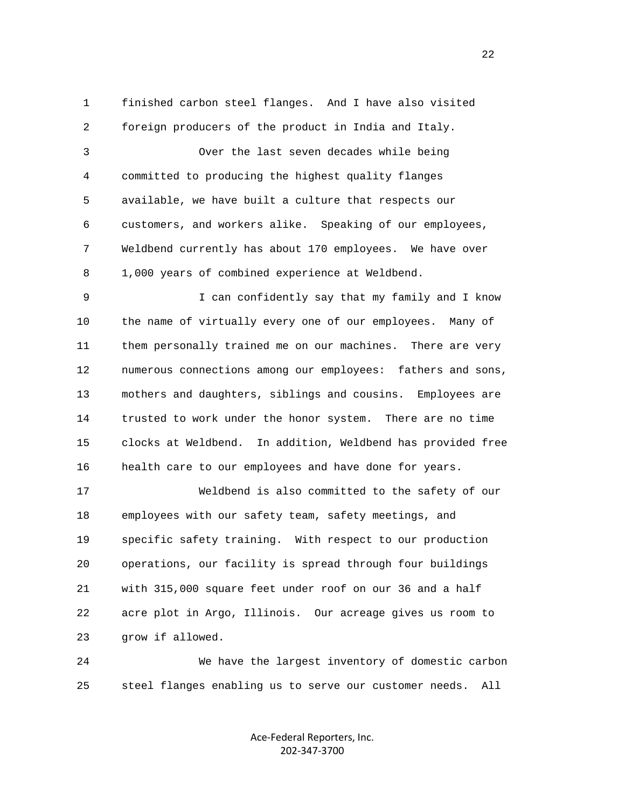1 finished carbon steel flanges. And I have also visited 2 foreign producers of the product in India and Italy. 3 Over the last seven decades while being 4 committed to producing the highest quality flanges 5 available, we have built a culture that respects our 6 customers, and workers alike. Speaking of our employees, 7 Weldbend currently has about 170 employees. We have over 8 1,000 years of combined experience at Weldbend.

 9 I can confidently say that my family and I know 10 the name of virtually every one of our employees. Many of 11 them personally trained me on our machines. There are very 12 numerous connections among our employees: fathers and sons, 13 mothers and daughters, siblings and cousins. Employees are 14 trusted to work under the honor system. There are no time 15 clocks at Weldbend. In addition, Weldbend has provided free 16 health care to our employees and have done for years.

 17 Weldbend is also committed to the safety of our 18 employees with our safety team, safety meetings, and 19 specific safety training. With respect to our production 20 operations, our facility is spread through four buildings 21 with 315,000 square feet under roof on our 36 and a half 22 acre plot in Argo, Illinois. Our acreage gives us room to 23 grow if allowed.

 24 We have the largest inventory of domestic carbon 25 steel flanges enabling us to serve our customer needs. All

> Ace‐Federal Reporters, Inc. 202‐347‐3700

22 a set of the state of the state of the state of the state of the state of the state of the state of the state of the state of the state of the state of the state of the state of the state of the state of the state of th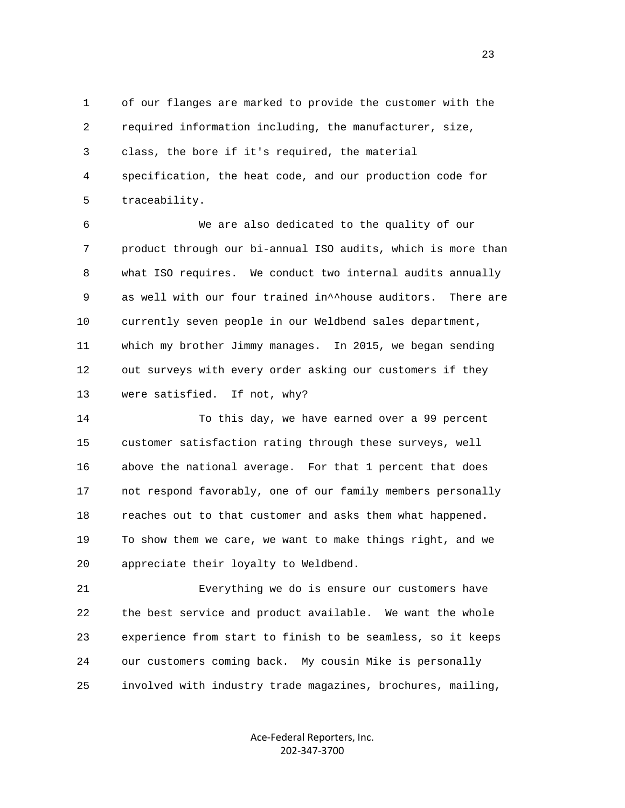1 of our flanges are marked to provide the customer with the 2 required information including, the manufacturer, size, 3 class, the bore if it's required, the material 4 specification, the heat code, and our production code for 5 traceability.

 6 We are also dedicated to the quality of our 7 product through our bi-annual ISO audits, which is more than 8 what ISO requires. We conduct two internal audits annually 9 as well with our four trained in^^house auditors. There are 10 currently seven people in our Weldbend sales department, 11 which my brother Jimmy manages. In 2015, we began sending 12 out surveys with every order asking our customers if they 13 were satisfied. If not, why?

 14 To this day, we have earned over a 99 percent 15 customer satisfaction rating through these surveys, well 16 above the national average. For that 1 percent that does 17 not respond favorably, one of our family members personally 18 reaches out to that customer and asks them what happened. 19 To show them we care, we want to make things right, and we 20 appreciate their loyalty to Weldbend.

 21 Everything we do is ensure our customers have 22 the best service and product available. We want the whole 23 experience from start to finish to be seamless, so it keeps 24 our customers coming back. My cousin Mike is personally 25 involved with industry trade magazines, brochures, mailing,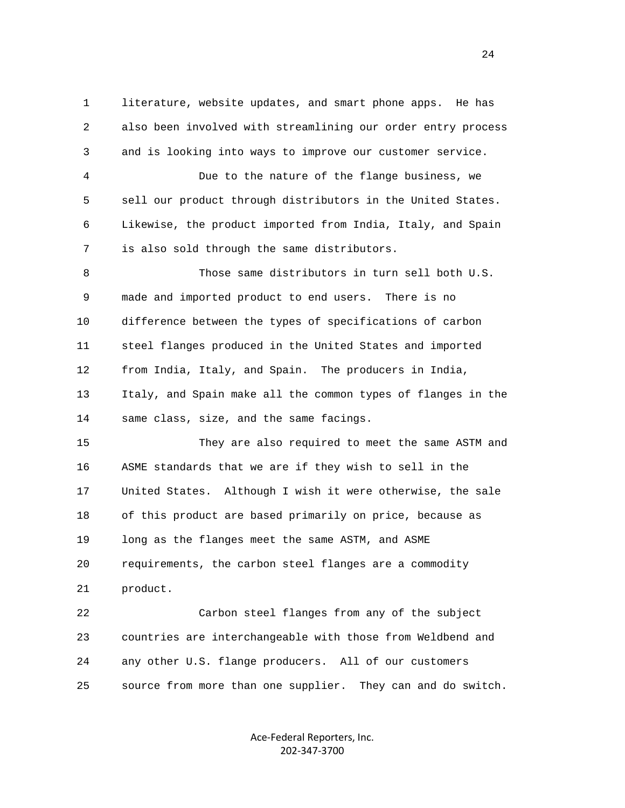1 literature, website updates, and smart phone apps. He has 2 also been involved with streamlining our order entry process 3 and is looking into ways to improve our customer service. 4 Due to the nature of the flange business, we 5 sell our product through distributors in the United States. 6 Likewise, the product imported from India, Italy, and Spain 7 is also sold through the same distributors. 8 Those same distributors in turn sell both U.S. 9 made and imported product to end users. There is no 10 difference between the types of specifications of carbon 11 steel flanges produced in the United States and imported 12 from India, Italy, and Spain. The producers in India, 13 Italy, and Spain make all the common types of flanges in the 14 same class, size, and the same facings. 15 They are also required to meet the same ASTM and 16 ASME standards that we are if they wish to sell in the 17 United States. Although I wish it were otherwise, the sale 18 of this product are based primarily on price, because as 19 long as the flanges meet the same ASTM, and ASME 20 requirements, the carbon steel flanges are a commodity 21 product. 22 Carbon steel flanges from any of the subject 23 countries are interchangeable with those from Weldbend and 24 any other U.S. flange producers. All of our customers

25 source from more than one supplier. They can and do switch.

Ace‐Federal Reporters, Inc. 202‐347‐3700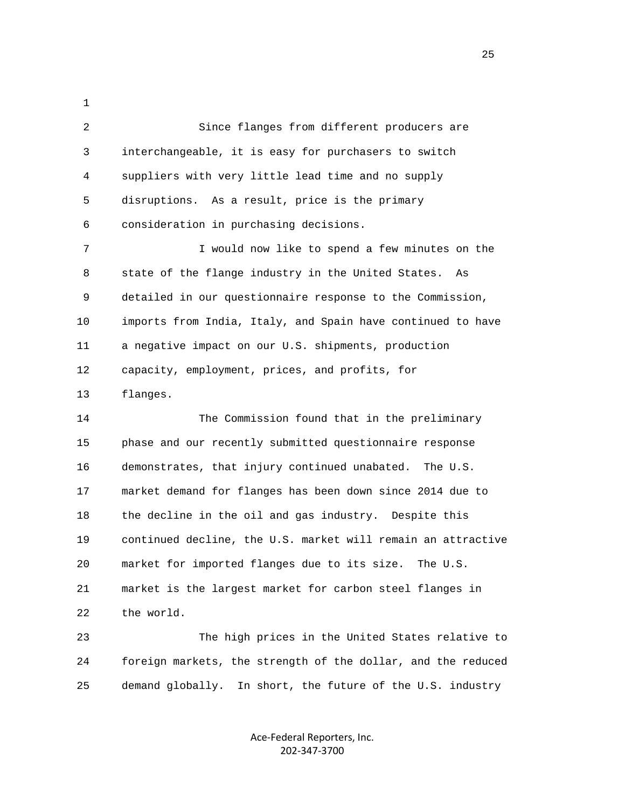1 2 Since flanges from different producers are 3 interchangeable, it is easy for purchasers to switch 4 suppliers with very little lead time and no supply 5 disruptions. As a result, price is the primary 6 consideration in purchasing decisions. 7 I would now like to spend a few minutes on the 8 state of the flange industry in the United States. As 9 detailed in our questionnaire response to the Commission, 10 imports from India, Italy, and Spain have continued to have 11 a negative impact on our U.S. shipments, production 12 capacity, employment, prices, and profits, for 13 flanges. 14 The Commission found that in the preliminary 15 phase and our recently submitted questionnaire response 16 demonstrates, that injury continued unabated. The U.S. 17 market demand for flanges has been down since 2014 due to 18 the decline in the oil and gas industry. Despite this 19 continued decline, the U.S. market will remain an attractive 20 market for imported flanges due to its size. The U.S. 21 market is the largest market for carbon steel flanges in

22 the world.

 23 The high prices in the United States relative to 24 foreign markets, the strength of the dollar, and the reduced 25 demand globally. In short, the future of the U.S. industry

> Ace‐Federal Reporters, Inc. 202‐347‐3700

25 and 25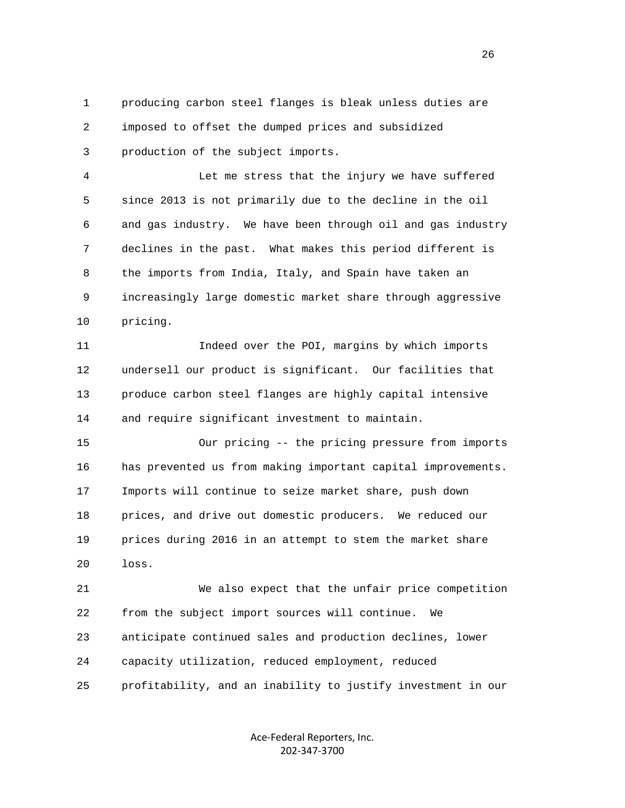1 producing carbon steel flanges is bleak unless duties are 2 imposed to offset the dumped prices and subsidized 3 production of the subject imports.

 4 Let me stress that the injury we have suffered 5 since 2013 is not primarily due to the decline in the oil 6 and gas industry. We have been through oil and gas industry 7 declines in the past. What makes this period different is 8 the imports from India, Italy, and Spain have taken an 9 increasingly large domestic market share through aggressive 10 pricing.

 11 Indeed over the POI, margins by which imports 12 undersell our product is significant. Our facilities that 13 produce carbon steel flanges are highly capital intensive 14 and require significant investment to maintain.

 15 Our pricing -- the pricing pressure from imports 16 has prevented us from making important capital improvements. 17 Imports will continue to seize market share, push down 18 prices, and drive out domestic producers. We reduced our 19 prices during 2016 in an attempt to stem the market share 20 loss.

 21 We also expect that the unfair price competition 22 from the subject import sources will continue. We 23 anticipate continued sales and production declines, lower 24 capacity utilization, reduced employment, reduced 25 profitability, and an inability to justify investment in our

> Ace‐Federal Reporters, Inc. 202‐347‐3700

<u>26</u>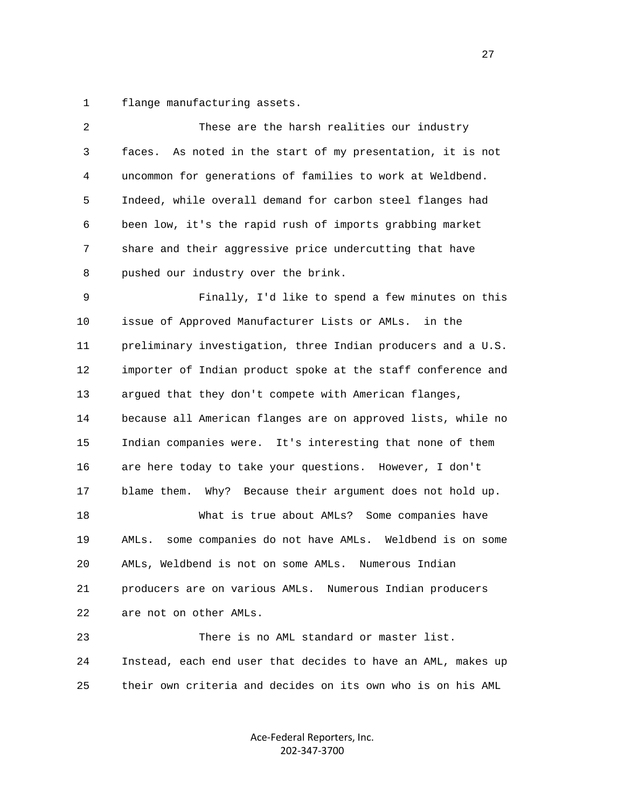1 flange manufacturing assets.

| 2  | These are the harsh realities our industry                    |
|----|---------------------------------------------------------------|
| 3  | faces. As noted in the start of my presentation, it is not    |
| 4  | uncommon for generations of families to work at Weldbend.     |
| 5  | Indeed, while overall demand for carbon steel flanges had     |
| 6  | been low, it's the rapid rush of imports grabbing market      |
| 7  | share and their aggressive price undercutting that have       |
| 8  | pushed our industry over the brink.                           |
| 9  | Finally, I'd like to spend a few minutes on this              |
| 10 | issue of Approved Manufacturer Lists or AMLs. in the          |
| 11 | preliminary investigation, three Indian producers and a U.S.  |
| 12 | importer of Indian product spoke at the staff conference and  |
| 13 | argued that they don't compete with American flanges,         |
| 14 | because all American flanges are on approved lists, while no  |
| 15 | Indian companies were. It's interesting that none of them     |
| 16 | are here today to take your questions. However, I don't       |
| 17 | blame them. Why? Because their argument does not hold up.     |
| 18 | What is true about AMLs? Some companies have                  |
| 19 | some companies do not have AMLs. Weldbend is on some<br>AMLs. |
| 20 | AMLs, Weldbend is not on some AMLs. Numerous Indian           |
| 21 | producers are on various AMLs. Numerous Indian producers      |
| 22 | are not on other AMLs.                                        |
| 23 | There is no AML standard or master list.                      |
| 24 | Instead, each end user that decides to have an AML, makes up  |
| 25 | their own criteria and decides on its own who is on his AML   |
|    |                                                               |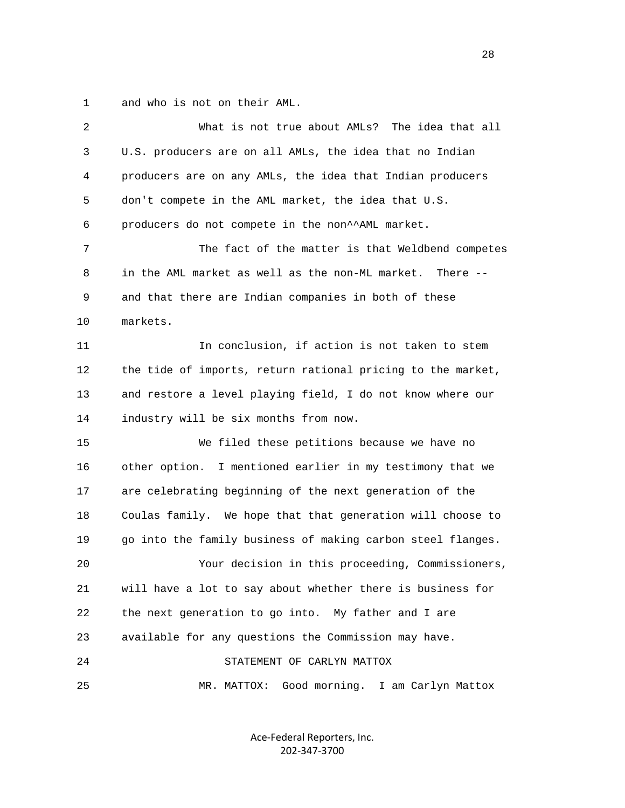1 and who is not on their AML.

| $\overline{2}$ | What is not true about AMLs? The idea that all               |
|----------------|--------------------------------------------------------------|
| 3              | U.S. producers are on all AMLs, the idea that no Indian      |
| 4              | producers are on any AMLs, the idea that Indian producers    |
| 5              | don't compete in the AML market, the idea that U.S.          |
| 6              | producers do not compete in the non^^AML market.             |
| 7              | The fact of the matter is that Weldbend competes             |
| 8              | in the AML market as well as the non-ML market.<br>There $-$ |
| 9              | and that there are Indian companies in both of these         |
| 10             | markets.                                                     |
| 11             | In conclusion, if action is not taken to stem                |
| 12             | the tide of imports, return rational pricing to the market,  |
| 13             | and restore a level playing field, I do not know where our   |
| 14             | industry will be six months from now.                        |
| 15             | We filed these petitions because we have no                  |
| 16             | other option. I mentioned earlier in my testimony that we    |
| 17             | are celebrating beginning of the next generation of the      |
| 18             | Coulas family. We hope that that generation will choose to   |
| 19             | go into the family business of making carbon steel flanges.  |
| 20             | Your decision in this proceeding, Commissioners,             |
| 21             | will have a lot to say about whether there is business for   |
| 22             | the next generation to go into. My father and I are          |
| 23             | available for any questions the Commission may have.         |
| 24             | STATEMENT OF CARLYN MATTOX                                   |
| 25             | Good morning. I am Carlyn Mattox<br>MR. MATTOX:              |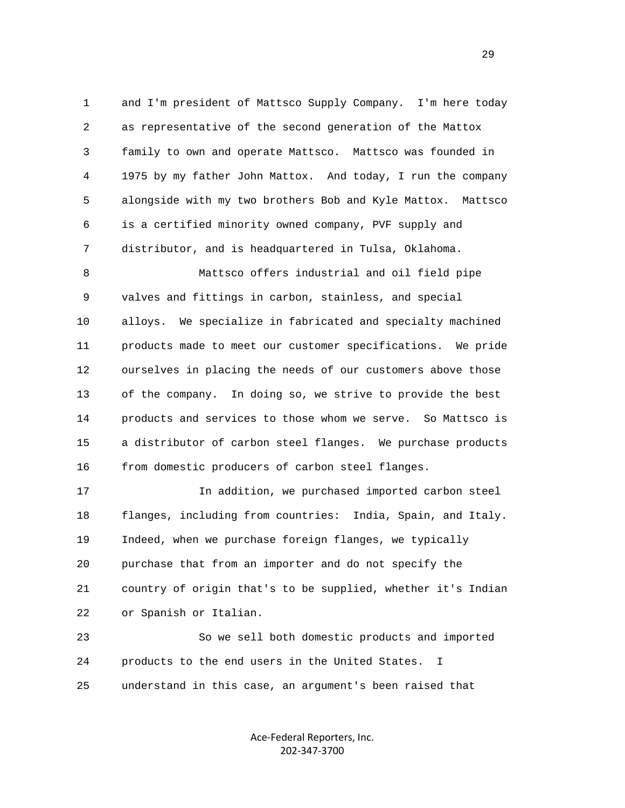1 and I'm president of Mattsco Supply Company. I'm here today 2 as representative of the second generation of the Mattox 3 family to own and operate Mattsco. Mattsco was founded in 4 1975 by my father John Mattox. And today, I run the company 5 alongside with my two brothers Bob and Kyle Mattox. Mattsco 6 is a certified minority owned company, PVF supply and 7 distributor, and is headquartered in Tulsa, Oklahoma.

 8 Mattsco offers industrial and oil field pipe 9 valves and fittings in carbon, stainless, and special 10 alloys. We specialize in fabricated and specialty machined 11 products made to meet our customer specifications. We pride 12 ourselves in placing the needs of our customers above those 13 of the company. In doing so, we strive to provide the best 14 products and services to those whom we serve. So Mattsco is 15 a distributor of carbon steel flanges. We purchase products 16 from domestic producers of carbon steel flanges.

 17 In addition, we purchased imported carbon steel 18 flanges, including from countries: India, Spain, and Italy. 19 Indeed, when we purchase foreign flanges, we typically 20 purchase that from an importer and do not specify the 21 country of origin that's to be supplied, whether it's Indian 22 or Spanish or Italian.

 23 So we sell both domestic products and imported 24 products to the end users in the United States. I 25 understand in this case, an argument's been raised that

> Ace‐Federal Reporters, Inc. 202‐347‐3700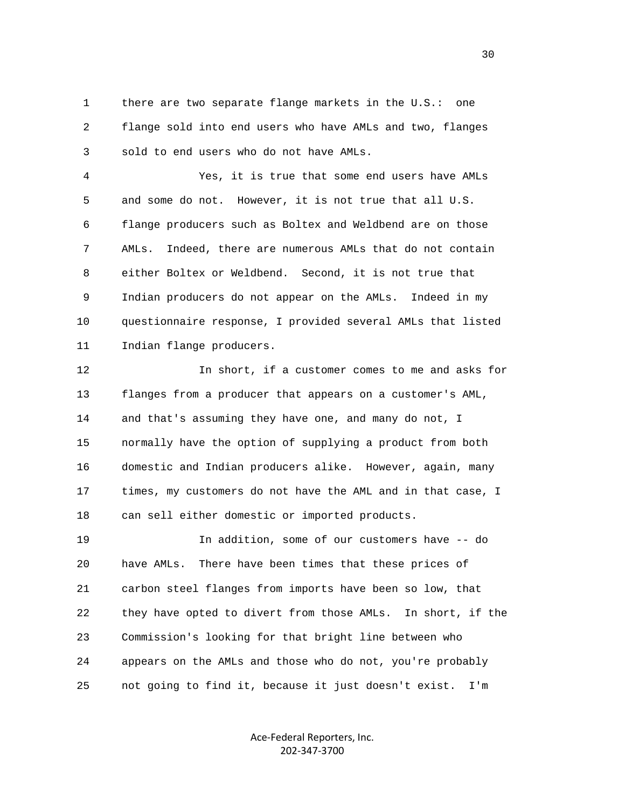1 there are two separate flange markets in the U.S.: one 2 flange sold into end users who have AMLs and two, flanges 3 sold to end users who do not have AMLs.

 4 Yes, it is true that some end users have AMLs 5 and some do not. However, it is not true that all U.S. 6 flange producers such as Boltex and Weldbend are on those 7 AMLs. Indeed, there are numerous AMLs that do not contain 8 either Boltex or Weldbend. Second, it is not true that 9 Indian producers do not appear on the AMLs. Indeed in my 10 questionnaire response, I provided several AMLs that listed 11 Indian flange producers.

 12 In short, if a customer comes to me and asks for 13 flanges from a producer that appears on a customer's AML, 14 and that's assuming they have one, and many do not, I 15 normally have the option of supplying a product from both 16 domestic and Indian producers alike. However, again, many 17 times, my customers do not have the AML and in that case, I 18 can sell either domestic or imported products.

 19 In addition, some of our customers have -- do 20 have AMLs. There have been times that these prices of 21 carbon steel flanges from imports have been so low, that 22 they have opted to divert from those AMLs. In short, if the 23 Commission's looking for that bright line between who 24 appears on the AMLs and those who do not, you're probably 25 not going to find it, because it just doesn't exist. I'm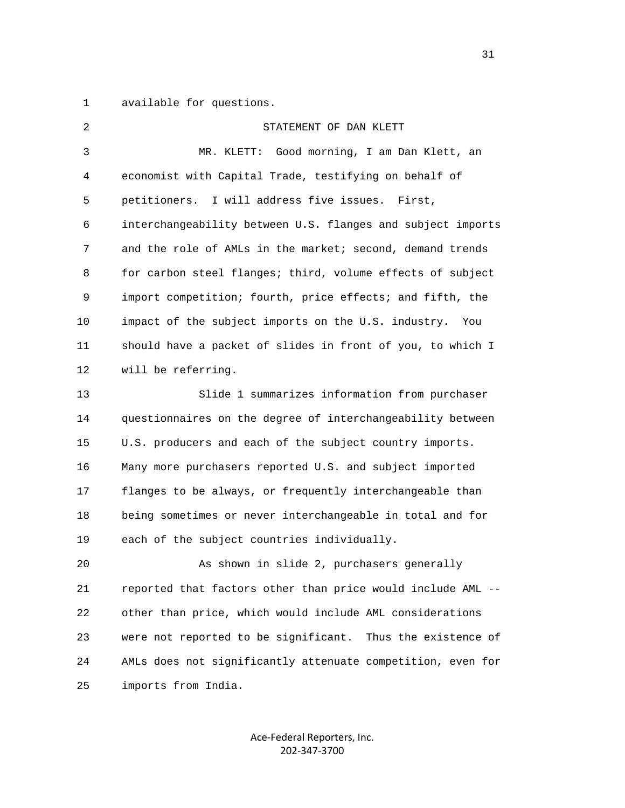1 available for questions.

| $\overline{2}$ | STATEMENT OF DAN KLETT                                        |
|----------------|---------------------------------------------------------------|
| 3              | MR. KLETT:<br>Good morning, I am Dan Klett, an                |
| 4              | economist with Capital Trade, testifying on behalf of         |
| 5              | petitioners.<br>I will address five issues. First,            |
| 6              | interchangeability between U.S. flanges and subject imports   |
| 7              | and the role of AMLs in the market; second, demand trends     |
| 8              | for carbon steel flanges; third, volume effects of subject    |
| 9              | import competition; fourth, price effects; and fifth, the     |
| 10             | impact of the subject imports on the U.S. industry.<br>You    |
| 11             | should have a packet of slides in front of you, to which I    |
| 12             | will be referring.                                            |
| 13             | Slide 1 summarizes information from purchaser                 |
| 14             | questionnaires on the degree of interchangeability between    |
| 15             | U.S. producers and each of the subject country imports.       |
| 16             | Many more purchasers reported U.S. and subject imported       |
| 17             | flanges to be always, or frequently interchangeable than      |
| 18             | being sometimes or never interchangeable in total and for     |
| 19             | each of the subject countries individually.                   |
| 20             | As shown in slide 2, purchasers generally                     |
| 21             | reported that factors other than price would include AML --   |
| 22             | other than price, which would include AML considerations      |
| 23             | were not reported to be significant.<br>Thus the existence of |
| 24             | AMLs does not significantly attenuate competition, even for   |
| 25             | imports from India.                                           |

Ace‐Federal Reporters, Inc. 202‐347‐3700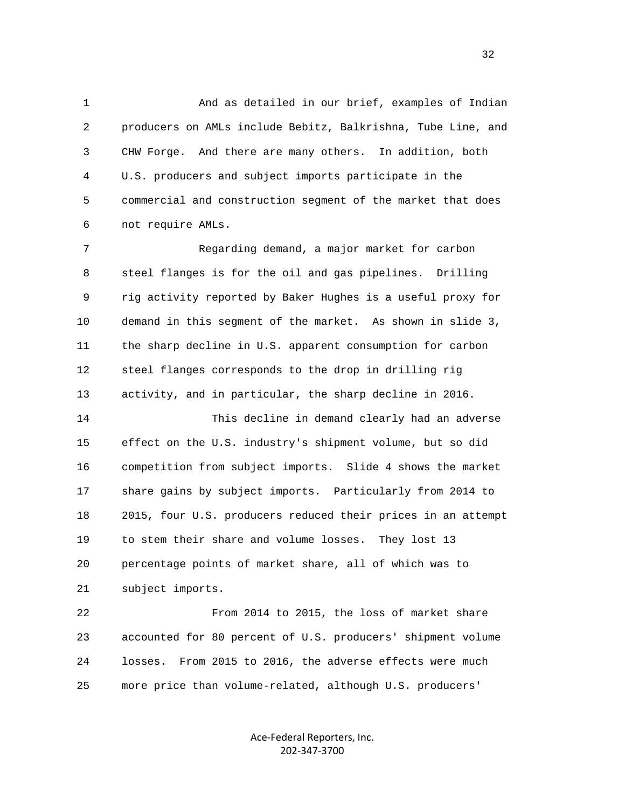1 And as detailed in our brief, examples of Indian 2 producers on AMLs include Bebitz, Balkrishna, Tube Line, and 3 CHW Forge. And there are many others. In addition, both 4 U.S. producers and subject imports participate in the 5 commercial and construction segment of the market that does 6 not require AMLs.

 7 Regarding demand, a major market for carbon 8 steel flanges is for the oil and gas pipelines. Drilling 9 rig activity reported by Baker Hughes is a useful proxy for 10 demand in this segment of the market. As shown in slide 3, 11 the sharp decline in U.S. apparent consumption for carbon 12 steel flanges corresponds to the drop in drilling rig 13 activity, and in particular, the sharp decline in 2016.

 14 This decline in demand clearly had an adverse 15 effect on the U.S. industry's shipment volume, but so did 16 competition from subject imports. Slide 4 shows the market 17 share gains by subject imports. Particularly from 2014 to 18 2015, four U.S. producers reduced their prices in an attempt 19 to stem their share and volume losses. They lost 13 20 percentage points of market share, all of which was to 21 subject imports.

 22 From 2014 to 2015, the loss of market share 23 accounted for 80 percent of U.S. producers' shipment volume 24 losses. From 2015 to 2016, the adverse effects were much 25 more price than volume-related, although U.S. producers'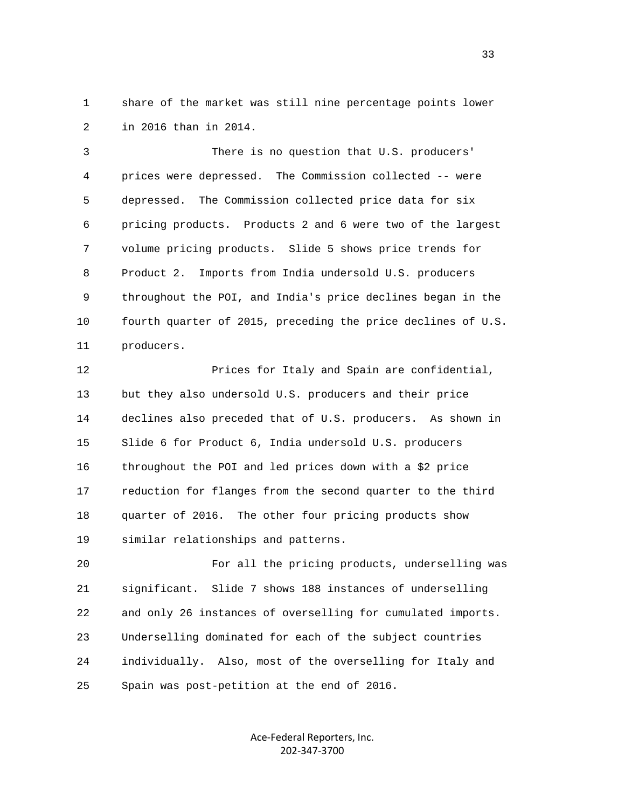1 share of the market was still nine percentage points lower 2 in 2016 than in 2014.

 3 There is no question that U.S. producers' 4 prices were depressed. The Commission collected -- were 5 depressed. The Commission collected price data for six 6 pricing products. Products 2 and 6 were two of the largest 7 volume pricing products. Slide 5 shows price trends for 8 Product 2. Imports from India undersold U.S. producers 9 throughout the POI, and India's price declines began in the 10 fourth quarter of 2015, preceding the price declines of U.S. 11 producers.

 12 Prices for Italy and Spain are confidential, 13 but they also undersold U.S. producers and their price 14 declines also preceded that of U.S. producers. As shown in 15 Slide 6 for Product 6, India undersold U.S. producers 16 throughout the POI and led prices down with a \$2 price 17 reduction for flanges from the second quarter to the third 18 quarter of 2016. The other four pricing products show 19 similar relationships and patterns.

 20 For all the pricing products, underselling was 21 significant. Slide 7 shows 188 instances of underselling 22 and only 26 instances of overselling for cumulated imports. 23 Underselling dominated for each of the subject countries 24 individually. Also, most of the overselling for Italy and 25 Spain was post-petition at the end of 2016.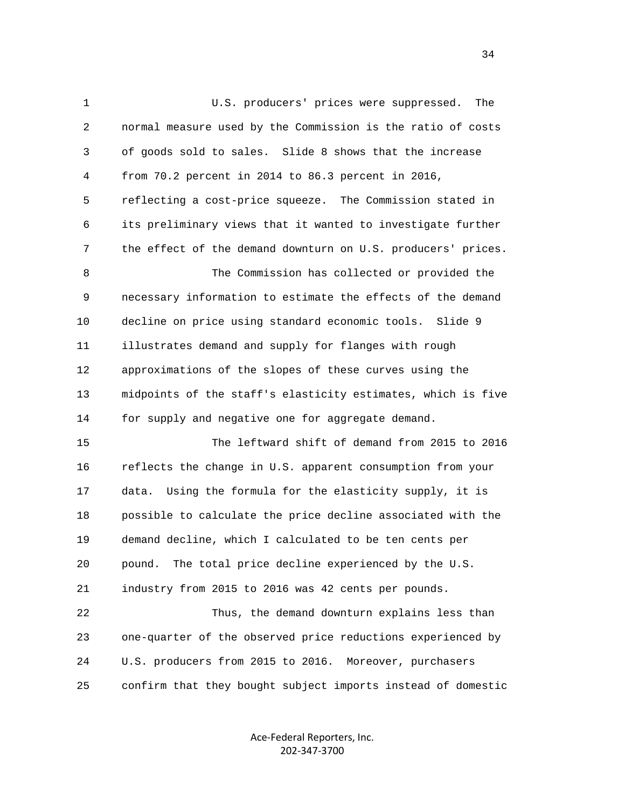1 U.S. producers' prices were suppressed. The 2 normal measure used by the Commission is the ratio of costs 3 of goods sold to sales. Slide 8 shows that the increase 4 from 70.2 percent in 2014 to 86.3 percent in 2016, 5 reflecting a cost-price squeeze. The Commission stated in 6 its preliminary views that it wanted to investigate further 7 the effect of the demand downturn on U.S. producers' prices. 8 The Commission has collected or provided the 9 necessary information to estimate the effects of the demand 10 decline on price using standard economic tools. Slide 9 11 illustrates demand and supply for flanges with rough 12 approximations of the slopes of these curves using the 13 midpoints of the staff's elasticity estimates, which is five 14 for supply and negative one for aggregate demand. 15 The leftward shift of demand from 2015 to 2016 16 reflects the change in U.S. apparent consumption from your 17 data. Using the formula for the elasticity supply, it is 18 possible to calculate the price decline associated with the 19 demand decline, which I calculated to be ten cents per 20 pound. The total price decline experienced by the U.S. 21 industry from 2015 to 2016 was 42 cents per pounds. 22 Thus, the demand downturn explains less than 23 one-quarter of the observed price reductions experienced by 24 U.S. producers from 2015 to 2016. Moreover, purchasers 25 confirm that they bought subject imports instead of domestic

> Ace‐Federal Reporters, Inc. 202‐347‐3700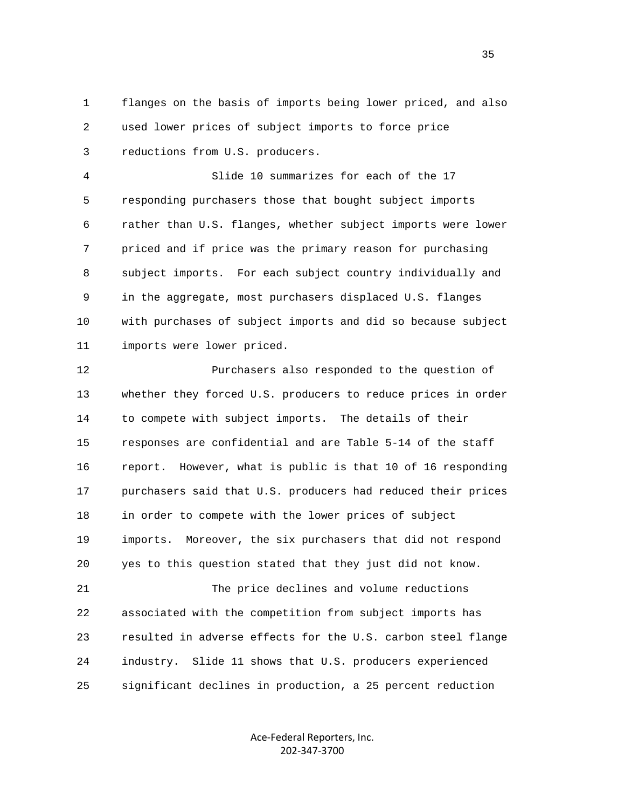1 flanges on the basis of imports being lower priced, and also 2 used lower prices of subject imports to force price 3 reductions from U.S. producers.

 4 Slide 10 summarizes for each of the 17 5 responding purchasers those that bought subject imports 6 rather than U.S. flanges, whether subject imports were lower 7 priced and if price was the primary reason for purchasing 8 subject imports. For each subject country individually and 9 in the aggregate, most purchasers displaced U.S. flanges 10 with purchases of subject imports and did so because subject 11 imports were lower priced.

 12 Purchasers also responded to the question of 13 whether they forced U.S. producers to reduce prices in order 14 to compete with subject imports. The details of their 15 responses are confidential and are Table 5-14 of the staff 16 report. However, what is public is that 10 of 16 responding 17 purchasers said that U.S. producers had reduced their prices 18 in order to compete with the lower prices of subject 19 imports. Moreover, the six purchasers that did not respond 20 yes to this question stated that they just did not know.

 21 The price declines and volume reductions 22 associated with the competition from subject imports has 23 resulted in adverse effects for the U.S. carbon steel flange 24 industry. Slide 11 shows that U.S. producers experienced 25 significant declines in production, a 25 percent reduction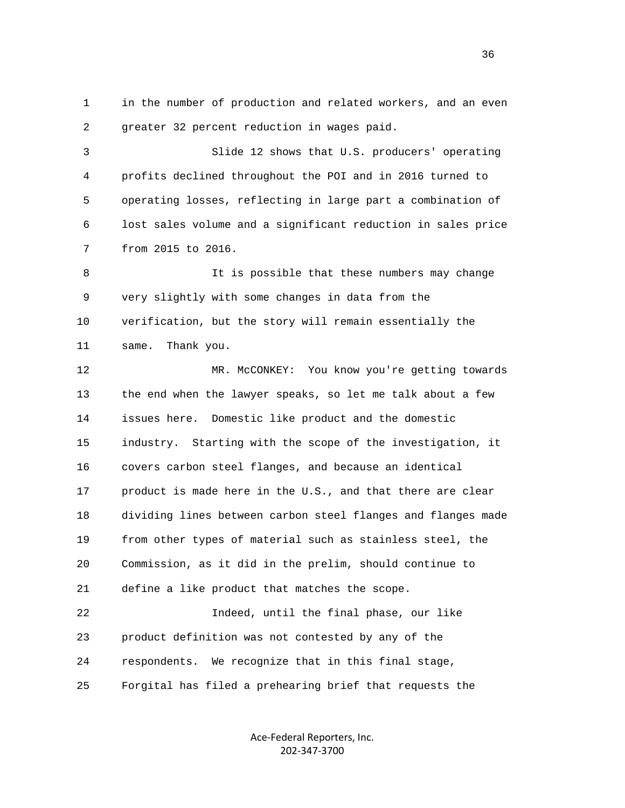1 in the number of production and related workers, and an even 2 greater 32 percent reduction in wages paid.

 3 Slide 12 shows that U.S. producers' operating 4 profits declined throughout the POI and in 2016 turned to 5 operating losses, reflecting in large part a combination of 6 lost sales volume and a significant reduction in sales price 7 from 2015 to 2016.

 8 It is possible that these numbers may change 9 very slightly with some changes in data from the 10 verification, but the story will remain essentially the 11 same. Thank you.

 12 MR. McCONKEY: You know you're getting towards 13 the end when the lawyer speaks, so let me talk about a few 14 issues here. Domestic like product and the domestic 15 industry. Starting with the scope of the investigation, it 16 covers carbon steel flanges, and because an identical 17 product is made here in the U.S., and that there are clear 18 dividing lines between carbon steel flanges and flanges made 19 from other types of material such as stainless steel, the 20 Commission, as it did in the prelim, should continue to 21 define a like product that matches the scope.

 22 Indeed, until the final phase, our like 23 product definition was not contested by any of the 24 respondents. We recognize that in this final stage, 25 Forgital has filed a prehearing brief that requests the

> Ace‐Federal Reporters, Inc. 202‐347‐3700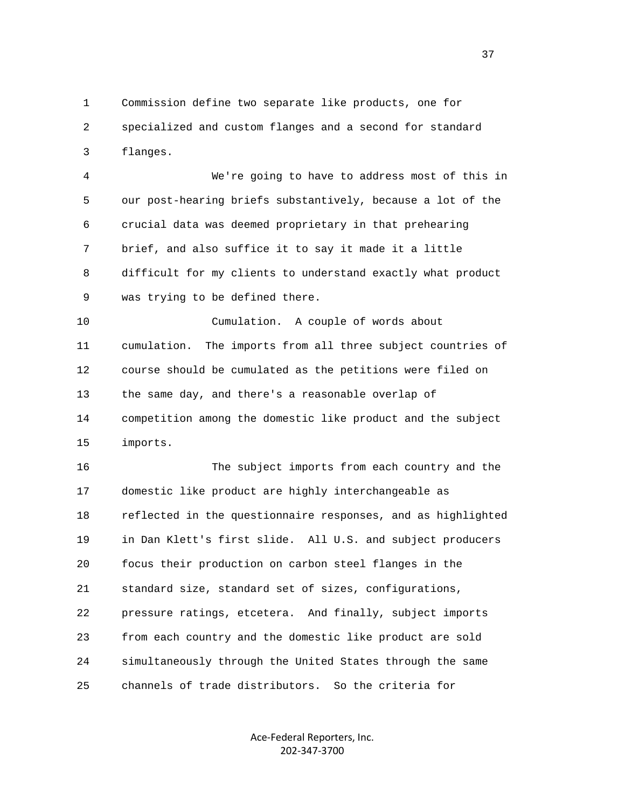1 Commission define two separate like products, one for 2 specialized and custom flanges and a second for standard 3 flanges.

 4 We're going to have to address most of this in 5 our post-hearing briefs substantively, because a lot of the 6 crucial data was deemed proprietary in that prehearing 7 brief, and also suffice it to say it made it a little 8 difficult for my clients to understand exactly what product 9 was trying to be defined there.

 10 Cumulation. A couple of words about 11 cumulation. The imports from all three subject countries of 12 course should be cumulated as the petitions were filed on 13 the same day, and there's a reasonable overlap of 14 competition among the domestic like product and the subject 15 imports.

 16 The subject imports from each country and the 17 domestic like product are highly interchangeable as 18 reflected in the questionnaire responses, and as highlighted 19 in Dan Klett's first slide. All U.S. and subject producers 20 focus their production on carbon steel flanges in the 21 standard size, standard set of sizes, configurations, 22 pressure ratings, etcetera. And finally, subject imports 23 from each country and the domestic like product are sold 24 simultaneously through the United States through the same 25 channels of trade distributors. So the criteria for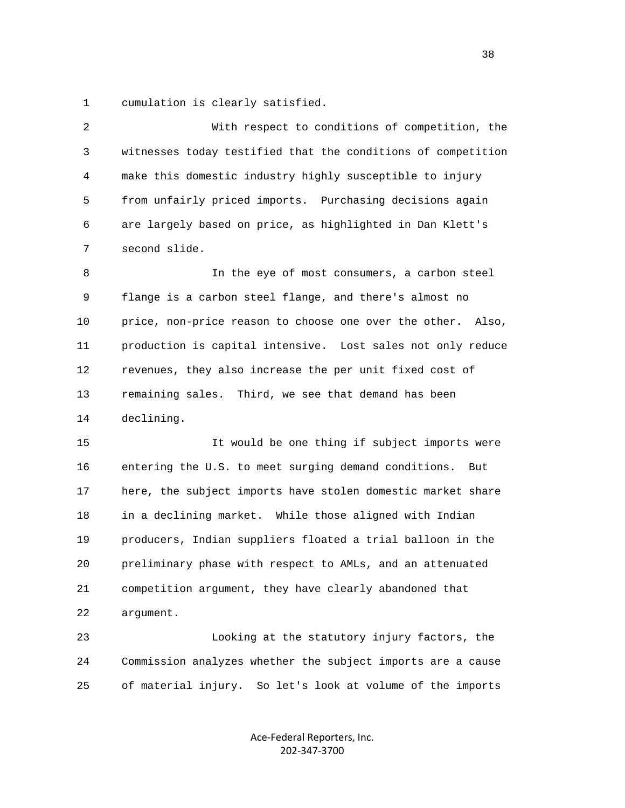1 cumulation is clearly satisfied.

 2 With respect to conditions of competition, the 3 witnesses today testified that the conditions of competition 4 make this domestic industry highly susceptible to injury 5 from unfairly priced imports. Purchasing decisions again 6 are largely based on price, as highlighted in Dan Klett's 7 second slide. 8 In the eye of most consumers, a carbon steel

 9 flange is a carbon steel flange, and there's almost no 10 price, non-price reason to choose one over the other. Also, 11 production is capital intensive. Lost sales not only reduce 12 revenues, they also increase the per unit fixed cost of 13 remaining sales. Third, we see that demand has been 14 declining.

 15 It would be one thing if subject imports were 16 entering the U.S. to meet surging demand conditions. But 17 here, the subject imports have stolen domestic market share 18 in a declining market. While those aligned with Indian 19 producers, Indian suppliers floated a trial balloon in the 20 preliminary phase with respect to AMLs, and an attenuated 21 competition argument, they have clearly abandoned that 22 argument.

 23 Looking at the statutory injury factors, the 24 Commission analyzes whether the subject imports are a cause 25 of material injury. So let's look at volume of the imports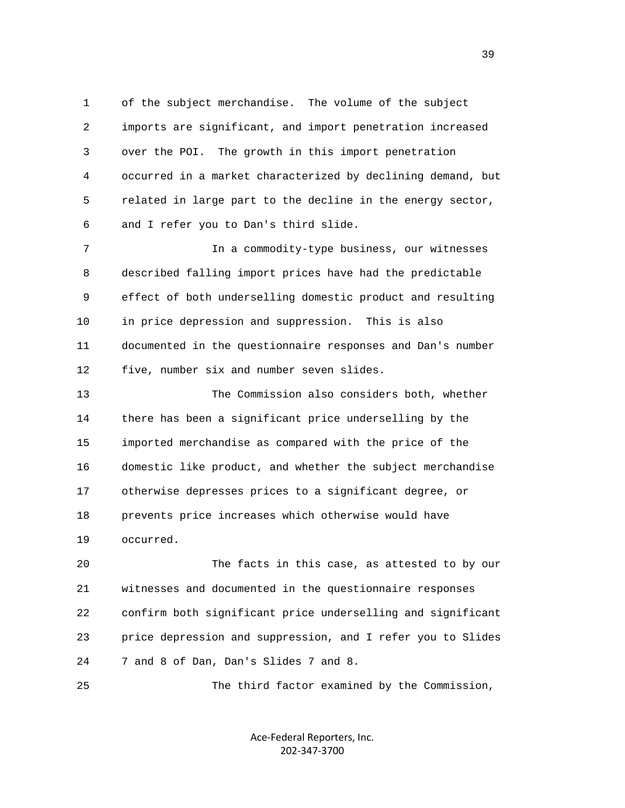1 of the subject merchandise. The volume of the subject 2 imports are significant, and import penetration increased 3 over the POI. The growth in this import penetration 4 occurred in a market characterized by declining demand, but 5 related in large part to the decline in the energy sector, 6 and I refer you to Dan's third slide.

 7 In a commodity-type business, our witnesses 8 described falling import prices have had the predictable 9 effect of both underselling domestic product and resulting 10 in price depression and suppression. This is also 11 documented in the questionnaire responses and Dan's number 12 five, number six and number seven slides.

 13 The Commission also considers both, whether 14 there has been a significant price underselling by the 15 imported merchandise as compared with the price of the 16 domestic like product, and whether the subject merchandise 17 otherwise depresses prices to a significant degree, or 18 prevents price increases which otherwise would have 19 occurred.

 20 The facts in this case, as attested to by our 21 witnesses and documented in the questionnaire responses 22 confirm both significant price underselling and significant 23 price depression and suppression, and I refer you to Slides 24 7 and 8 of Dan, Dan's Slides 7 and 8.

25 The third factor examined by the Commission,

Ace‐Federal Reporters, Inc. 202‐347‐3700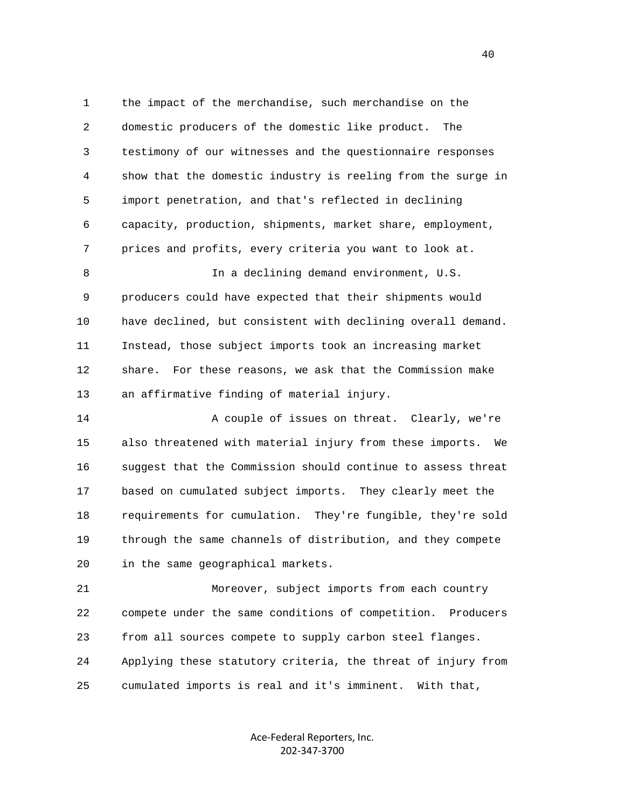1 the impact of the merchandise, such merchandise on the 2 domestic producers of the domestic like product. The 3 testimony of our witnesses and the questionnaire responses 4 show that the domestic industry is reeling from the surge in 5 import penetration, and that's reflected in declining 6 capacity, production, shipments, market share, employment, 7 prices and profits, every criteria you want to look at. 8 In a declining demand environment, U.S. 9 producers could have expected that their shipments would 10 have declined, but consistent with declining overall demand. 11 Instead, those subject imports took an increasing market 12 share. For these reasons, we ask that the Commission make 13 an affirmative finding of material injury. 14 A couple of issues on threat. Clearly, we're 15 also threatened with material injury from these imports. We 16 suggest that the Commission should continue to assess threat 17 based on cumulated subject imports. They clearly meet the 18 requirements for cumulation. They're fungible, they're sold 19 through the same channels of distribution, and they compete 20 in the same geographical markets.

 21 Moreover, subject imports from each country 22 compete under the same conditions of competition. Producers 23 from all sources compete to supply carbon steel flanges. 24 Applying these statutory criteria, the threat of injury from 25 cumulated imports is real and it's imminent. With that,

> Ace‐Federal Reporters, Inc. 202‐347‐3700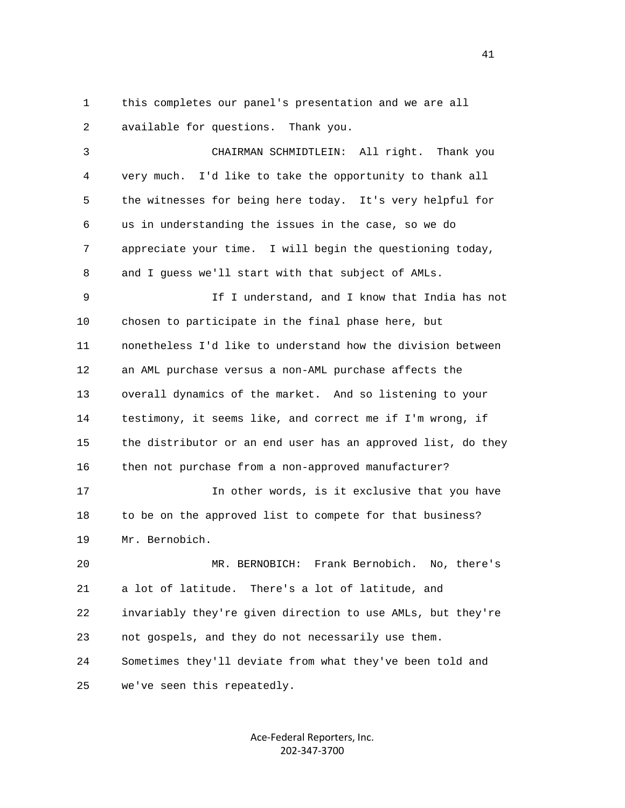1 this completes our panel's presentation and we are all 2 available for questions. Thank you.

 3 CHAIRMAN SCHMIDTLEIN: All right. Thank you 4 very much. I'd like to take the opportunity to thank all 5 the witnesses for being here today. It's very helpful for 6 us in understanding the issues in the case, so we do 7 appreciate your time. I will begin the questioning today, 8 and I guess we'll start with that subject of AMLs.

 9 If I understand, and I know that India has not 10 chosen to participate in the final phase here, but 11 nonetheless I'd like to understand how the division between 12 an AML purchase versus a non-AML purchase affects the 13 overall dynamics of the market. And so listening to your 14 testimony, it seems like, and correct me if I'm wrong, if 15 the distributor or an end user has an approved list, do they 16 then not purchase from a non-approved manufacturer?

17 17 In other words, is it exclusive that you have 18 to be on the approved list to compete for that business? 19 Mr. Bernobich.

 20 MR. BERNOBICH: Frank Bernobich. No, there's 21 a lot of latitude. There's a lot of latitude, and 22 invariably they're given direction to use AMLs, but they're 23 not gospels, and they do not necessarily use them. 24 Sometimes they'll deviate from what they've been told and 25 we've seen this repeatedly.

> Ace‐Federal Reporters, Inc. 202‐347‐3700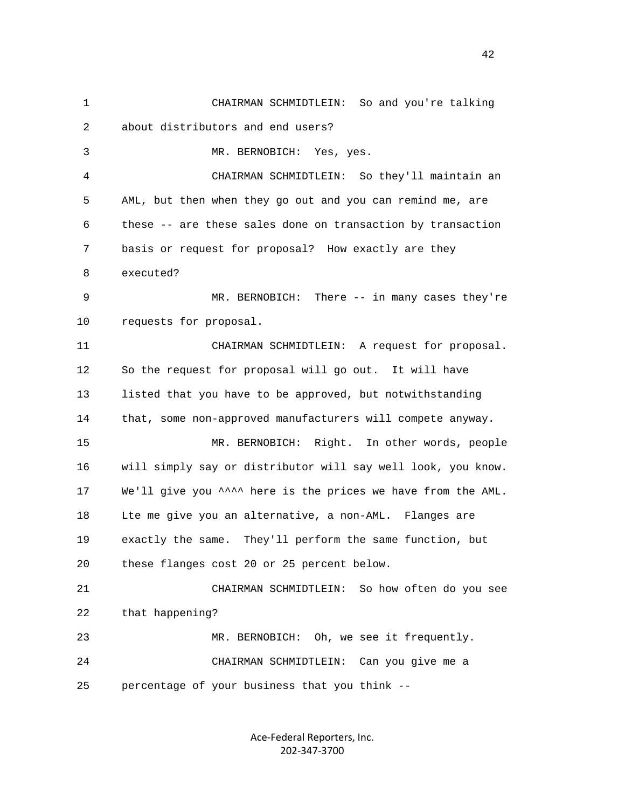1 CHAIRMAN SCHMIDTLEIN: So and you're talking 2 about distributors and end users? 3 MR. BERNOBICH: Yes, yes. 4 CHAIRMAN SCHMIDTLEIN: So they'll maintain an 5 AML, but then when they go out and you can remind me, are 6 these -- are these sales done on transaction by transaction 7 basis or request for proposal? How exactly are they 8 executed? 9 MR. BERNOBICH: There -- in many cases they're 10 requests for proposal. 11 CHAIRMAN SCHMIDTLEIN: A request for proposal. 12 So the request for proposal will go out. It will have 13 listed that you have to be approved, but notwithstanding 14 that, some non-approved manufacturers will compete anyway. 15 MR. BERNOBICH: Right. In other words, people 16 will simply say or distributor will say well look, you know. 17 We'll give you ^^^^ here is the prices we have from the AML. 18 Lte me give you an alternative, a non-AML. Flanges are 19 exactly the same. They'll perform the same function, but 20 these flanges cost 20 or 25 percent below. 21 CHAIRMAN SCHMIDTLEIN: So how often do you see 22 that happening? 23 MR. BERNOBICH: Oh, we see it frequently. 24 CHAIRMAN SCHMIDTLEIN: Can you give me a 25 percentage of your business that you think --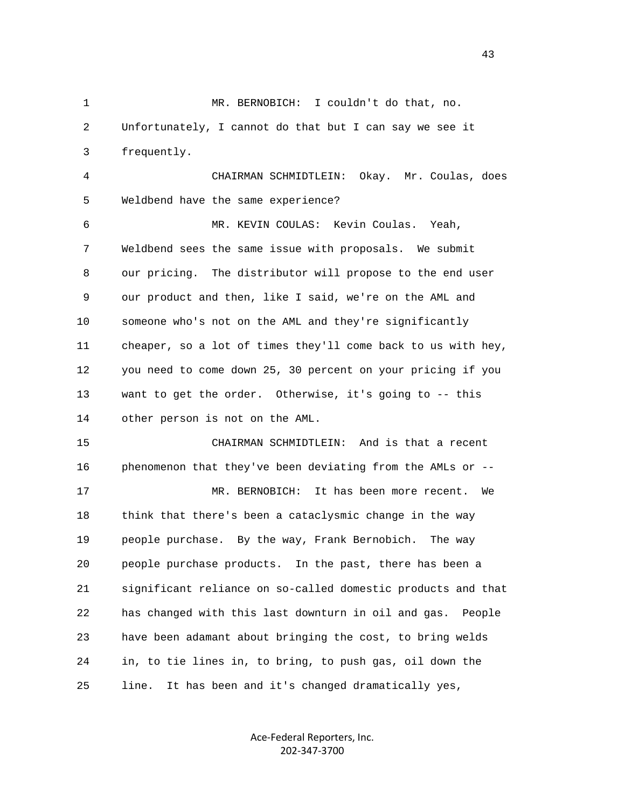1 MR. BERNOBICH: I couldn't do that, no. 2 Unfortunately, I cannot do that but I can say we see it 3 frequently. 4 CHAIRMAN SCHMIDTLEIN: Okay. Mr. Coulas, does 5 Weldbend have the same experience? 6 MR. KEVIN COULAS: Kevin Coulas. Yeah, 7 Weldbend sees the same issue with proposals. We submit 8 our pricing. The distributor will propose to the end user 9 our product and then, like I said, we're on the AML and 10 someone who's not on the AML and they're significantly 11 cheaper, so a lot of times they'll come back to us with hey, 12 you need to come down 25, 30 percent on your pricing if you 13 want to get the order. Otherwise, it's going to -- this 14 other person is not on the AML. 15 CHAIRMAN SCHMIDTLEIN: And is that a recent 16 phenomenon that they've been deviating from the AMLs or -- 17 MR. BERNOBICH: It has been more recent. We 18 think that there's been a cataclysmic change in the way 19 people purchase. By the way, Frank Bernobich. The way 20 people purchase products. In the past, there has been a 21 significant reliance on so-called domestic products and that 22 has changed with this last downturn in oil and gas. People 23 have been adamant about bringing the cost, to bring welds 24 in, to tie lines in, to bring, to push gas, oil down the 25 line. It has been and it's changed dramatically yes,

> Ace‐Federal Reporters, Inc. 202‐347‐3700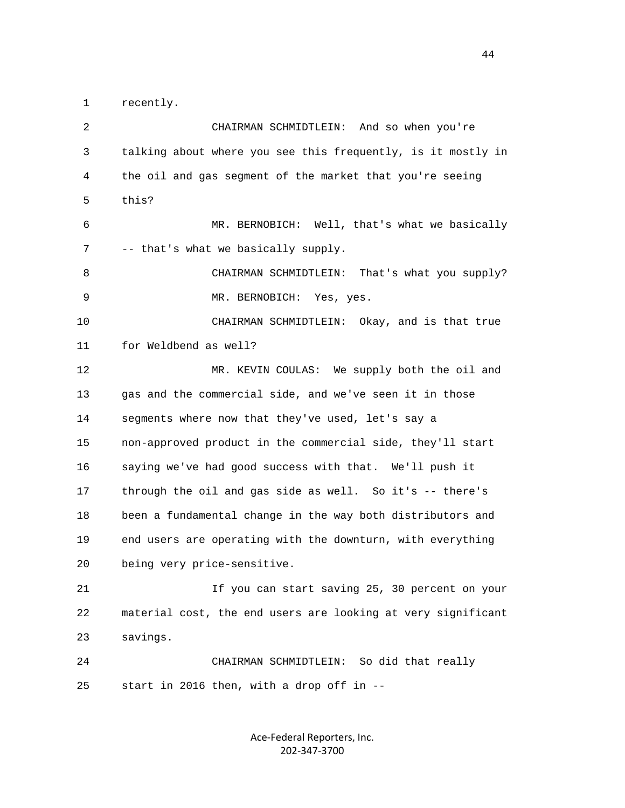1 recently.

 2 CHAIRMAN SCHMIDTLEIN: And so when you're 3 talking about where you see this frequently, is it mostly in 4 the oil and gas segment of the market that you're seeing 5 this? 6 MR. BERNOBICH: Well, that's what we basically 7 -- that's what we basically supply. 8 CHAIRMAN SCHMIDTLEIN: That's what you supply? 9 MR. BERNOBICH: Yes, yes. 10 CHAIRMAN SCHMIDTLEIN: Okay, and is that true 11 for Weldbend as well? 12 MR. KEVIN COULAS: We supply both the oil and 13 gas and the commercial side, and we've seen it in those 14 segments where now that they've used, let's say a 15 non-approved product in the commercial side, they'll start 16 saying we've had good success with that. We'll push it 17 through the oil and gas side as well. So it's -- there's 18 been a fundamental change in the way both distributors and 19 end users are operating with the downturn, with everything 20 being very price-sensitive. 21 If you can start saving 25, 30 percent on your 22 material cost, the end users are looking at very significant 23 savings. 24 CHAIRMAN SCHMIDTLEIN: So did that really 25 start in 2016 then, with a drop off in --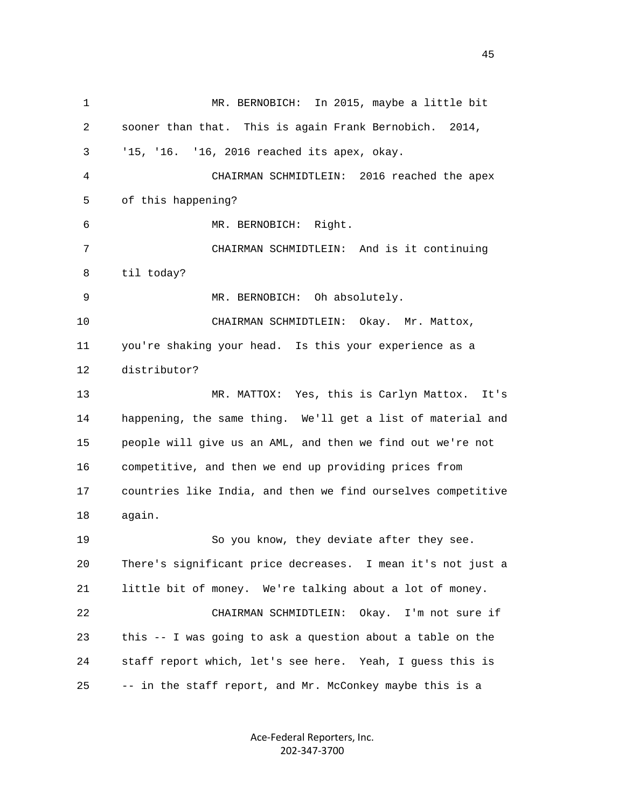1 MR. BERNOBICH: In 2015, maybe a little bit 2 sooner than that. This is again Frank Bernobich. 2014, 3 '15, '16. '16, 2016 reached its apex, okay. 4 CHAIRMAN SCHMIDTLEIN: 2016 reached the apex 5 of this happening? 6 MR. BERNOBICH: Right. 7 CHAIRMAN SCHMIDTLEIN: And is it continuing 8 til today? 9 MR. BERNOBICH: Oh absolutely. 10 CHAIRMAN SCHMIDTLEIN: Okay. Mr. Mattox, 11 you're shaking your head. Is this your experience as a 12 distributor? 13 MR. MATTOX: Yes, this is Carlyn Mattox. It's 14 happening, the same thing. We'll get a list of material and 15 people will give us an AML, and then we find out we're not 16 competitive, and then we end up providing prices from 17 countries like India, and then we find ourselves competitive 18 again. 19 So you know, they deviate after they see. 20 There's significant price decreases. I mean it's not just a 21 little bit of money. We're talking about a lot of money. 22 CHAIRMAN SCHMIDTLEIN: Okay. I'm not sure if 23 this -- I was going to ask a question about a table on the 24 staff report which, let's see here. Yeah, I guess this is 25 -- in the staff report, and Mr. McConkey maybe this is a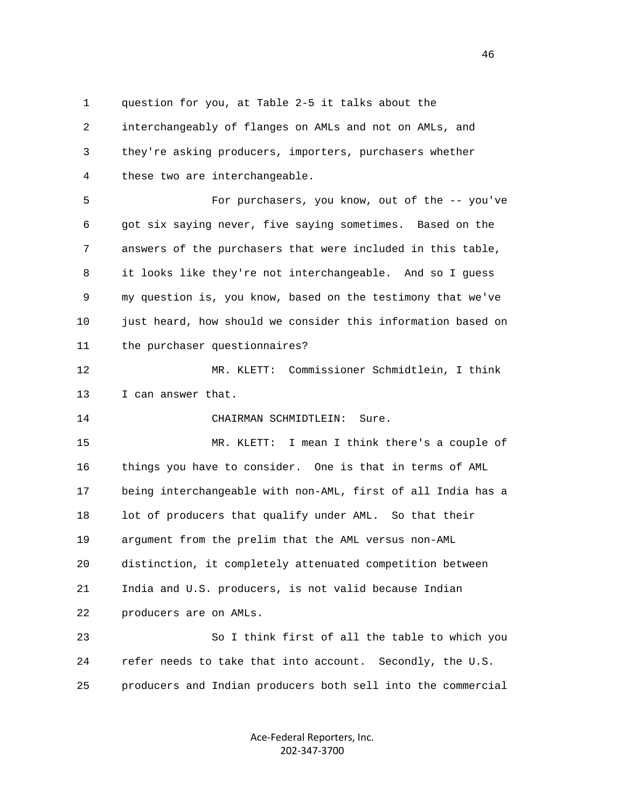1 question for you, at Table 2-5 it talks about the 2 interchangeably of flanges on AMLs and not on AMLs, and 3 they're asking producers, importers, purchasers whether 4 these two are interchangeable.

 5 For purchasers, you know, out of the -- you've 6 got six saying never, five saying sometimes. Based on the 7 answers of the purchasers that were included in this table, 8 it looks like they're not interchangeable. And so I guess 9 my question is, you know, based on the testimony that we've 10 just heard, how should we consider this information based on 11 the purchaser questionnaires?

 12 MR. KLETT: Commissioner Schmidtlein, I think 13 I can answer that.

14 CHAIRMAN SCHMIDTLEIN: Sure.

 15 MR. KLETT: I mean I think there's a couple of 16 things you have to consider. One is that in terms of AML 17 being interchangeable with non-AML, first of all India has a 18 lot of producers that qualify under AML. So that their 19 argument from the prelim that the AML versus non-AML 20 distinction, it completely attenuated competition between 21 India and U.S. producers, is not valid because Indian 22 producers are on AMLs.

 23 So I think first of all the table to which you 24 refer needs to take that into account. Secondly, the U.S. 25 producers and Indian producers both sell into the commercial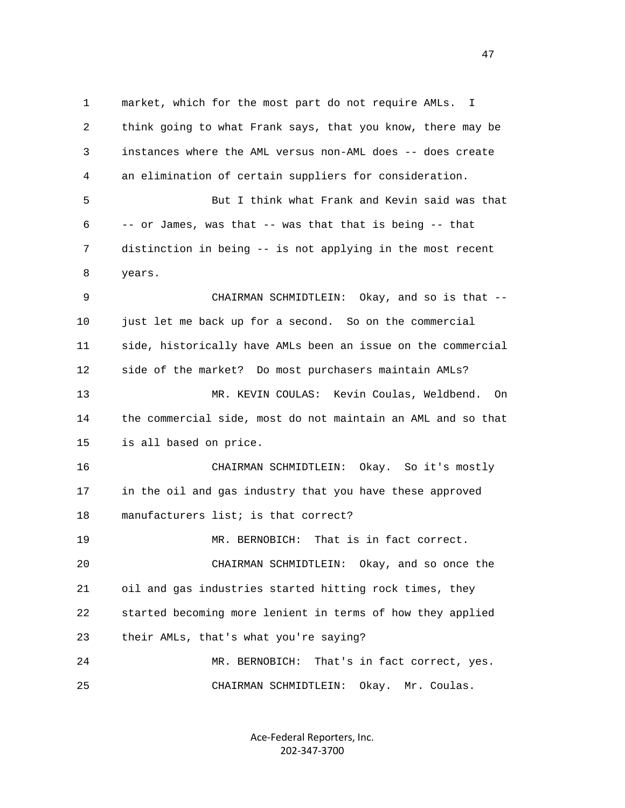1 market, which for the most part do not require AMLs. I 2 think going to what Frank says, that you know, there may be 3 instances where the AML versus non-AML does -- does create 4 an elimination of certain suppliers for consideration. 5 But I think what Frank and Kevin said was that 6 -- or James, was that -- was that that is being -- that 7 distinction in being -- is not applying in the most recent 8 years. 9 CHAIRMAN SCHMIDTLEIN: Okay, and so is that -- 10 just let me back up for a second. So on the commercial 11 side, historically have AMLs been an issue on the commercial 12 side of the market? Do most purchasers maintain AMLs? 13 MR. KEVIN COULAS: Kevin Coulas, Weldbend. On 14 the commercial side, most do not maintain an AML and so that 15 is all based on price. 16 CHAIRMAN SCHMIDTLEIN: Okay. So it's mostly 17 in the oil and gas industry that you have these approved 18 manufacturers list; is that correct? 19 MR. BERNOBICH: That is in fact correct. 20 CHAIRMAN SCHMIDTLEIN: Okay, and so once the 21 oil and gas industries started hitting rock times, they 22 started becoming more lenient in terms of how they applied 23 their AMLs, that's what you're saying? 24 MR. BERNOBICH: That's in fact correct, yes. 25 CHAIRMAN SCHMIDTLEIN: Okay. Mr. Coulas.

> Ace‐Federal Reporters, Inc. 202‐347‐3700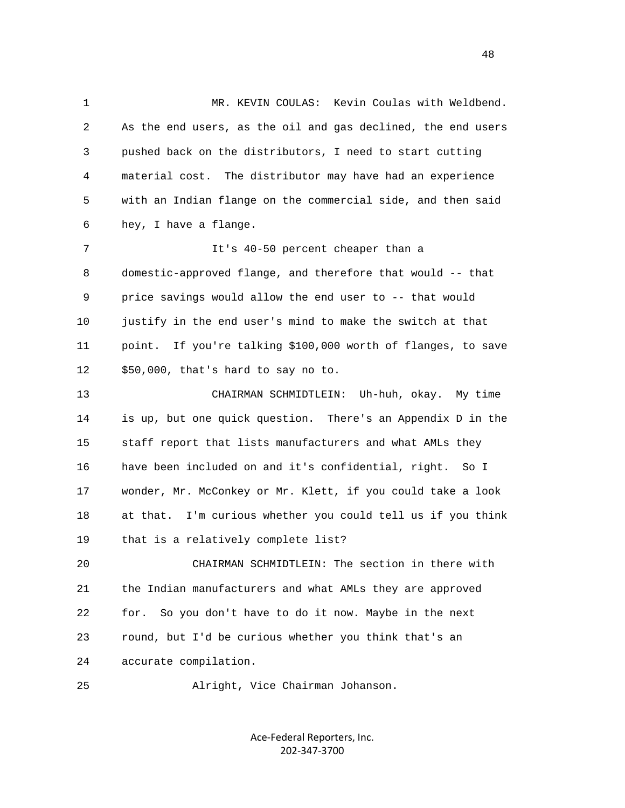1 MR. KEVIN COULAS: Kevin Coulas with Weldbend. 2 As the end users, as the oil and gas declined, the end users 3 pushed back on the distributors, I need to start cutting 4 material cost. The distributor may have had an experience 5 with an Indian flange on the commercial side, and then said 6 hey, I have a flange. 7 It's 40-50 percent cheaper than a 8 domestic-approved flange, and therefore that would -- that 9 price savings would allow the end user to -- that would 10 justify in the end user's mind to make the switch at that 11 point. If you're talking \$100,000 worth of flanges, to save 12 \$50,000, that's hard to say no to. 13 CHAIRMAN SCHMIDTLEIN: Uh-huh, okay. My time 14 is up, but one quick question. There's an Appendix D in the 15 staff report that lists manufacturers and what AMLs they 16 have been included on and it's confidential, right. So I 17 wonder, Mr. McConkey or Mr. Klett, if you could take a look 18 at that. I'm curious whether you could tell us if you think 19 that is a relatively complete list? 20 CHAIRMAN SCHMIDTLEIN: The section in there with 21 the Indian manufacturers and what AMLs they are approved 22 for. So you don't have to do it now. Maybe in the next 23 round, but I'd be curious whether you think that's an 24 accurate compilation. 25 Alright, Vice Chairman Johanson.

> Ace‐Federal Reporters, Inc. 202‐347‐3700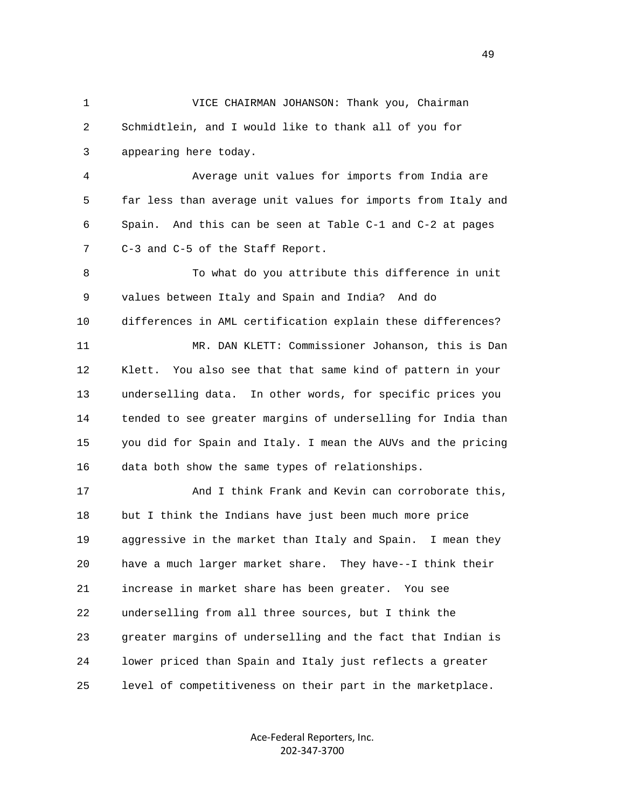1 VICE CHAIRMAN JOHANSON: Thank you, Chairman 2 Schmidtlein, and I would like to thank all of you for 3 appearing here today.

 4 Average unit values for imports from India are 5 far less than average unit values for imports from Italy and 6 Spain. And this can be seen at Table C-1 and C-2 at pages 7 C-3 and C-5 of the Staff Report.

 8 To what do you attribute this difference in unit 9 values between Italy and Spain and India? And do 10 differences in AML certification explain these differences? 11 MR. DAN KLETT: Commissioner Johanson, this is Dan 12 Klett. You also see that that same kind of pattern in your 13 underselling data. In other words, for specific prices you 14 tended to see greater margins of underselling for India than 15 you did for Spain and Italy. I mean the AUVs and the pricing 16 data both show the same types of relationships.

 17 And I think Frank and Kevin can corroborate this, 18 but I think the Indians have just been much more price 19 aggressive in the market than Italy and Spain. I mean they 20 have a much larger market share. They have--I think their 21 increase in market share has been greater. You see 22 underselling from all three sources, but I think the 23 greater margins of underselling and the fact that Indian is 24 lower priced than Spain and Italy just reflects a greater 25 level of competitiveness on their part in the marketplace.

> Ace‐Federal Reporters, Inc. 202‐347‐3700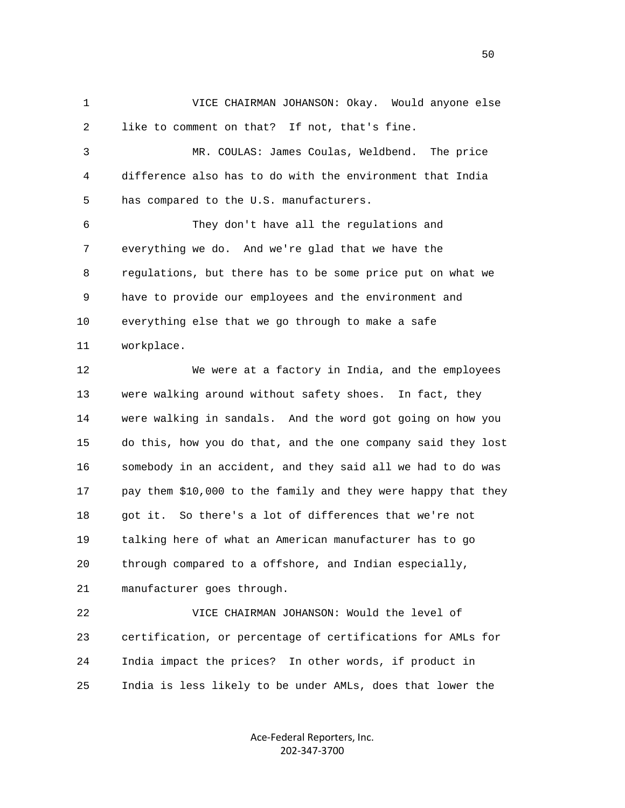1 VICE CHAIRMAN JOHANSON: Okay. Would anyone else 2 like to comment on that? If not, that's fine.

 3 MR. COULAS: James Coulas, Weldbend. The price 4 difference also has to do with the environment that India 5 has compared to the U.S. manufacturers.

 6 They don't have all the regulations and 7 everything we do. And we're glad that we have the 8 regulations, but there has to be some price put on what we 9 have to provide our employees and the environment and 10 everything else that we go through to make a safe 11 workplace.

 12 We were at a factory in India, and the employees 13 were walking around without safety shoes. In fact, they 14 were walking in sandals. And the word got going on how you 15 do this, how you do that, and the one company said they lost 16 somebody in an accident, and they said all we had to do was 17 pay them \$10,000 to the family and they were happy that they 18 got it. So there's a lot of differences that we're not 19 talking here of what an American manufacturer has to go 20 through compared to a offshore, and Indian especially, 21 manufacturer goes through.

 22 VICE CHAIRMAN JOHANSON: Would the level of 23 certification, or percentage of certifications for AMLs for 24 India impact the prices? In other words, if product in 25 India is less likely to be under AMLs, does that lower the

> Ace‐Federal Reporters, Inc. 202‐347‐3700

 $50<sub>50</sub>$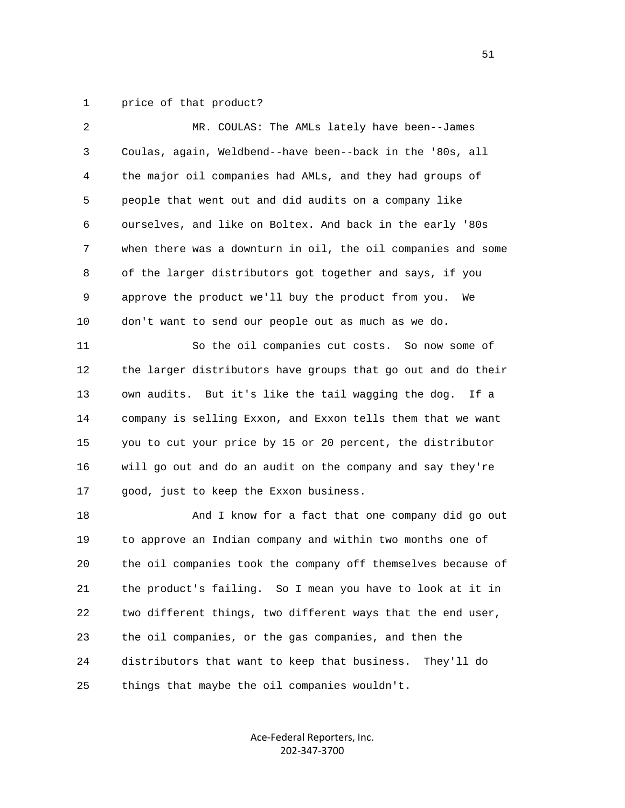1 price of that product?

| 2  | MR. COULAS: The AMLs lately have been--James                 |
|----|--------------------------------------------------------------|
| 3  | Coulas, again, Weldbend--have been--back in the '80s, all    |
| 4  | the major oil companies had AMLs, and they had groups of     |
| 5  | people that went out and did audits on a company like        |
| 6  | ourselves, and like on Boltex. And back in the early '80s    |
| 7  | when there was a downturn in oil, the oil companies and some |
| 8  | of the larger distributors got together and says, if you     |
| 9  | approve the product we'll buy the product from you.<br>We    |
| 10 | don't want to send our people out as much as we do.          |
| 11 | So the oil companies cut costs. So now some of               |
| 12 | the larger distributors have groups that go out and do their |
| 13 | own audits. But it's like the tail wagging the dog. If a     |
| 14 | company is selling Exxon, and Exxon tells them that we want  |
| 15 | you to cut your price by 15 or 20 percent, the distributor   |
| 16 | will go out and do an audit on the company and say they're   |
| 17 | good, just to keep the Exxon business.                       |
| 18 | And I know for a fact that one company did go out            |
| 19 | to approve an Indian company and within two months one of    |
| 20 | the oil companies took the company off themselves because of |
| 21 | the product's failing. So I mean you have to look at it in   |
| 22 | two different things, two different ways that the end user,  |
| 23 | the oil companies, or the gas companies, and then the        |
| 24 | distributors that want to keep that business.<br>They'll do  |
| 25 | things that maybe the oil companies wouldn't.                |
|    |                                                              |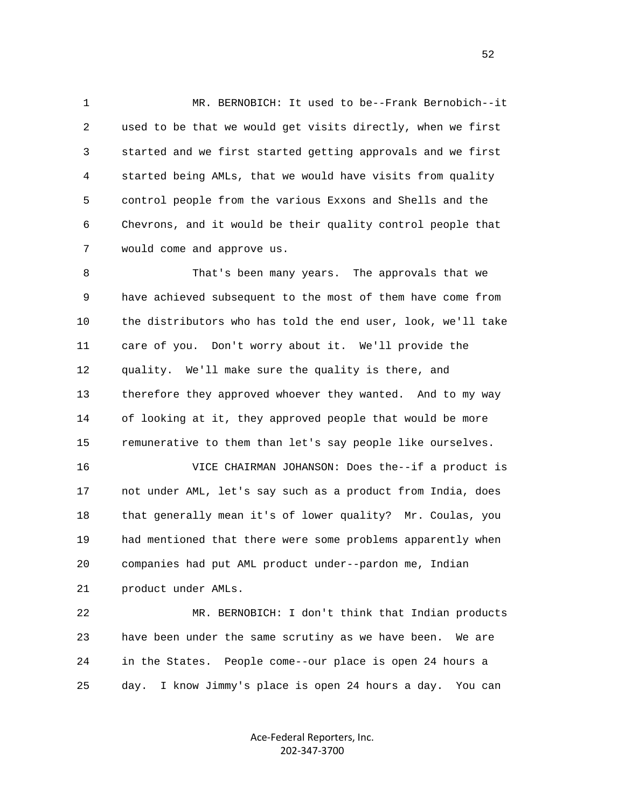1 MR. BERNOBICH: It used to be--Frank Bernobich--it 2 used to be that we would get visits directly, when we first 3 started and we first started getting approvals and we first 4 started being AMLs, that we would have visits from quality 5 control people from the various Exxons and Shells and the 6 Chevrons, and it would be their quality control people that 7 would come and approve us.

 8 That's been many years. The approvals that we 9 have achieved subsequent to the most of them have come from 10 the distributors who has told the end user, look, we'll take 11 care of you. Don't worry about it. We'll provide the 12 quality. We'll make sure the quality is there, and 13 therefore they approved whoever they wanted. And to my way 14 of looking at it, they approved people that would be more 15 remunerative to them than let's say people like ourselves.

 16 VICE CHAIRMAN JOHANSON: Does the--if a product is 17 not under AML, let's say such as a product from India, does 18 that generally mean it's of lower quality? Mr. Coulas, you 19 had mentioned that there were some problems apparently when 20 companies had put AML product under--pardon me, Indian 21 product under AMLs.

 22 MR. BERNOBICH: I don't think that Indian products 23 have been under the same scrutiny as we have been. We are 24 in the States. People come--our place is open 24 hours a 25 day. I know Jimmy's place is open 24 hours a day. You can

> Ace‐Federal Reporters, Inc. 202‐347‐3700

 $\sim$  52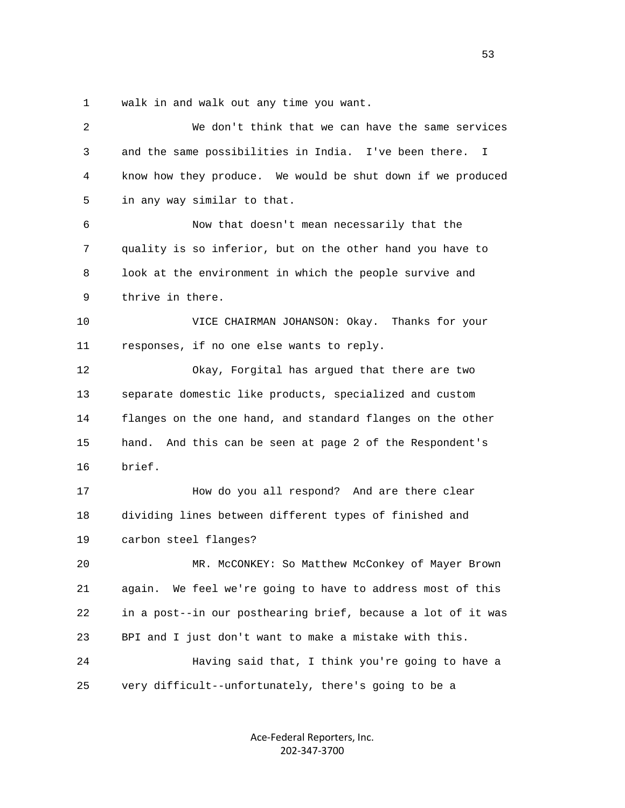1 walk in and walk out any time you want.

| 2  | We don't think that we can have the same services             |
|----|---------------------------------------------------------------|
| 3  | and the same possibilities in India. I've been there.<br>I.   |
| 4  | know how they produce. We would be shut down if we produced   |
| 5  | in any way similar to that.                                   |
| 6  | Now that doesn't mean necessarily that the                    |
| 7  | quality is so inferior, but on the other hand you have to     |
| 8  | look at the environment in which the people survive and       |
| 9  | thrive in there.                                              |
| 10 | VICE CHAIRMAN JOHANSON: Okay. Thanks for your                 |
| 11 | responses, if no one else wants to reply.                     |
| 12 | Okay, Forgital has argued that there are two                  |
| 13 | separate domestic like products, specialized and custom       |
| 14 | flanges on the one hand, and standard flanges on the other    |
| 15 | hand.<br>And this can be seen at page 2 of the Respondent's   |
| 16 | brief.                                                        |
| 17 | How do you all respond? And are there clear                   |
| 18 | dividing lines between different types of finished and        |
| 19 | carbon steel flanges?                                         |
| 20 | MR. McCONKEY: So Matthew McConkey of Mayer Brown              |
| 21 | We feel we're going to have to address most of this<br>aqain. |
| 22 | in a post--in our posthearing brief, because a lot of it was  |
| 23 | BPI and I just don't want to make a mistake with this.        |
| 24 | Having said that, I think you're going to have a              |
| 25 | very difficult--unfortunately, there's going to be a          |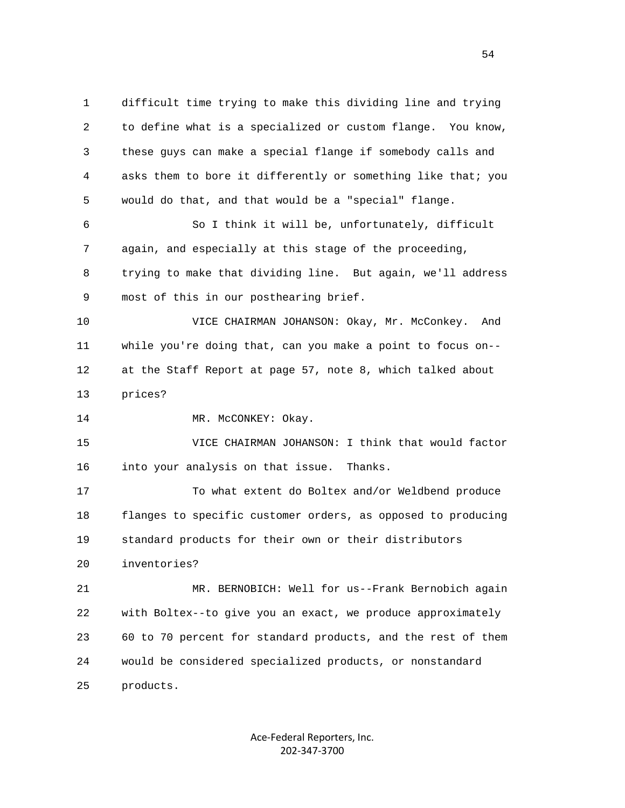1 difficult time trying to make this dividing line and trying 2 to define what is a specialized or custom flange. You know, 3 these guys can make a special flange if somebody calls and 4 asks them to bore it differently or something like that; you 5 would do that, and that would be a "special" flange.

 6 So I think it will be, unfortunately, difficult 7 again, and especially at this stage of the proceeding, 8 trying to make that dividing line. But again, we'll address 9 most of this in our posthearing brief.

 10 VICE CHAIRMAN JOHANSON: Okay, Mr. McConkey. And 11 while you're doing that, can you make a point to focus on-- 12 at the Staff Report at page 57, note 8, which talked about 13 prices?

14 MR. McCONKEY: Okay.

 15 VICE CHAIRMAN JOHANSON: I think that would factor 16 into your analysis on that issue. Thanks.

 17 To what extent do Boltex and/or Weldbend produce 18 flanges to specific customer orders, as opposed to producing 19 standard products for their own or their distributors 20 inventories?

 21 MR. BERNOBICH: Well for us--Frank Bernobich again 22 with Boltex--to give you an exact, we produce approximately 23 60 to 70 percent for standard products, and the rest of them 24 would be considered specialized products, or nonstandard 25 products.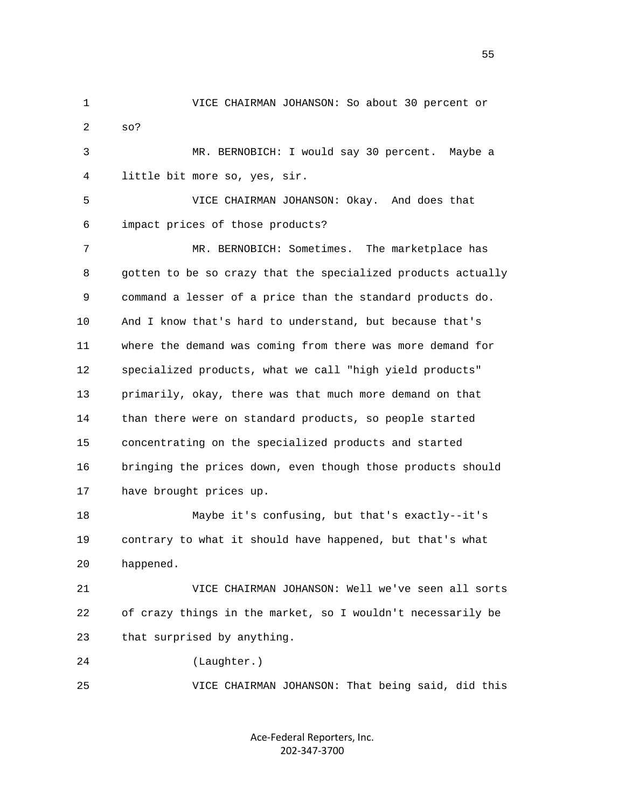1 VICE CHAIRMAN JOHANSON: So about 30 percent or 2 so? 3 MR. BERNOBICH: I would say 30 percent. Maybe a 4 little bit more so, yes, sir. 5 VICE CHAIRMAN JOHANSON: Okay. And does that 6 impact prices of those products? 7 MR. BERNOBICH: Sometimes. The marketplace has 8 gotten to be so crazy that the specialized products actually 9 command a lesser of a price than the standard products do. 10 And I know that's hard to understand, but because that's 11 where the demand was coming from there was more demand for 12 specialized products, what we call "high yield products" 13 primarily, okay, there was that much more demand on that 14 than there were on standard products, so people started 15 concentrating on the specialized products and started 16 bringing the prices down, even though those products should 17 have brought prices up. 18 Maybe it's confusing, but that's exactly--it's 19 contrary to what it should have happened, but that's what 20 happened. 21 VICE CHAIRMAN JOHANSON: Well we've seen all sorts 22 of crazy things in the market, so I wouldn't necessarily be 23 that surprised by anything. 24 (Laughter.) 25 VICE CHAIRMAN JOHANSON: That being said, did this

> Ace‐Federal Reporters, Inc. 202‐347‐3700

 $\sim$  55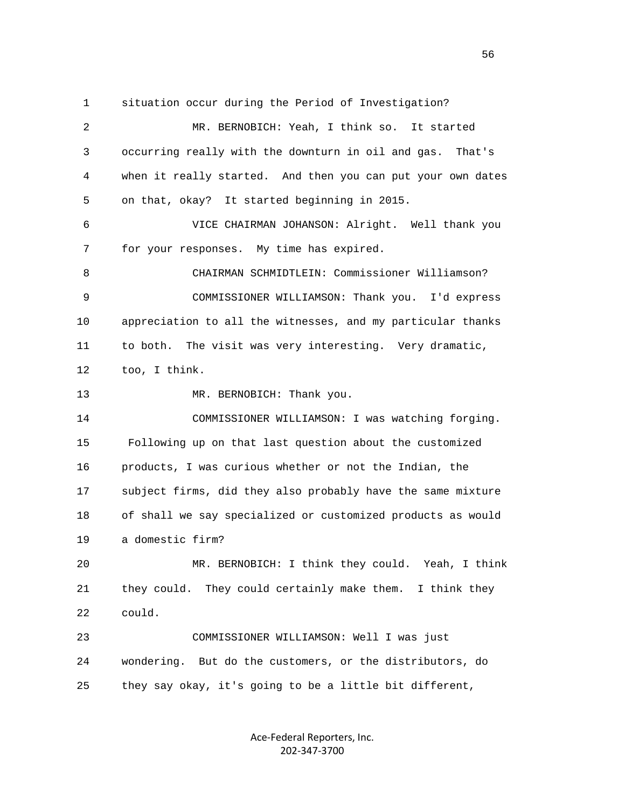1 situation occur during the Period of Investigation? 2 MR. BERNOBICH: Yeah, I think so. It started 3 occurring really with the downturn in oil and gas. That's 4 when it really started. And then you can put your own dates 5 on that, okay? It started beginning in 2015. 6 VICE CHAIRMAN JOHANSON: Alright. Well thank you 7 for your responses. My time has expired. 8 CHAIRMAN SCHMIDTLEIN: Commissioner Williamson? 9 COMMISSIONER WILLIAMSON: Thank you. I'd express 10 appreciation to all the witnesses, and my particular thanks 11 to both. The visit was very interesting. Very dramatic, 12 too, I think. 13 MR. BERNOBICH: Thank you. 14 COMMISSIONER WILLIAMSON: I was watching forging. 15 Following up on that last question about the customized 16 products, I was curious whether or not the Indian, the 17 subject firms, did they also probably have the same mixture 18 of shall we say specialized or customized products as would 19 a domestic firm? 20 MR. BERNOBICH: I think they could. Yeah, I think 21 they could. They could certainly make them. I think they 22 could. 23 COMMISSIONER WILLIAMSON: Well I was just 24 wondering. But do the customers, or the distributors, do 25 they say okay, it's going to be a little bit different,

> Ace‐Federal Reporters, Inc. 202‐347‐3700

 $\sim$  56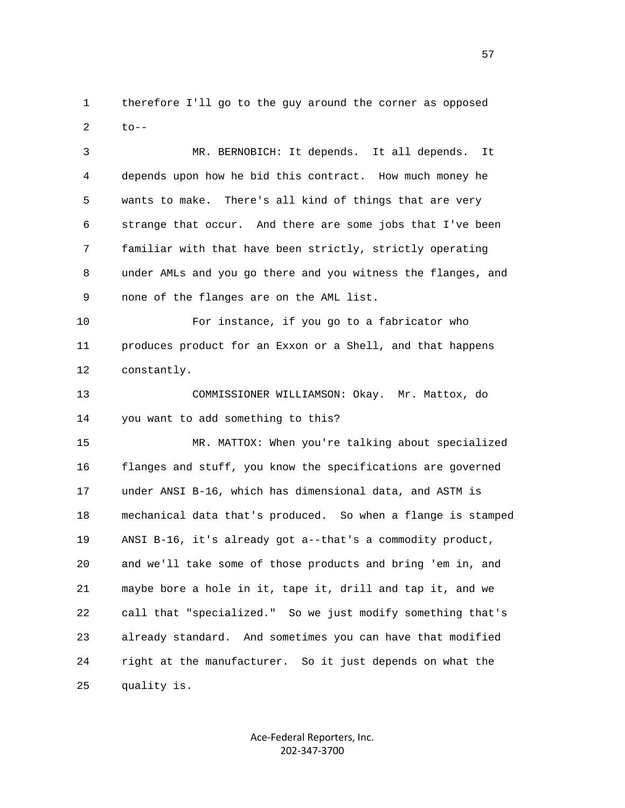1 therefore I'll go to the guy around the corner as opposed  $2$  to--

 3 MR. BERNOBICH: It depends. It all depends. It 4 depends upon how he bid this contract. How much money he 5 wants to make. There's all kind of things that are very 6 strange that occur. And there are some jobs that I've been 7 familiar with that have been strictly, strictly operating 8 under AMLs and you go there and you witness the flanges, and 9 none of the flanges are on the AML list.

 10 For instance, if you go to a fabricator who 11 produces product for an Exxon or a Shell, and that happens 12 constantly.

 13 COMMISSIONER WILLIAMSON: Okay. Mr. Mattox, do 14 you want to add something to this?

 15 MR. MATTOX: When you're talking about specialized 16 flanges and stuff, you know the specifications are governed 17 under ANSI B-16, which has dimensional data, and ASTM is 18 mechanical data that's produced. So when a flange is stamped 19 ANSI B-16, it's already got a--that's a commodity product, 20 and we'll take some of those products and bring 'em in, and 21 maybe bore a hole in it, tape it, drill and tap it, and we 22 call that "specialized." So we just modify something that's 23 already standard. And sometimes you can have that modified 24 right at the manufacturer. So it just depends on what the 25 quality is.

> Ace‐Federal Reporters, Inc. 202‐347‐3700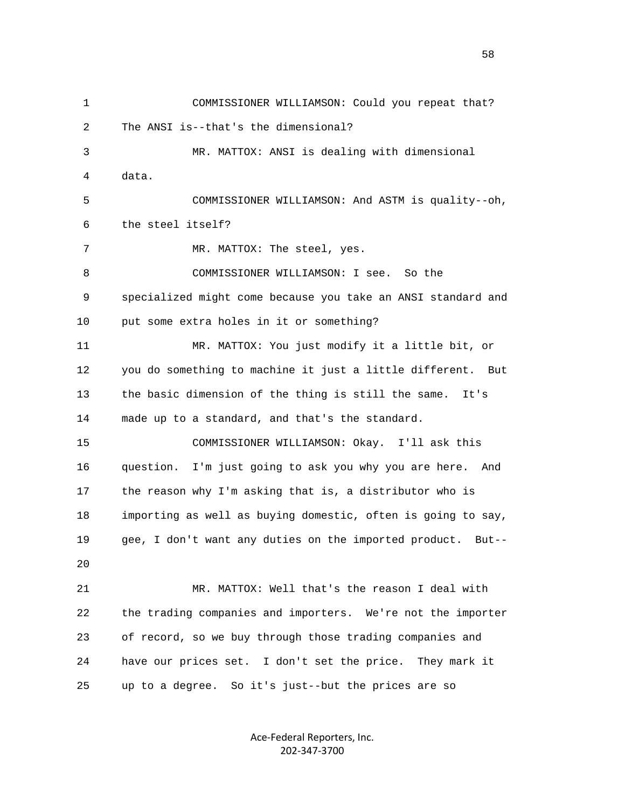1 COMMISSIONER WILLIAMSON: Could you repeat that? 2 The ANSI is--that's the dimensional? 3 MR. MATTOX: ANSI is dealing with dimensional 4 data. 5 COMMISSIONER WILLIAMSON: And ASTM is quality--oh, 6 the steel itself? 7 MR. MATTOX: The steel, yes. 8 COMMISSIONER WILLIAMSON: I see. So the 9 specialized might come because you take an ANSI standard and 10 put some extra holes in it or something? 11 MR. MATTOX: You just modify it a little bit, or 12 you do something to machine it just a little different. But 13 the basic dimension of the thing is still the same. It's 14 made up to a standard, and that's the standard. 15 COMMISSIONER WILLIAMSON: Okay. I'll ask this 16 question. I'm just going to ask you why you are here. And 17 the reason why I'm asking that is, a distributor who is 18 importing as well as buying domestic, often is going to say, 19 gee, I don't want any duties on the imported product. But--  $20^{\circ}$  21 MR. MATTOX: Well that's the reason I deal with 22 the trading companies and importers. We're not the importer 23 of record, so we buy through those trading companies and 24 have our prices set. I don't set the price. They mark it 25 up to a degree. So it's just--but the prices are so

> Ace‐Federal Reporters, Inc. 202‐347‐3700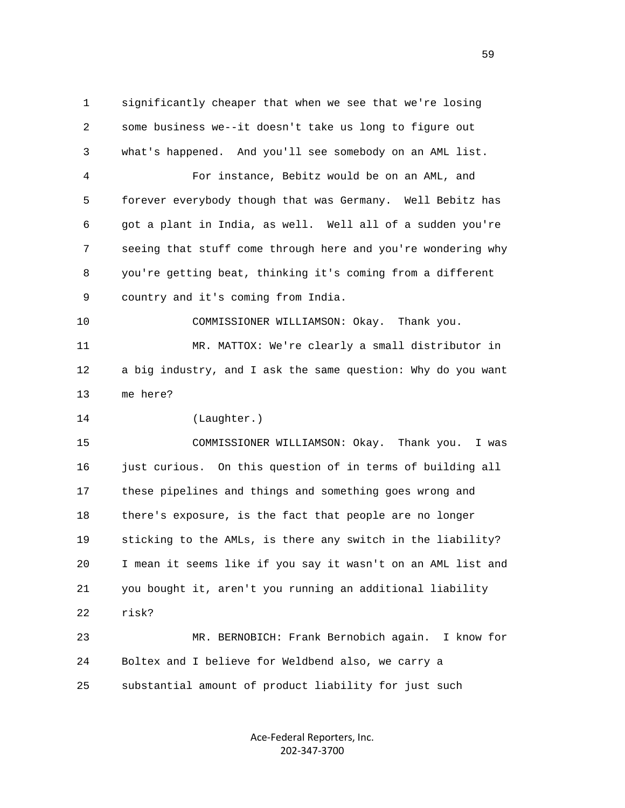1 significantly cheaper that when we see that we're losing 2 some business we--it doesn't take us long to figure out 3 what's happened. And you'll see somebody on an AML list. 4 For instance, Bebitz would be on an AML, and 5 forever everybody though that was Germany. Well Bebitz has 6 got a plant in India, as well. Well all of a sudden you're 7 seeing that stuff come through here and you're wondering why 8 you're getting beat, thinking it's coming from a different 9 country and it's coming from India. 10 COMMISSIONER WILLIAMSON: Okay. Thank you. 11 MR. MATTOX: We're clearly a small distributor in 12 a big industry, and I ask the same question: Why do you want 13 me here? 14 (Laughter.) 15 COMMISSIONER WILLIAMSON: Okay. Thank you. I was 16 just curious. On this question of in terms of building all 17 these pipelines and things and something goes wrong and 18 there's exposure, is the fact that people are no longer 19 sticking to the AMLs, is there any switch in the liability? 20 I mean it seems like if you say it wasn't on an AML list and 21 you bought it, aren't you running an additional liability 22 risk? 23 MR. BERNOBICH: Frank Bernobich again. I know for

 24 Boltex and I believe for Weldbend also, we carry a 25 substantial amount of product liability for just such

> Ace‐Federal Reporters, Inc. 202‐347‐3700

 $\sim$  59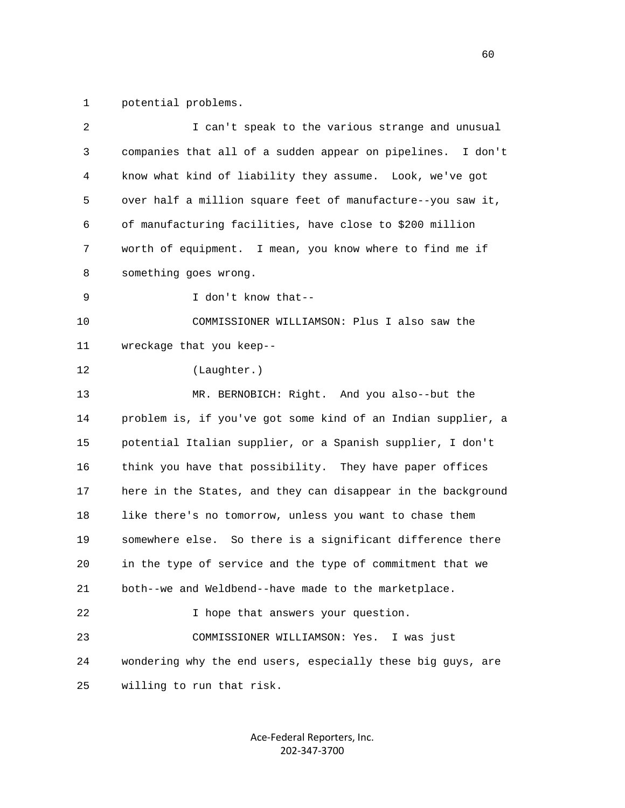1 potential problems.

| 2  | I can't speak to the various strange and unusual             |
|----|--------------------------------------------------------------|
| 3  | companies that all of a sudden appear on pipelines. I don't  |
| 4  | know what kind of liability they assume. Look, we've got     |
| 5  | over half a million square feet of manufacture--you saw it,  |
| 6  | of manufacturing facilities, have close to \$200 million     |
| 7  | worth of equipment. I mean, you know where to find me if     |
| 8  | something goes wrong.                                        |
| 9  | I don't know that--                                          |
| 10 | COMMISSIONER WILLIAMSON: Plus I also saw the                 |
| 11 | wreckage that you keep--                                     |
| 12 | (Laughter.)                                                  |
| 13 | MR. BERNOBICH: Right. And you also--but the                  |
| 14 | problem is, if you've got some kind of an Indian supplier, a |
| 15 | potential Italian supplier, or a Spanish supplier, I don't   |
| 16 | think you have that possibility. They have paper offices     |
| 17 | here in the States, and they can disappear in the background |
| 18 | like there's no tomorrow, unless you want to chase them      |
| 19 | somewhere else. So there is a significant difference there   |
| 20 | in the type of service and the type of commitment that we    |
| 21 | both--we and Weldbend--have made to the marketplace.         |
| 22 | I hope that answers your question.                           |
| 23 | COMMISSIONER WILLIAMSON: Yes.<br>I was just                  |
| 24 | wondering why the end users, especially these big guys, are  |
| 25 | willing to run that risk.                                    |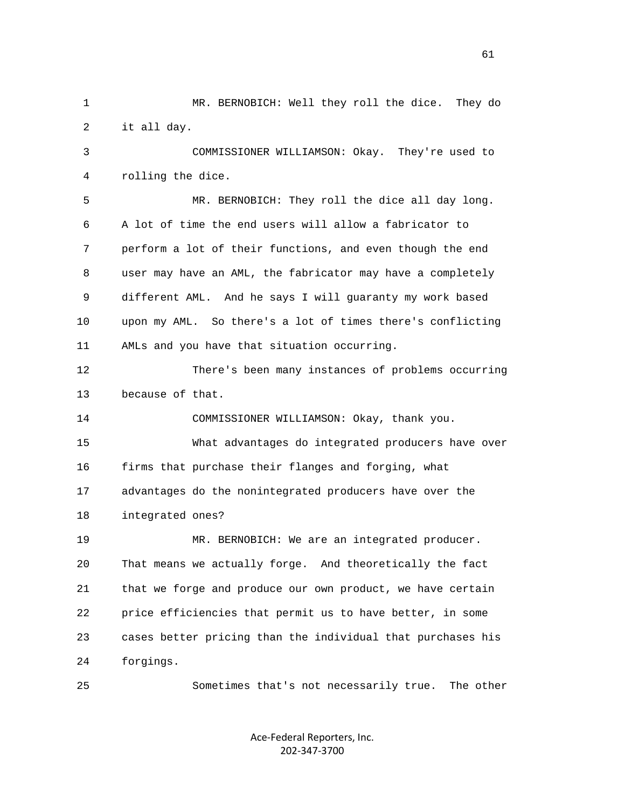2 it all day. 3 COMMISSIONER WILLIAMSON: Okay. They're used to 4 rolling the dice. 5 MR. BERNOBICH: They roll the dice all day long. 6 A lot of time the end users will allow a fabricator to 7 perform a lot of their functions, and even though the end 8 user may have an AML, the fabricator may have a completely 9 different AML. And he says I will guaranty my work based 10 upon my AML. So there's a lot of times there's conflicting 11 AMLs and you have that situation occurring. 12 There's been many instances of problems occurring 13 because of that. 14 COMMISSIONER WILLIAMSON: Okay, thank you. 15 What advantages do integrated producers have over 16 firms that purchase their flanges and forging, what 17 advantages do the nonintegrated producers have over the 18 integrated ones? 19 MR. BERNOBICH: We are an integrated producer. 20 That means we actually forge. And theoretically the fact 21 that we forge and produce our own product, we have certain 22 price efficiencies that permit us to have better, in some 23 cases better pricing than the individual that purchases his

1 MR. BERNOBICH: Well they roll the dice. They do

24 forgings.

25 Sometimes that's not necessarily true. The other

Ace‐Federal Reporters, Inc. 202‐347‐3700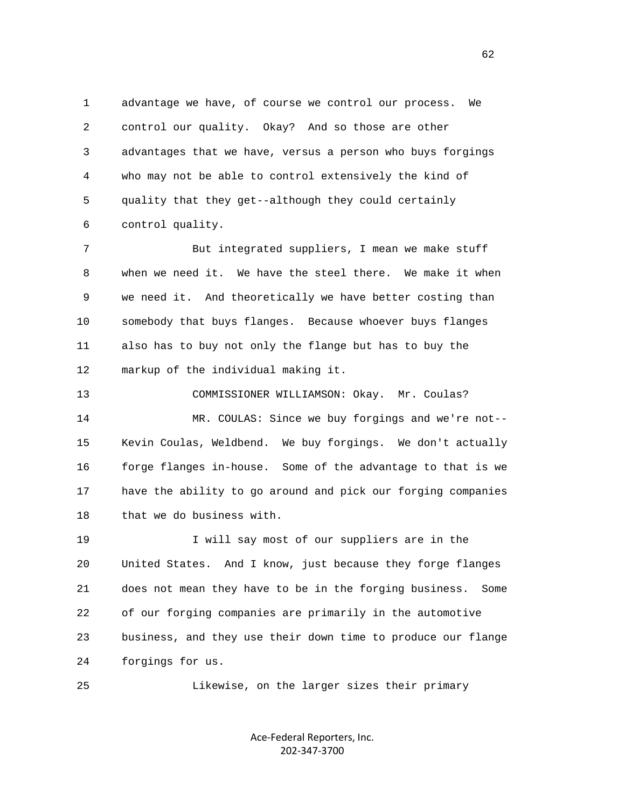1 advantage we have, of course we control our process. We 2 control our quality. Okay? And so those are other 3 advantages that we have, versus a person who buys forgings 4 who may not be able to control extensively the kind of 5 quality that they get--although they could certainly 6 control quality.

 7 But integrated suppliers, I mean we make stuff 8 when we need it. We have the steel there. We make it when 9 we need it. And theoretically we have better costing than 10 somebody that buys flanges. Because whoever buys flanges 11 also has to buy not only the flange but has to buy the 12 markup of the individual making it.

 13 COMMISSIONER WILLIAMSON: Okay. Mr. Coulas? 14 MR. COULAS: Since we buy forgings and we're not-- 15 Kevin Coulas, Weldbend. We buy forgings. We don't actually 16 forge flanges in-house. Some of the advantage to that is we 17 have the ability to go around and pick our forging companies 18 that we do business with.

 19 I will say most of our suppliers are in the 20 United States. And I know, just because they forge flanges 21 does not mean they have to be in the forging business. Some 22 of our forging companies are primarily in the automotive 23 business, and they use their down time to produce our flange 24 forgings for us.

25 Likewise, on the larger sizes their primary

Ace‐Federal Reporters, Inc. 202‐347‐3700

 $\sim$  62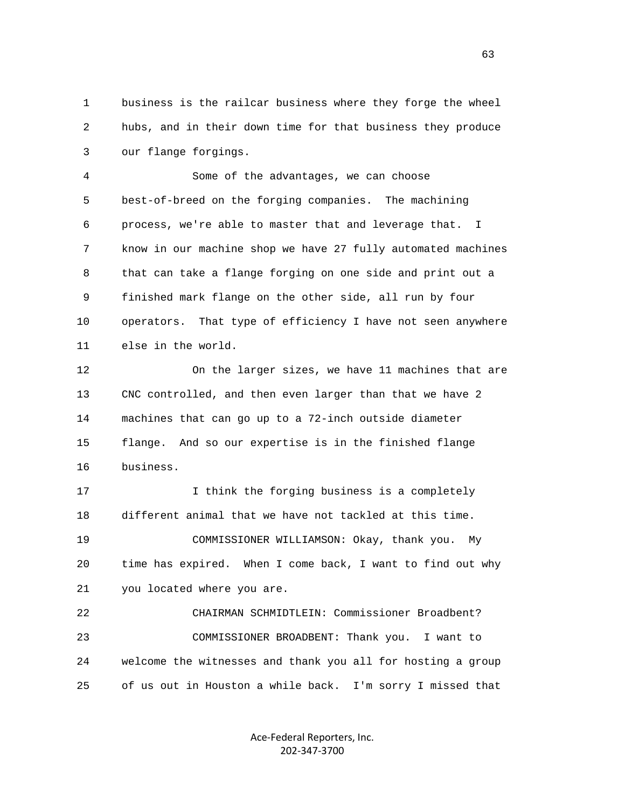1 business is the railcar business where they forge the wheel 2 hubs, and in their down time for that business they produce 3 our flange forgings.

 4 Some of the advantages, we can choose 5 best-of-breed on the forging companies. The machining 6 process, we're able to master that and leverage that. I 7 know in our machine shop we have 27 fully automated machines 8 that can take a flange forging on one side and print out a 9 finished mark flange on the other side, all run by four 10 operators. That type of efficiency I have not seen anywhere 11 else in the world.

 12 On the larger sizes, we have 11 machines that are 13 CNC controlled, and then even larger than that we have 2 14 machines that can go up to a 72-inch outside diameter 15 flange. And so our expertise is in the finished flange 16 business.

 17 I think the forging business is a completely 18 different animal that we have not tackled at this time. 19 COMMISSIONER WILLIAMSON: Okay, thank you. My 20 time has expired. When I come back, I want to find out why 21 you located where you are.

 22 CHAIRMAN SCHMIDTLEIN: Commissioner Broadbent? 23 COMMISSIONER BROADBENT: Thank you. I want to 24 welcome the witnesses and thank you all for hosting a group 25 of us out in Houston a while back. I'm sorry I missed that

> Ace‐Federal Reporters, Inc. 202‐347‐3700

 $\sim$  63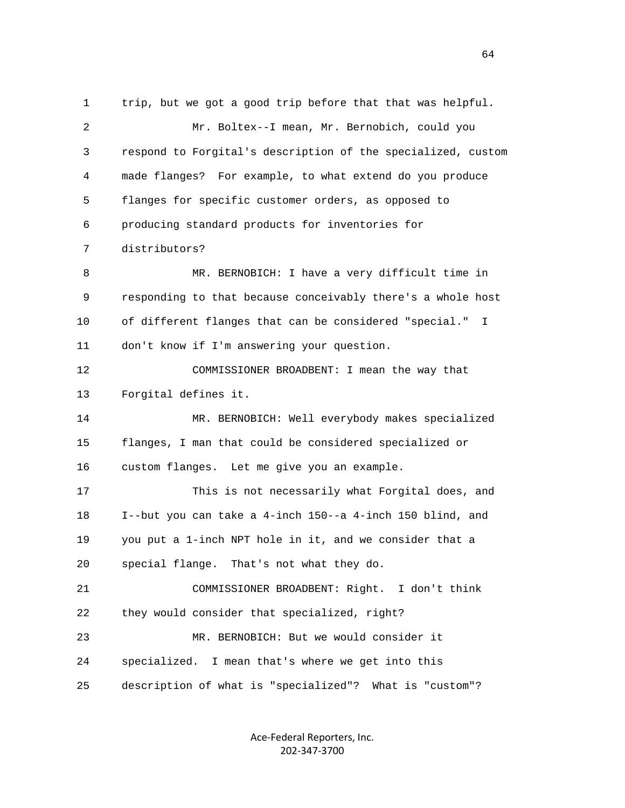1 trip, but we got a good trip before that that was helpful. 2 Mr. Boltex--I mean, Mr. Bernobich, could you 3 respond to Forgital's description of the specialized, custom 4 made flanges? For example, to what extend do you produce 5 flanges for specific customer orders, as opposed to 6 producing standard products for inventories for 7 distributors? 8 MR. BERNOBICH: I have a very difficult time in 9 responding to that because conceivably there's a whole host 10 of different flanges that can be considered "special." I 11 don't know if I'm answering your question. 12 COMMISSIONER BROADBENT: I mean the way that 13 Forgital defines it. 14 MR. BERNOBICH: Well everybody makes specialized 15 flanges, I man that could be considered specialized or 16 custom flanges. Let me give you an example. 17 This is not necessarily what Forgital does, and 18 I--but you can take a 4-inch 150--a 4-inch 150 blind, and 19 you put a 1-inch NPT hole in it, and we consider that a 20 special flange. That's not what they do. 21 COMMISSIONER BROADBENT: Right. I don't think 22 they would consider that specialized, right? 23 MR. BERNOBICH: But we would consider it 24 specialized. I mean that's where we get into this 25 description of what is "specialized"? What is "custom"?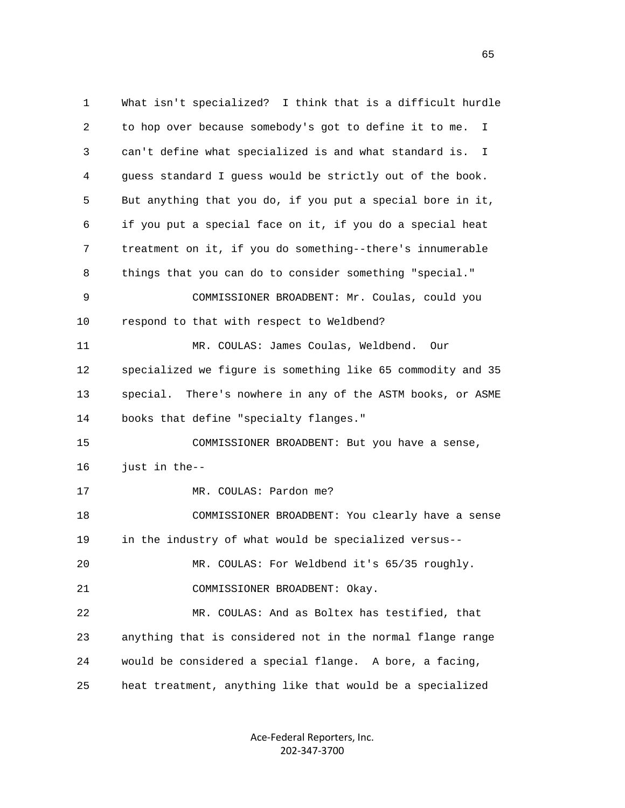1 What isn't specialized? I think that is a difficult hurdle 2 to hop over because somebody's got to define it to me. I 3 can't define what specialized is and what standard is. I 4 guess standard I guess would be strictly out of the book. 5 But anything that you do, if you put a special bore in it, 6 if you put a special face on it, if you do a special heat 7 treatment on it, if you do something--there's innumerable 8 things that you can do to consider something "special." 9 COMMISSIONER BROADBENT: Mr. Coulas, could you 10 respond to that with respect to Weldbend? 11 MR. COULAS: James Coulas, Weldbend. Our 12 specialized we figure is something like 65 commodity and 35 13 special. There's nowhere in any of the ASTM books, or ASME 14 books that define "specialty flanges." 15 COMMISSIONER BROADBENT: But you have a sense, 16 just in the-- 17 MR. COULAS: Pardon me? 18 COMMISSIONER BROADBENT: You clearly have a sense 19 in the industry of what would be specialized versus-- 20 MR. COULAS: For Weldbend it's 65/35 roughly. 21 COMMISSIONER BROADBENT: Okay. 22 MR. COULAS: And as Boltex has testified, that 23 anything that is considered not in the normal flange range 24 would be considered a special flange. A bore, a facing, 25 heat treatment, anything like that would be a specialized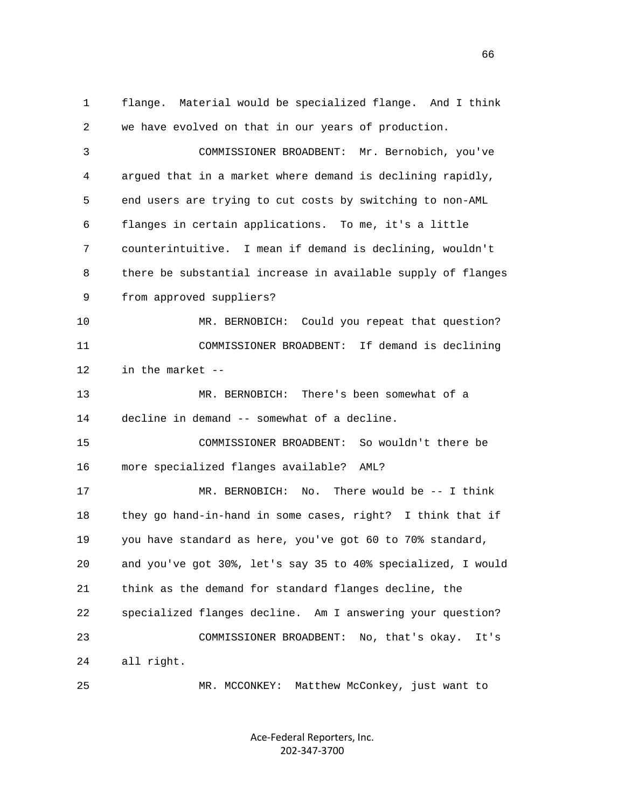1 flange. Material would be specialized flange. And I think 2 we have evolved on that in our years of production. 3 COMMISSIONER BROADBENT: Mr. Bernobich, you've 4 argued that in a market where demand is declining rapidly, 5 end users are trying to cut costs by switching to non-AML 6 flanges in certain applications. To me, it's a little 7 counterintuitive. I mean if demand is declining, wouldn't 8 there be substantial increase in available supply of flanges 9 from approved suppliers? 10 MR. BERNOBICH: Could you repeat that question? 11 COMMISSIONER BROADBENT: If demand is declining 12 in the market -- 13 MR. BERNOBICH: There's been somewhat of a 14 decline in demand -- somewhat of a decline. 15 COMMISSIONER BROADBENT: So wouldn't there be 16 more specialized flanges available? AML? 17 MR. BERNOBICH: No. There would be -- I think 18 they go hand-in-hand in some cases, right? I think that if 19 you have standard as here, you've got 60 to 70% standard, 20 and you've got 30%, let's say 35 to 40% specialized, I would 21 think as the demand for standard flanges decline, the 22 specialized flanges decline. Am I answering your question? 23 COMMISSIONER BROADBENT: No, that's okay. It's 24 all right. 25 MR. MCCONKEY: Matthew McConkey, just want to

> Ace‐Federal Reporters, Inc. 202‐347‐3700

 $\sim$  66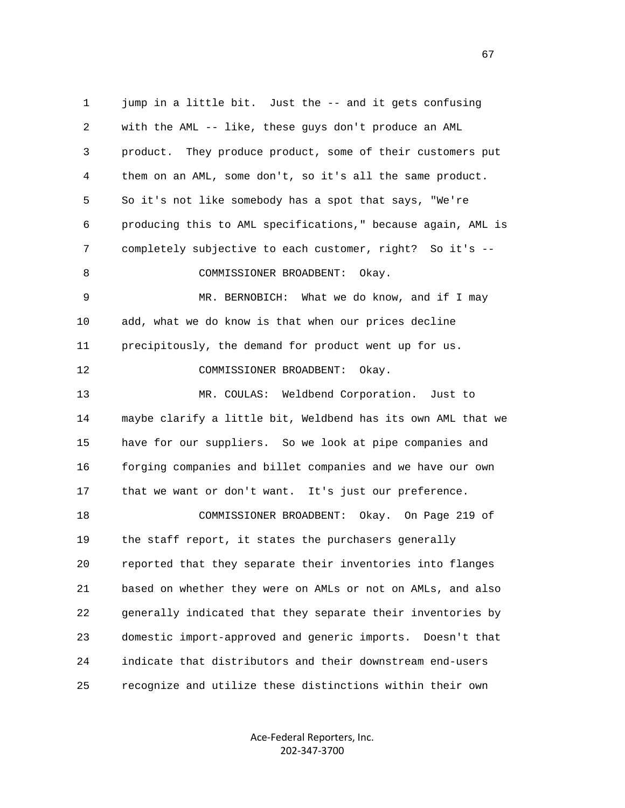1 jump in a little bit. Just the -- and it gets confusing 2 with the AML -- like, these guys don't produce an AML 3 product. They produce product, some of their customers put 4 them on an AML, some don't, so it's all the same product. 5 So it's not like somebody has a spot that says, "We're 6 producing this to AML specifications," because again, AML is 7 completely subjective to each customer, right? So it's -- 8 COMMISSIONER BROADBENT: Okay. 9 MR. BERNOBICH: What we do know, and if I may 10 add, what we do know is that when our prices decline 11 precipitously, the demand for product went up for us. 12 COMMISSIONER BROADBENT: Okay. 13 MR. COULAS: Weldbend Corporation. Just to 14 maybe clarify a little bit, Weldbend has its own AML that we 15 have for our suppliers. So we look at pipe companies and 16 forging companies and billet companies and we have our own 17 that we want or don't want. It's just our preference. 18 COMMISSIONER BROADBENT: Okay. On Page 219 of 19 the staff report, it states the purchasers generally 20 reported that they separate their inventories into flanges 21 based on whether they were on AMLs or not on AMLs, and also 22 generally indicated that they separate their inventories by 23 domestic import-approved and generic imports. Doesn't that 24 indicate that distributors and their downstream end-users 25 recognize and utilize these distinctions within their own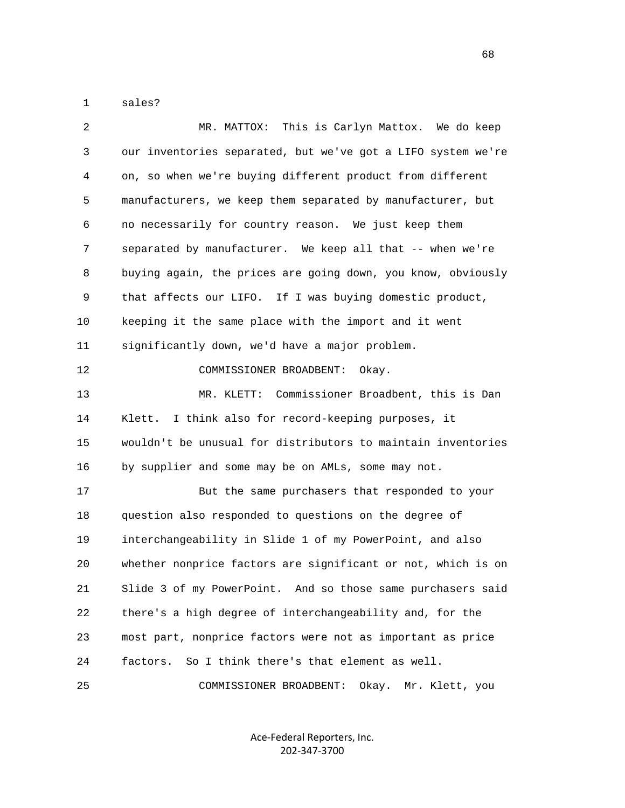1 sales?

| 2  | This is Carlyn Mattox.<br>We do keep<br>MR. MATTOX:          |
|----|--------------------------------------------------------------|
| 3  | our inventories separated, but we've got a LIFO system we're |
| 4  | on, so when we're buying different product from different    |
| 5  | manufacturers, we keep them separated by manufacturer, but   |
| 6  | no necessarily for country reason. We just keep them         |
| 7  | separated by manufacturer. We keep all that -- when we're    |
| 8  | buying again, the prices are going down, you know, obviously |
| 9  | that affects our LIFO. If I was buying domestic product,     |
| 10 | keeping it the same place with the import and it went        |
| 11 | significantly down, we'd have a major problem.               |
| 12 | COMMISSIONER BROADBENT:<br>Okay.                             |
| 13 | MR. KLETT: Commissioner Broadbent, this is Dan               |
| 14 | I think also for record-keeping purposes, it<br>Klett.       |
| 15 | wouldn't be unusual for distributors to maintain inventories |
| 16 | by supplier and some may be on AMLs, some may not.           |
| 17 | But the same purchasers that responded to your               |
| 18 | question also responded to questions on the degree of        |
| 19 | interchangeability in Slide 1 of my PowerPoint, and also     |
| 20 | whether nonprice factors are significant or not, which is on |
| 21 | Slide 3 of my PowerPoint. And so those same purchasers said  |
| 22 | there's a high degree of interchangeability and, for the     |
| 23 | most part, nonprice factors were not as important as price   |
| 24 | So I think there's that element as well.<br>factors.         |
| 25 | COMMISSIONER BROADBENT:<br>Okay. Mr. Klett, you              |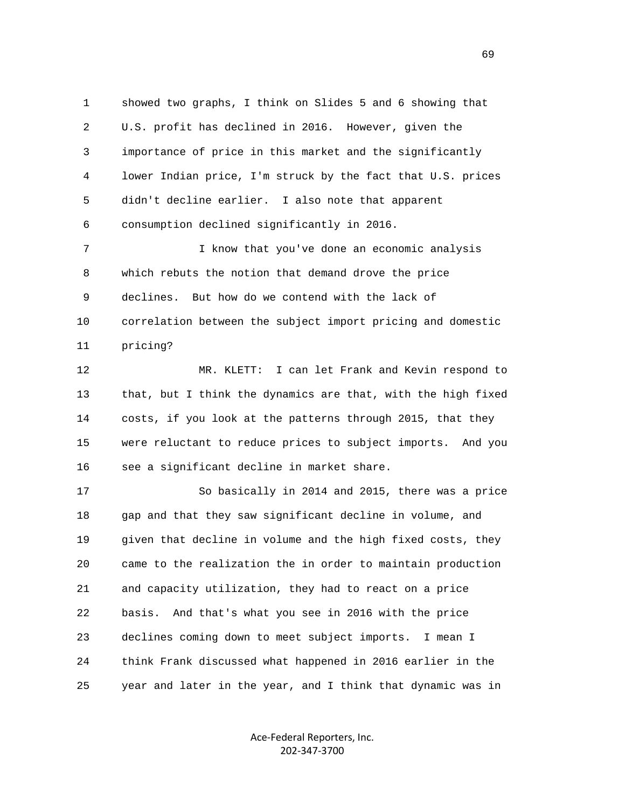1 showed two graphs, I think on Slides 5 and 6 showing that 2 U.S. profit has declined in 2016. However, given the 3 importance of price in this market and the significantly 4 lower Indian price, I'm struck by the fact that U.S. prices 5 didn't decline earlier. I also note that apparent 6 consumption declined significantly in 2016.

 7 I know that you've done an economic analysis 8 which rebuts the notion that demand drove the price 9 declines. But how do we contend with the lack of 10 correlation between the subject import pricing and domestic 11 pricing?

 12 MR. KLETT: I can let Frank and Kevin respond to 13 that, but I think the dynamics are that, with the high fixed 14 costs, if you look at the patterns through 2015, that they 15 were reluctant to reduce prices to subject imports. And you 16 see a significant decline in market share.

 17 So basically in 2014 and 2015, there was a price 18 gap and that they saw significant decline in volume, and 19 given that decline in volume and the high fixed costs, they 20 came to the realization the in order to maintain production 21 and capacity utilization, they had to react on a price 22 basis. And that's what you see in 2016 with the price 23 declines coming down to meet subject imports. I mean I 24 think Frank discussed what happened in 2016 earlier in the 25 year and later in the year, and I think that dynamic was in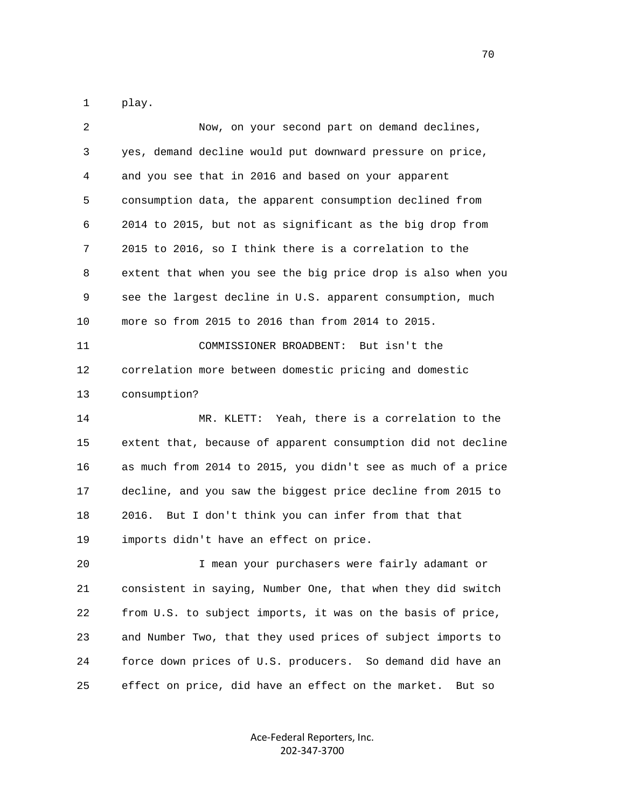1 play.

| 2  | Now, on your second part on demand declines,                 |
|----|--------------------------------------------------------------|
| 3  | yes, demand decline would put downward pressure on price,    |
| 4  | and you see that in 2016 and based on your apparent          |
| 5  | consumption data, the apparent consumption declined from     |
| 6  | 2014 to 2015, but not as significant as the big drop from    |
| 7  | 2015 to 2016, so I think there is a correlation to the       |
| 8  | extent that when you see the big price drop is also when you |
| 9  | see the largest decline in U.S. apparent consumption, much   |
| 10 | more so from 2015 to 2016 than from 2014 to 2015.            |
| 11 | COMMISSIONER BROADBENT:<br>But isn't the                     |
| 12 | correlation more between domestic pricing and domestic       |
| 13 | consumption?                                                 |
| 14 | MR. KLETT: Yeah, there is a correlation to the               |
| 15 | extent that, because of apparent consumption did not decline |
| 16 | as much from 2014 to 2015, you didn't see as much of a price |
| 17 | decline, and you saw the biggest price decline from 2015 to  |
| 18 | But I don't think you can infer from that that<br>2016.      |
| 19 | imports didn't have an effect on price.                      |
| 20 | I mean your purchasers were fairly adamant or                |
| 21 | consistent in saying, Number One, that when they did switch  |
| 22 | from U.S. to subject imports, it was on the basis of price,  |
| 23 | and Number Two, that they used prices of subject imports to  |
| 24 | force down prices of U.S. producers. So demand did have an   |
| 25 | effect on price, did have an effect on the market.<br>But so |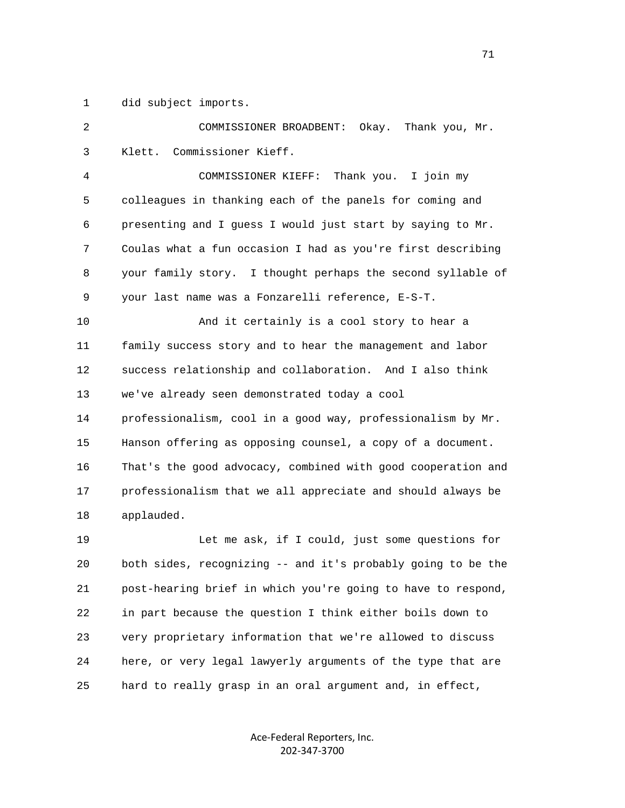1 did subject imports.

 2 COMMISSIONER BROADBENT: Okay. Thank you, Mr. 3 Klett. Commissioner Kieff. 4 COMMISSIONER KIEFF: Thank you. I join my 5 colleagues in thanking each of the panels for coming and 6 presenting and I guess I would just start by saying to Mr. 7 Coulas what a fun occasion I had as you're first describing 8 your family story. I thought perhaps the second syllable of 9 your last name was a Fonzarelli reference, E-S-T. 10 And it certainly is a cool story to hear a 11 family success story and to hear the management and labor 12 success relationship and collaboration. And I also think 13 we've already seen demonstrated today a cool 14 professionalism, cool in a good way, professionalism by Mr. 15 Hanson offering as opposing counsel, a copy of a document. 16 That's the good advocacy, combined with good cooperation and 17 professionalism that we all appreciate and should always be 18 applauded. 19 Let me ask, if I could, just some questions for 20 both sides, recognizing -- and it's probably going to be the

 21 post-hearing brief in which you're going to have to respond, 22 in part because the question I think either boils down to 23 very proprietary information that we're allowed to discuss 24 here, or very legal lawyerly arguments of the type that are 25 hard to really grasp in an oral argument and, in effect,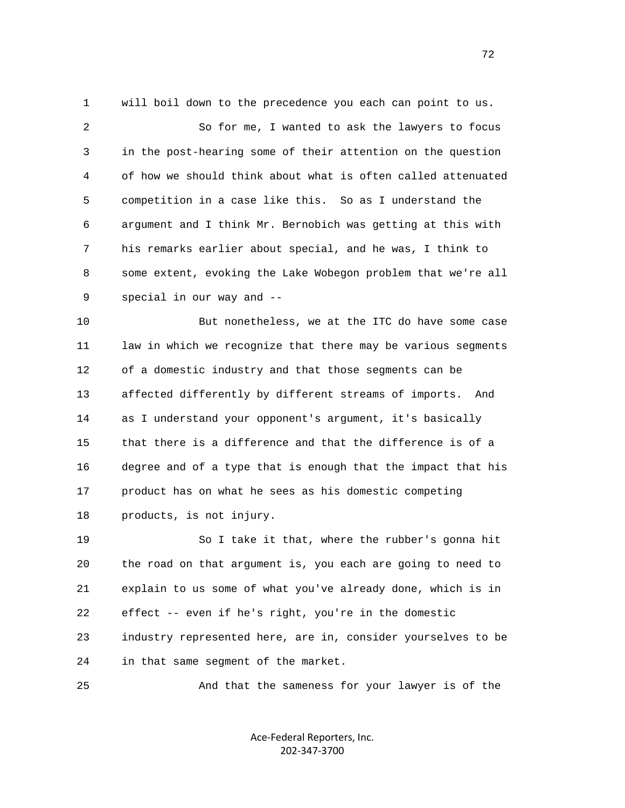1 will boil down to the precedence you each can point to us. 2 So for me, I wanted to ask the lawyers to focus 3 in the post-hearing some of their attention on the question 4 of how we should think about what is often called attenuated 5 competition in a case like this. So as I understand the 6 argument and I think Mr. Bernobich was getting at this with 7 his remarks earlier about special, and he was, I think to 8 some extent, evoking the Lake Wobegon problem that we're all 9 special in our way and --

 10 But nonetheless, we at the ITC do have some case 11 law in which we recognize that there may be various segments 12 of a domestic industry and that those segments can be 13 affected differently by different streams of imports. And 14 as I understand your opponent's argument, it's basically 15 that there is a difference and that the difference is of a 16 degree and of a type that is enough that the impact that his 17 product has on what he sees as his domestic competing 18 products, is not injury.

 19 So I take it that, where the rubber's gonna hit 20 the road on that argument is, you each are going to need to 21 explain to us some of what you've already done, which is in 22 effect -- even if he's right, you're in the domestic 23 industry represented here, are in, consider yourselves to be 24 in that same segment of the market.

25 And that the sameness for your lawyer is of the

Ace‐Federal Reporters, Inc. 202‐347‐3700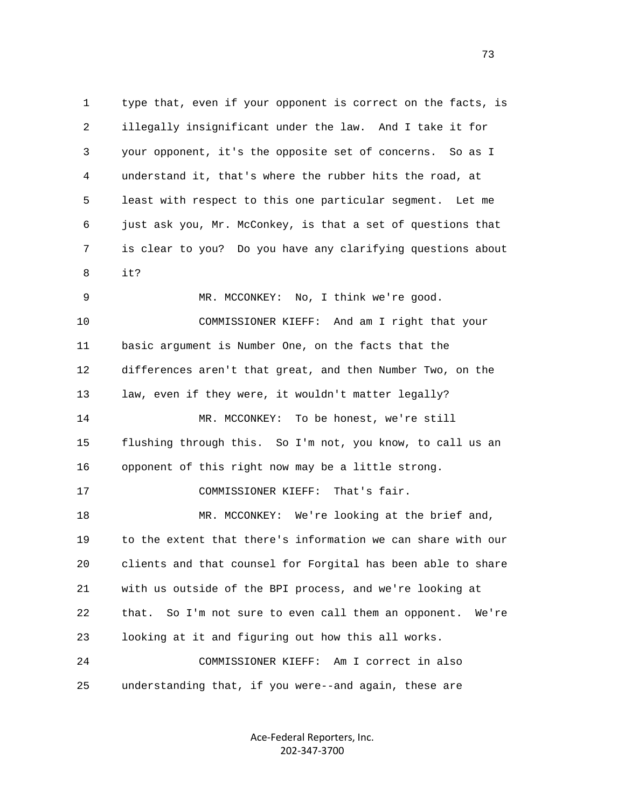1 type that, even if your opponent is correct on the facts, is 2 illegally insignificant under the law. And I take it for 3 your opponent, it's the opposite set of concerns. So as I 4 understand it, that's where the rubber hits the road, at 5 least with respect to this one particular segment. Let me 6 just ask you, Mr. McConkey, is that a set of questions that 7 is clear to you? Do you have any clarifying questions about  $8$  it? 9 MR. MCCONKEY: No, I think we're good. 10 COMMISSIONER KIEFF: And am I right that your 11 basic argument is Number One, on the facts that the 12 differences aren't that great, and then Number Two, on the 13 law, even if they were, it wouldn't matter legally? 14 MR. MCCONKEY: To be honest, we're still 15 flushing through this. So I'm not, you know, to call us an 16 opponent of this right now may be a little strong. 17 COMMISSIONER KIEFF: That's fair. 18 MR. MCCONKEY: We're looking at the brief and, 19 to the extent that there's information we can share with our 20 clients and that counsel for Forgital has been able to share 21 with us outside of the BPI process, and we're looking at 22 that. So I'm not sure to even call them an opponent. We're 23 looking at it and figuring out how this all works. 24 COMMISSIONER KIEFF: Am I correct in also 25 understanding that, if you were--and again, these are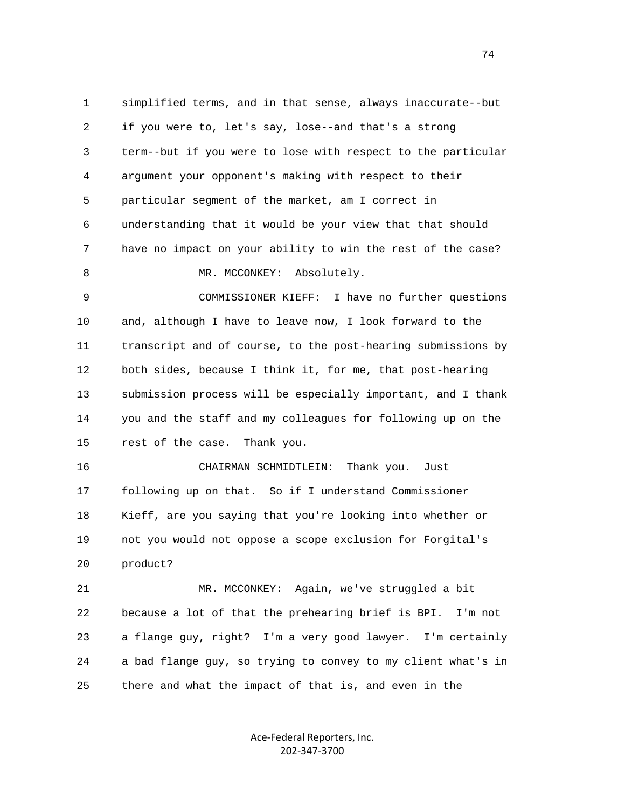1 simplified terms, and in that sense, always inaccurate--but 2 if you were to, let's say, lose--and that's a strong 3 term--but if you were to lose with respect to the particular 4 argument your opponent's making with respect to their 5 particular segment of the market, am I correct in 6 understanding that it would be your view that that should 7 have no impact on your ability to win the rest of the case? 8 MR. MCCONKEY: Absolutely. 9 COMMISSIONER KIEFF: I have no further questions 10 and, although I have to leave now, I look forward to the 11 transcript and of course, to the post-hearing submissions by 12 both sides, because I think it, for me, that post-hearing 13 submission process will be especially important, and I thank 14 you and the staff and my colleagues for following up on the 15 rest of the case. Thank you. 16 CHAIRMAN SCHMIDTLEIN: Thank you. Just 17 following up on that. So if I understand Commissioner 18 Kieff, are you saying that you're looking into whether or 19 not you would not oppose a scope exclusion for Forgital's 20 product? 21 MR. MCCONKEY: Again, we've struggled a bit 22 because a lot of that the prehearing brief is BPI. I'm not 23 a flange guy, right? I'm a very good lawyer. I'm certainly 24 a bad flange guy, so trying to convey to my client what's in 25 there and what the impact of that is, and even in the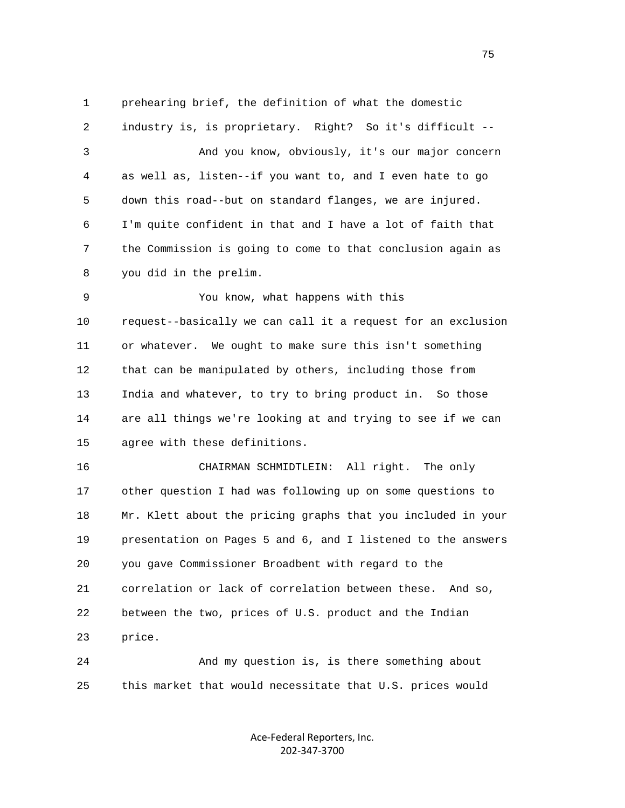1 prehearing brief, the definition of what the domestic

 2 industry is, is proprietary. Right? So it's difficult -- 3 And you know, obviously, it's our major concern 4 as well as, listen--if you want to, and I even hate to go 5 down this road--but on standard flanges, we are injured. 6 I'm quite confident in that and I have a lot of faith that 7 the Commission is going to come to that conclusion again as 8 you did in the prelim.

 9 You know, what happens with this 10 request--basically we can call it a request for an exclusion 11 or whatever. We ought to make sure this isn't something 12 that can be manipulated by others, including those from 13 India and whatever, to try to bring product in. So those 14 are all things we're looking at and trying to see if we can 15 agree with these definitions.

 16 CHAIRMAN SCHMIDTLEIN: All right. The only 17 other question I had was following up on some questions to 18 Mr. Klett about the pricing graphs that you included in your 19 presentation on Pages 5 and 6, and I listened to the answers 20 you gave Commissioner Broadbent with regard to the 21 correlation or lack of correlation between these. And so, 22 between the two, prices of U.S. product and the Indian 23 price.

 24 And my question is, is there something about 25 this market that would necessitate that U.S. prices would

> Ace‐Federal Reporters, Inc. 202‐347‐3700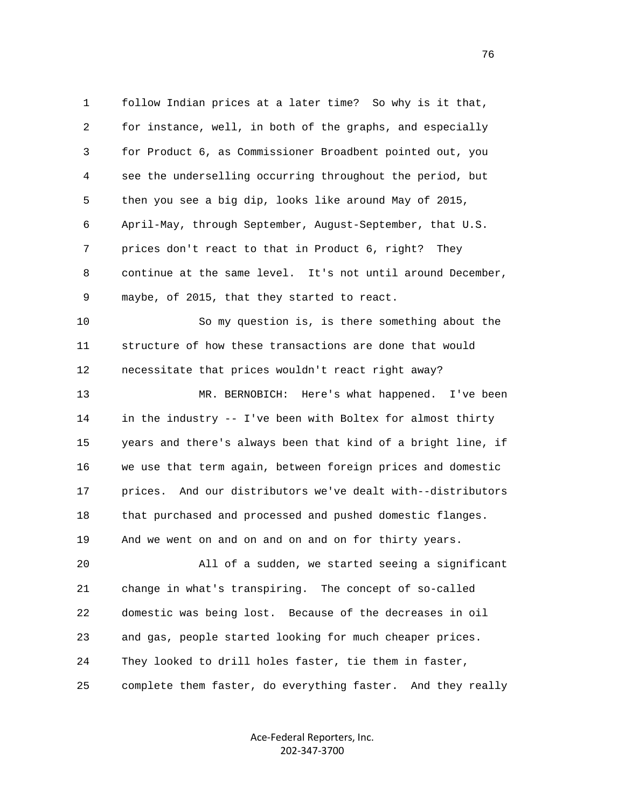1 follow Indian prices at a later time? So why is it that, 2 for instance, well, in both of the graphs, and especially 3 for Product 6, as Commissioner Broadbent pointed out, you 4 see the underselling occurring throughout the period, but 5 then you see a big dip, looks like around May of 2015, 6 April-May, through September, August-September, that U.S. 7 prices don't react to that in Product 6, right? They 8 continue at the same level. It's not until around December, 9 maybe, of 2015, that they started to react.

 10 So my question is, is there something about the 11 structure of how these transactions are done that would 12 necessitate that prices wouldn't react right away?

 13 MR. BERNOBICH: Here's what happened. I've been 14 in the industry -- I've been with Boltex for almost thirty 15 years and there's always been that kind of a bright line, if 16 we use that term again, between foreign prices and domestic 17 prices. And our distributors we've dealt with--distributors 18 that purchased and processed and pushed domestic flanges. 19 And we went on and on and on and on for thirty years.

 20 All of a sudden, we started seeing a significant 21 change in what's transpiring. The concept of so-called 22 domestic was being lost. Because of the decreases in oil 23 and gas, people started looking for much cheaper prices. 24 They looked to drill holes faster, tie them in faster, 25 complete them faster, do everything faster. And they really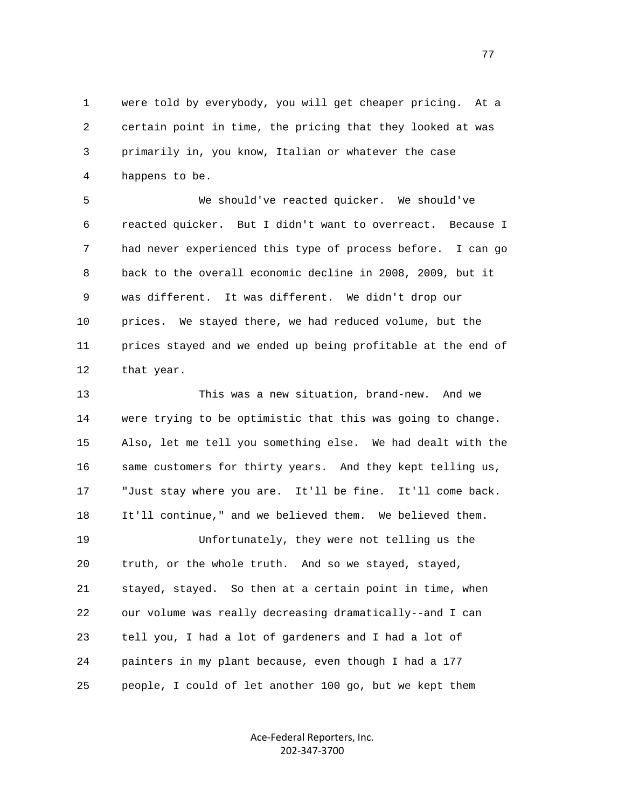1 were told by everybody, you will get cheaper pricing. At a 2 certain point in time, the pricing that they looked at was 3 primarily in, you know, Italian or whatever the case 4 happens to be.

 5 We should've reacted quicker. We should've 6 reacted quicker. But I didn't want to overreact. Because I 7 had never experienced this type of process before. I can go 8 back to the overall economic decline in 2008, 2009, but it 9 was different. It was different. We didn't drop our 10 prices. We stayed there, we had reduced volume, but the 11 prices stayed and we ended up being profitable at the end of 12 that year.

 13 This was a new situation, brand-new. And we 14 were trying to be optimistic that this was going to change. 15 Also, let me tell you something else. We had dealt with the 16 same customers for thirty years. And they kept telling us, 17 "Just stay where you are. It'll be fine. It'll come back. 18 It'll continue," and we believed them. We believed them. 19 Unfortunately, they were not telling us the 20 truth, or the whole truth. And so we stayed, stayed, 21 stayed, stayed. So then at a certain point in time, when 22 our volume was really decreasing dramatically--and I can 23 tell you, I had a lot of gardeners and I had a lot of 24 painters in my plant because, even though I had a 177 25 people, I could of let another 100 go, but we kept them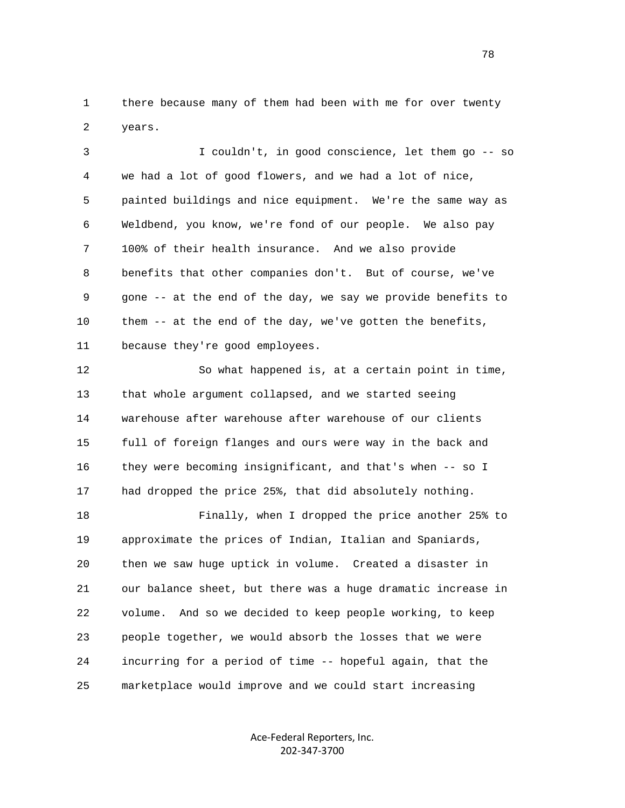1 there because many of them had been with me for over twenty 2 years.

 3 I couldn't, in good conscience, let them go -- so 4 we had a lot of good flowers, and we had a lot of nice, 5 painted buildings and nice equipment. We're the same way as 6 Weldbend, you know, we're fond of our people. We also pay 7 100% of their health insurance. And we also provide 8 benefits that other companies don't. But of course, we've 9 gone -- at the end of the day, we say we provide benefits to 10 them -- at the end of the day, we've gotten the benefits, 11 because they're good employees.

 12 So what happened is, at a certain point in time, 13 that whole argument collapsed, and we started seeing 14 warehouse after warehouse after warehouse of our clients 15 full of foreign flanges and ours were way in the back and 16 they were becoming insignificant, and that's when -- so I 17 had dropped the price 25%, that did absolutely nothing.

 18 Finally, when I dropped the price another 25% to 19 approximate the prices of Indian, Italian and Spaniards, 20 then we saw huge uptick in volume. Created a disaster in 21 our balance sheet, but there was a huge dramatic increase in 22 volume. And so we decided to keep people working, to keep 23 people together, we would absorb the losses that we were 24 incurring for a period of time -- hopeful again, that the 25 marketplace would improve and we could start increasing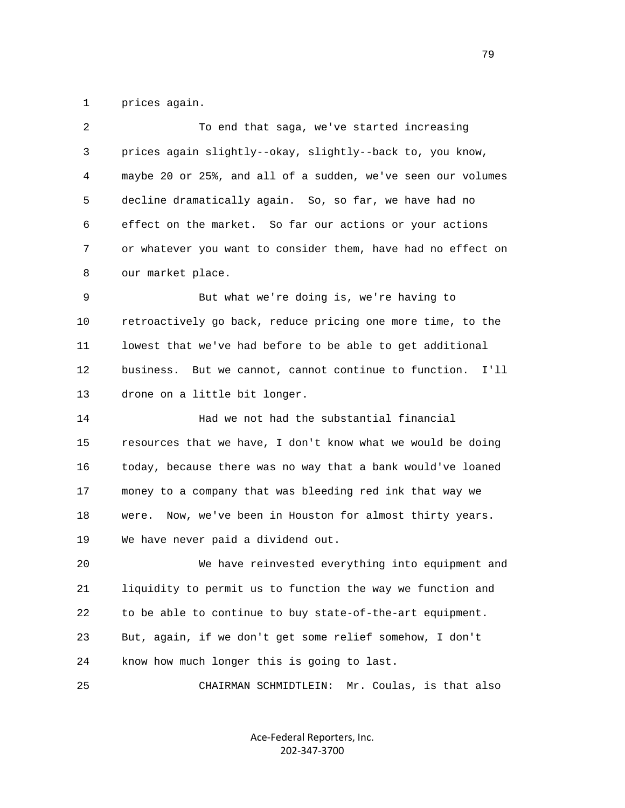1 prices again.

| 2  | To end that saga, we've started increasing                    |
|----|---------------------------------------------------------------|
| 3  | prices again slightly--okay, slightly--back to, you know,     |
| 4  | maybe 20 or 25%, and all of a sudden, we've seen our volumes  |
| 5  | decline dramatically again. So, so far, we have had no        |
| 6  | effect on the market. So far our actions or your actions      |
| 7  | or whatever you want to consider them, have had no effect on  |
| 8  | our market place.                                             |
| 9  | But what we're doing is, we're having to                      |
| 10 | retroactively go back, reduce pricing one more time, to the   |
| 11 | lowest that we've had before to be able to get additional     |
| 12 | I'11<br>business. But we cannot, cannot continue to function. |
| 13 | drone on a little bit longer.                                 |
| 14 | Had we not had the substantial financial                      |
| 15 | resources that we have, I don't know what we would be doing   |
| 16 | today, because there was no way that a bank would've loaned   |
| 17 | money to a company that was bleeding red ink that way we      |
| 18 | were. Now, we've been in Houston for almost thirty years.     |
| 19 | We have never paid a dividend out.                            |
| 20 | We have reinvested everything into equipment and              |
| 21 | liquidity to permit us to function the way we function and    |
| 22 | to be able to continue to buy state-of-the-art equipment.     |
| 23 | But, again, if we don't get some relief somehow, I don't      |
| 24 | know how much longer this is going to last.                   |
| 25 | Mr. Coulas, is that also<br>CHAIRMAN SCHMIDTLEIN:             |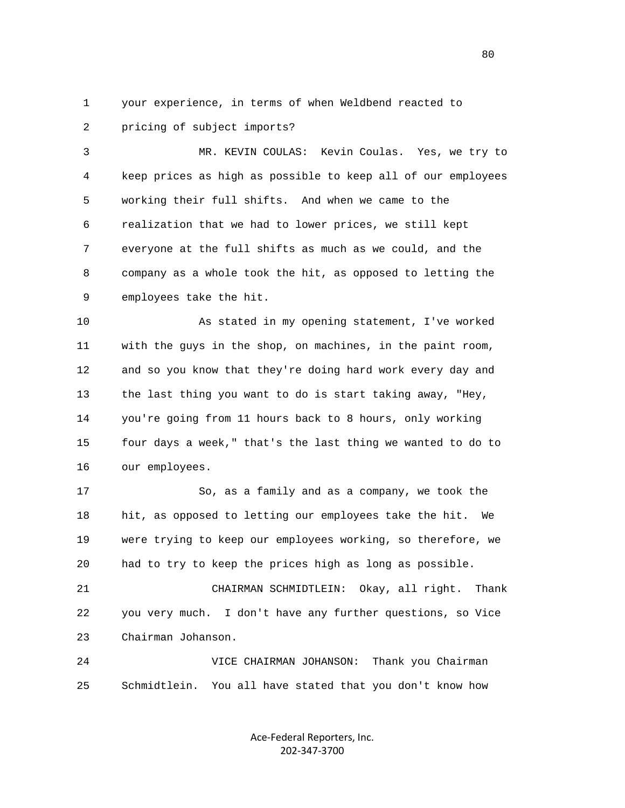1 your experience, in terms of when Weldbend reacted to 2 pricing of subject imports?

 3 MR. KEVIN COULAS: Kevin Coulas. Yes, we try to 4 keep prices as high as possible to keep all of our employees 5 working their full shifts. And when we came to the 6 realization that we had to lower prices, we still kept 7 everyone at the full shifts as much as we could, and the 8 company as a whole took the hit, as opposed to letting the 9 employees take the hit.

 10 As stated in my opening statement, I've worked 11 with the guys in the shop, on machines, in the paint room, 12 and so you know that they're doing hard work every day and 13 the last thing you want to do is start taking away, "Hey, 14 you're going from 11 hours back to 8 hours, only working 15 four days a week," that's the last thing we wanted to do to 16 our employees.

 17 So, as a family and as a company, we took the 18 hit, as opposed to letting our employees take the hit. We 19 were trying to keep our employees working, so therefore, we 20 had to try to keep the prices high as long as possible.

 21 CHAIRMAN SCHMIDTLEIN: Okay, all right. Thank 22 you very much. I don't have any further questions, so Vice 23 Chairman Johanson.

 24 VICE CHAIRMAN JOHANSON: Thank you Chairman 25 Schmidtlein. You all have stated that you don't know how

> Ace‐Federal Reporters, Inc. 202‐347‐3700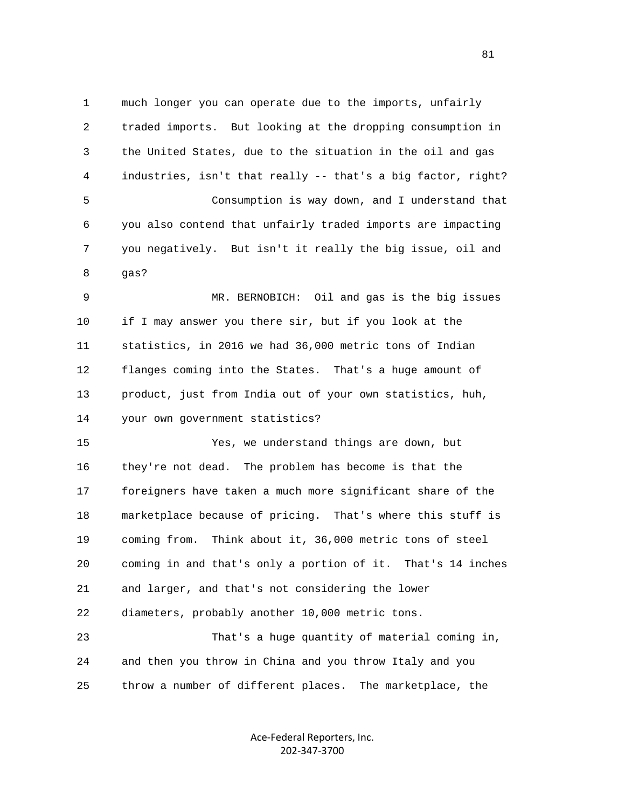1 much longer you can operate due to the imports, unfairly 2 traded imports. But looking at the dropping consumption in 3 the United States, due to the situation in the oil and gas 4 industries, isn't that really -- that's a big factor, right? 5 Consumption is way down, and I understand that 6 you also contend that unfairly traded imports are impacting 7 you negatively. But isn't it really the big issue, oil and 8 gas?

 9 MR. BERNOBICH: Oil and gas is the big issues 10 if I may answer you there sir, but if you look at the 11 statistics, in 2016 we had 36,000 metric tons of Indian 12 flanges coming into the States. That's a huge amount of 13 product, just from India out of your own statistics, huh, 14 your own government statistics?

 15 Yes, we understand things are down, but 16 they're not dead. The problem has become is that the 17 foreigners have taken a much more significant share of the 18 marketplace because of pricing. That's where this stuff is 19 coming from. Think about it, 36,000 metric tons of steel 20 coming in and that's only a portion of it. That's 14 inches 21 and larger, and that's not considering the lower 22 diameters, probably another 10,000 metric tons.

 23 That's a huge quantity of material coming in, 24 and then you throw in China and you throw Italy and you 25 throw a number of different places. The marketplace, the

> Ace‐Federal Reporters, Inc. 202‐347‐3700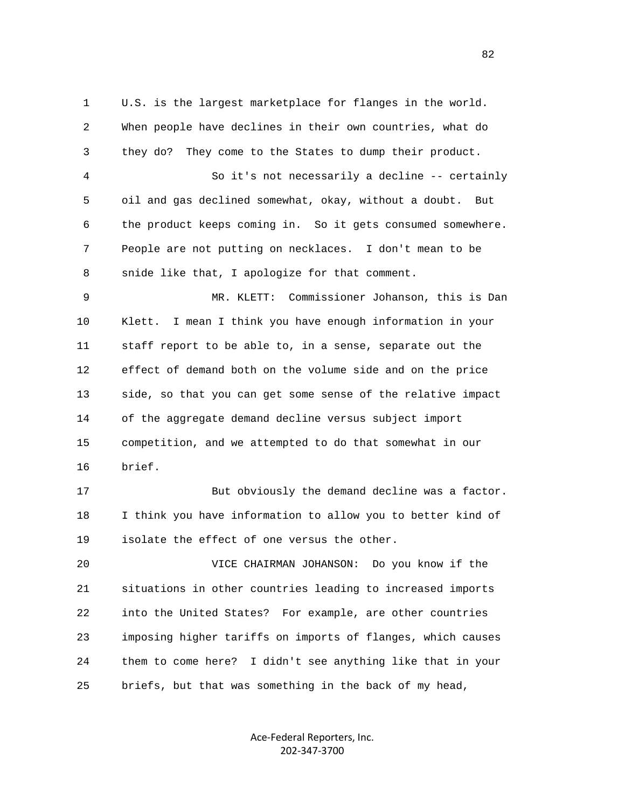1 U.S. is the largest marketplace for flanges in the world. 2 When people have declines in their own countries, what do 3 they do? They come to the States to dump their product. 4 So it's not necessarily a decline -- certainly 5 oil and gas declined somewhat, okay, without a doubt. But 6 the product keeps coming in. So it gets consumed somewhere. 7 People are not putting on necklaces. I don't mean to be 8 snide like that, I apologize for that comment. 9 MR. KLETT: Commissioner Johanson, this is Dan 10 Klett. I mean I think you have enough information in your 11 staff report to be able to, in a sense, separate out the 12 effect of demand both on the volume side and on the price 13 side, so that you can get some sense of the relative impact 14 of the aggregate demand decline versus subject import 15 competition, and we attempted to do that somewhat in our 16 brief. 17 But obviously the demand decline was a factor. 18 I think you have information to allow you to better kind of 19 isolate the effect of one versus the other. 20 VICE CHAIRMAN JOHANSON: Do you know if the 21 situations in other countries leading to increased imports 22 into the United States? For example, are other countries 23 imposing higher tariffs on imports of flanges, which causes 24 them to come here? I didn't see anything like that in your 25 briefs, but that was something in the back of my head,

> Ace‐Federal Reporters, Inc. 202‐347‐3700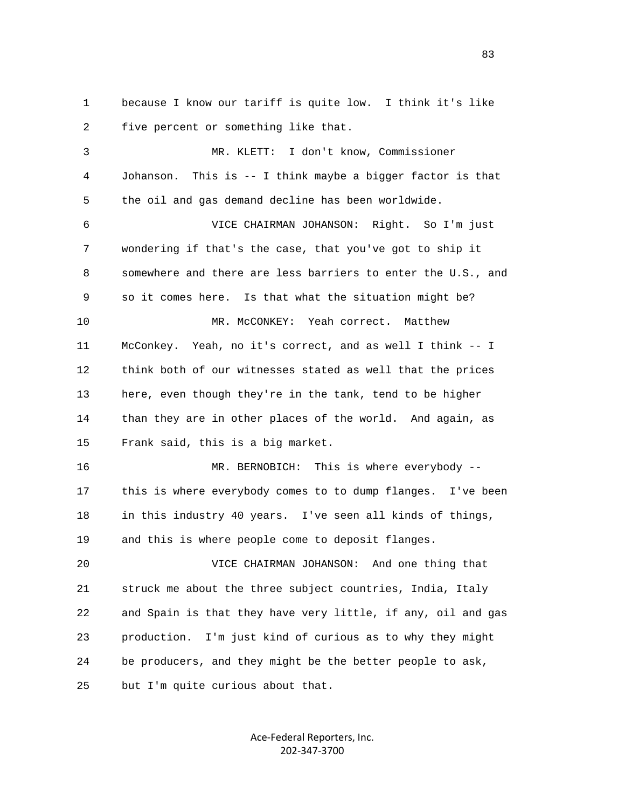1 because I know our tariff is quite low. I think it's like 2 five percent or something like that. 3 MR. KLETT: I don't know, Commissioner 4 Johanson. This is -- I think maybe a bigger factor is that 5 the oil and gas demand decline has been worldwide. 6 VICE CHAIRMAN JOHANSON: Right. So I'm just 7 wondering if that's the case, that you've got to ship it 8 somewhere and there are less barriers to enter the U.S., and 9 so it comes here. Is that what the situation might be? 10 MR. McCONKEY: Yeah correct. Matthew 11 McConkey. Yeah, no it's correct, and as well I think -- I 12 think both of our witnesses stated as well that the prices 13 here, even though they're in the tank, tend to be higher 14 than they are in other places of the world. And again, as 15 Frank said, this is a big market. 16 MR. BERNOBICH: This is where everybody -- 17 this is where everybody comes to to dump flanges. I've been 18 in this industry 40 years. I've seen all kinds of things, 19 and this is where people come to deposit flanges. 20 VICE CHAIRMAN JOHANSON: And one thing that 21 struck me about the three subject countries, India, Italy 22 and Spain is that they have very little, if any, oil and gas 23 production. I'm just kind of curious as to why they might 24 be producers, and they might be the better people to ask, 25 but I'm quite curious about that.

> Ace‐Federal Reporters, Inc. 202‐347‐3700

<u>83</u>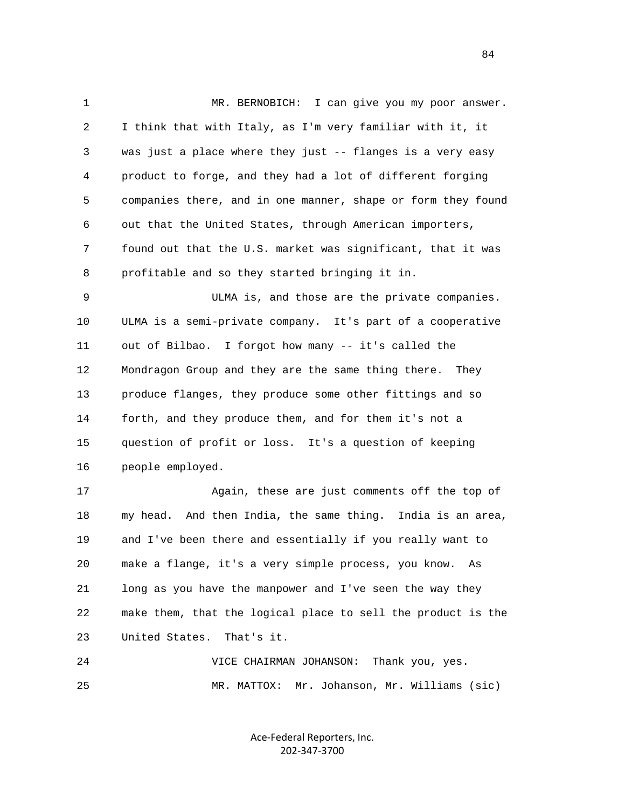1 MR. BERNOBICH: I can give you my poor answer. 2 I think that with Italy, as I'm very familiar with it, it 3 was just a place where they just -- flanges is a very easy 4 product to forge, and they had a lot of different forging 5 companies there, and in one manner, shape or form they found 6 out that the United States, through American importers, 7 found out that the U.S. market was significant, that it was 8 profitable and so they started bringing it in. 9 ULMA is, and those are the private companies. 10 ULMA is a semi-private company. It's part of a cooperative 11 out of Bilbao. I forgot how many -- it's called the 12 Mondragon Group and they are the same thing there. They 13 produce flanges, they produce some other fittings and so 14 forth, and they produce them, and for them it's not a 15 question of profit or loss. It's a question of keeping 16 people employed. 17 Again, these are just comments off the top of 18 my head. And then India, the same thing. India is an area, 19 and I've been there and essentially if you really want to 20 make a flange, it's a very simple process, you know. As 21 long as you have the manpower and I've seen the way they

 22 make them, that the logical place to sell the product is the 23 United States. That's it.

 24 VICE CHAIRMAN JOHANSON: Thank you, yes. 25 MR. MATTOX: Mr. Johanson, Mr. Williams (sic)

> Ace‐Federal Reporters, Inc. 202‐347‐3700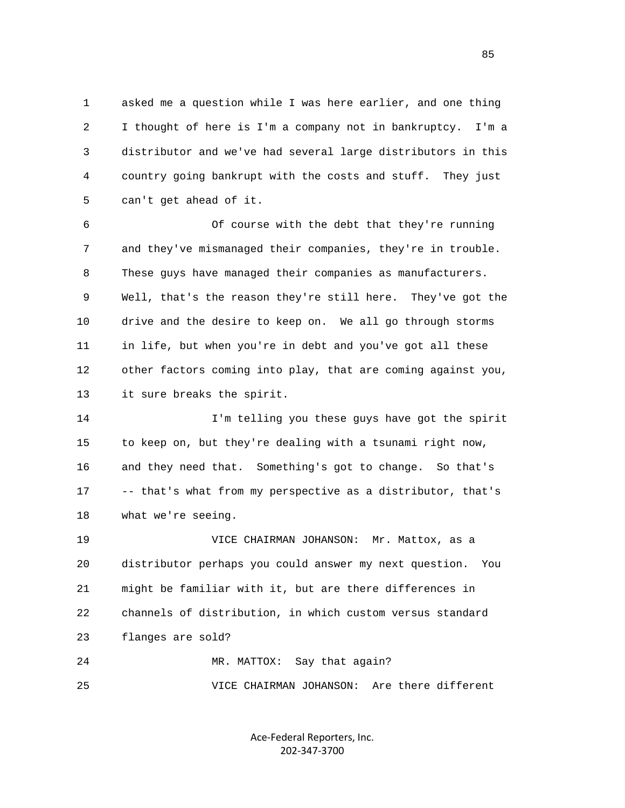1 asked me a question while I was here earlier, and one thing 2 I thought of here is I'm a company not in bankruptcy. I'm a 3 distributor and we've had several large distributors in this 4 country going bankrupt with the costs and stuff. They just 5 can't get ahead of it.

 6 Of course with the debt that they're running 7 and they've mismanaged their companies, they're in trouble. 8 These guys have managed their companies as manufacturers. 9 Well, that's the reason they're still here. They've got the 10 drive and the desire to keep on. We all go through storms 11 in life, but when you're in debt and you've got all these 12 other factors coming into play, that are coming against you, 13 it sure breaks the spirit.

 14 I'm telling you these guys have got the spirit 15 to keep on, but they're dealing with a tsunami right now, 16 and they need that. Something's got to change. So that's 17 -- that's what from my perspective as a distributor, that's 18 what we're seeing.

 19 VICE CHAIRMAN JOHANSON: Mr. Mattox, as a 20 distributor perhaps you could answer my next question. You 21 might be familiar with it, but are there differences in 22 channels of distribution, in which custom versus standard 23 flanges are sold?

 24 MR. MATTOX: Say that again? 25 VICE CHAIRMAN JOHANSON: Are there different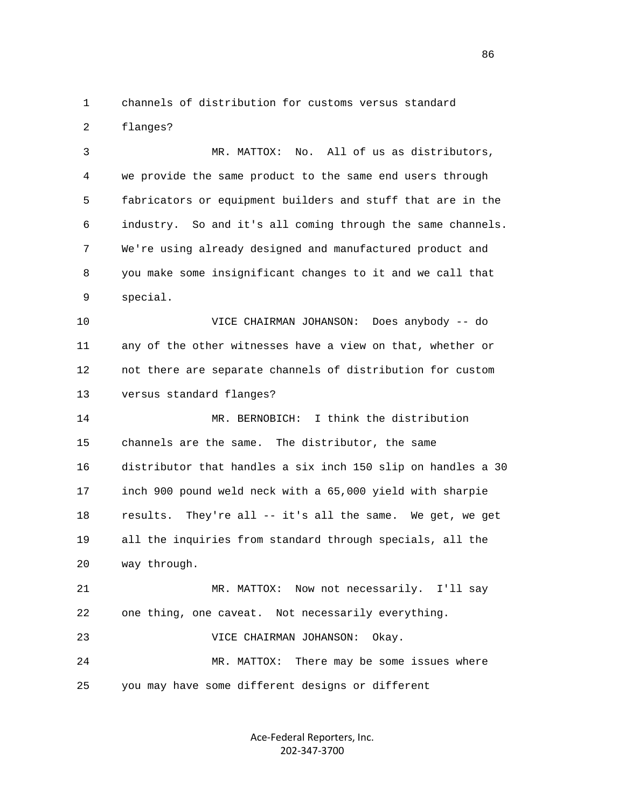1 channels of distribution for customs versus standard 2 flanges?

 3 MR. MATTOX: No. All of us as distributors, 4 we provide the same product to the same end users through 5 fabricators or equipment builders and stuff that are in the 6 industry. So and it's all coming through the same channels. 7 We're using already designed and manufactured product and 8 you make some insignificant changes to it and we call that 9 special.

 10 VICE CHAIRMAN JOHANSON: Does anybody -- do 11 any of the other witnesses have a view on that, whether or 12 not there are separate channels of distribution for custom 13 versus standard flanges?

 14 MR. BERNOBICH: I think the distribution 15 channels are the same. The distributor, the same 16 distributor that handles a six inch 150 slip on handles a 30 17 inch 900 pound weld neck with a 65,000 yield with sharpie 18 results. They're all -- it's all the same. We get, we get 19 all the inquiries from standard through specials, all the 20 way through.

 21 MR. MATTOX: Now not necessarily. I'll say 22 one thing, one caveat. Not necessarily everything.

23 VICE CHAIRMAN JOHANSON: Okay.

 24 MR. MATTOX: There may be some issues where 25 you may have some different designs or different

> Ace‐Federal Reporters, Inc. 202‐347‐3700

<u>86 and 2001 and 2002 and 2003 and 2003 and 2003 and 2003 and 2003 and 2003 and 2003 and 2003 and 2003 and 200</u>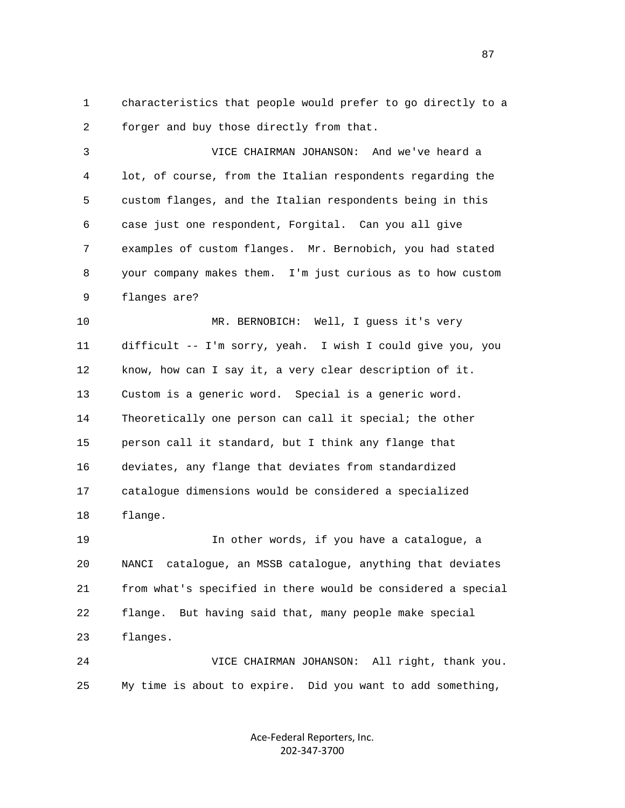1 characteristics that people would prefer to go directly to a 2 forger and buy those directly from that.

 3 VICE CHAIRMAN JOHANSON: And we've heard a 4 lot, of course, from the Italian respondents regarding the 5 custom flanges, and the Italian respondents being in this 6 case just one respondent, Forgital. Can you all give 7 examples of custom flanges. Mr. Bernobich, you had stated 8 your company makes them. I'm just curious as to how custom 9 flanges are?

 10 MR. BERNOBICH: Well, I guess it's very 11 difficult -- I'm sorry, yeah. I wish I could give you, you 12 know, how can I say it, a very clear description of it. 13 Custom is a generic word. Special is a generic word. 14 Theoretically one person can call it special; the other 15 person call it standard, but I think any flange that 16 deviates, any flange that deviates from standardized 17 catalogue dimensions would be considered a specialized 18 flange.

 19 In other words, if you have a catalogue, a 20 NANCI catalogue, an MSSB catalogue, anything that deviates 21 from what's specified in there would be considered a special 22 flange. But having said that, many people make special 23 flanges.

 24 VICE CHAIRMAN JOHANSON: All right, thank you. 25 My time is about to expire. Did you want to add something,

> Ace‐Federal Reporters, Inc. 202‐347‐3700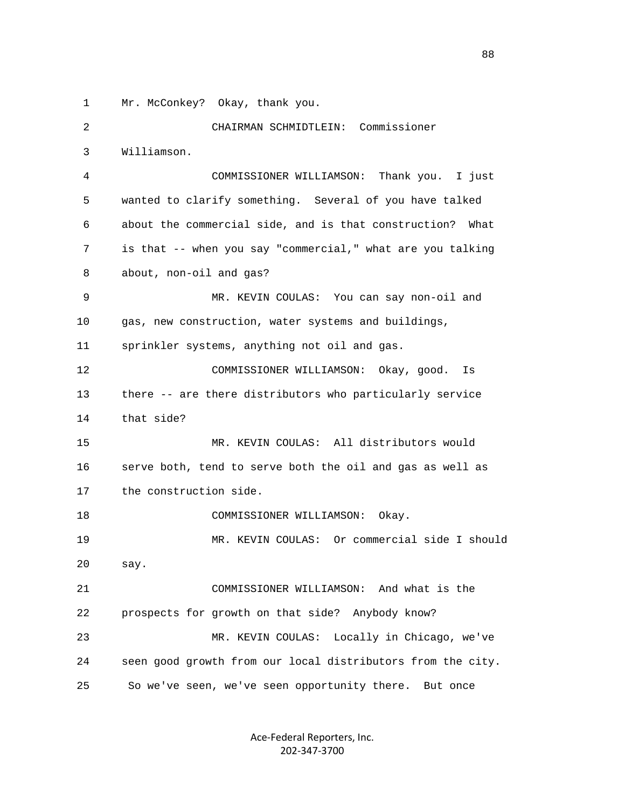1 Mr. McConkey? Okay, thank you.

 2 CHAIRMAN SCHMIDTLEIN: Commissioner 3 Williamson. 4 COMMISSIONER WILLIAMSON: Thank you. I just 5 wanted to clarify something. Several of you have talked 6 about the commercial side, and is that construction? What 7 is that -- when you say "commercial," what are you talking 8 about, non-oil and gas? 9 MR. KEVIN COULAS: You can say non-oil and 10 gas, new construction, water systems and buildings, 11 sprinkler systems, anything not oil and gas. 12 COMMISSIONER WILLIAMSON: Okay, good. Is 13 there -- are there distributors who particularly service 14 that side? 15 MR. KEVIN COULAS: All distributors would 16 serve both, tend to serve both the oil and gas as well as 17 the construction side. 18 COMMISSIONER WILLIAMSON: Okay. 19 MR. KEVIN COULAS: Or commercial side I should 20 say. 21 COMMISSIONER WILLIAMSON: And what is the 22 prospects for growth on that side? Anybody know? 23 MR. KEVIN COULAS: Locally in Chicago, we've 24 seen good growth from our local distributors from the city. 25 So we've seen, we've seen opportunity there. But once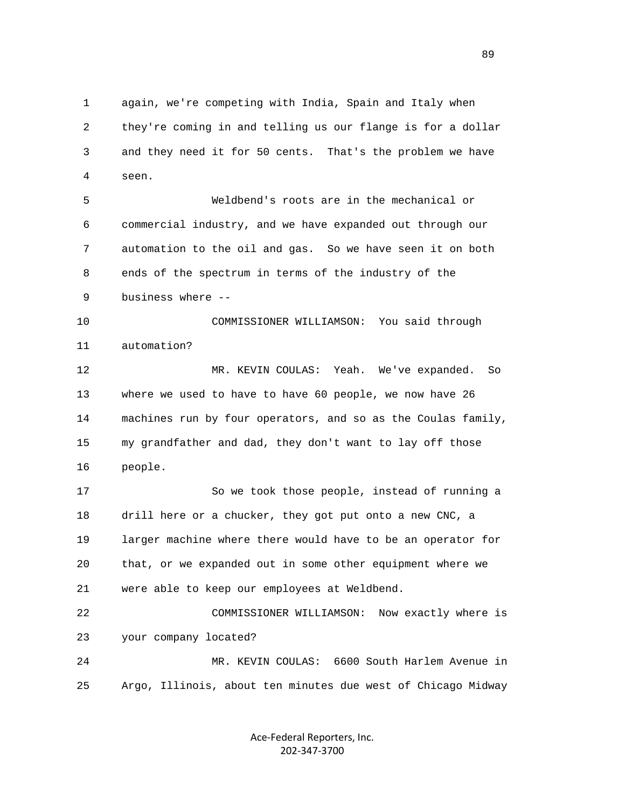1 again, we're competing with India, Spain and Italy when 2 they're coming in and telling us our flange is for a dollar 3 and they need it for 50 cents. That's the problem we have 4 seen.

 5 Weldbend's roots are in the mechanical or 6 commercial industry, and we have expanded out through our 7 automation to the oil and gas. So we have seen it on both 8 ends of the spectrum in terms of the industry of the 9 business where --

 10 COMMISSIONER WILLIAMSON: You said through 11 automation?

 12 MR. KEVIN COULAS: Yeah. We've expanded. So 13 where we used to have to have 60 people, we now have 26 14 machines run by four operators, and so as the Coulas family, 15 my grandfather and dad, they don't want to lay off those 16 people.

 17 So we took those people, instead of running a 18 drill here or a chucker, they got put onto a new CNC, a 19 larger machine where there would have to be an operator for 20 that, or we expanded out in some other equipment where we 21 were able to keep our employees at Weldbend.

 22 COMMISSIONER WILLIAMSON: Now exactly where is 23 your company located?

 24 MR. KEVIN COULAS: 6600 South Harlem Avenue in 25 Argo, Illinois, about ten minutes due west of Chicago Midway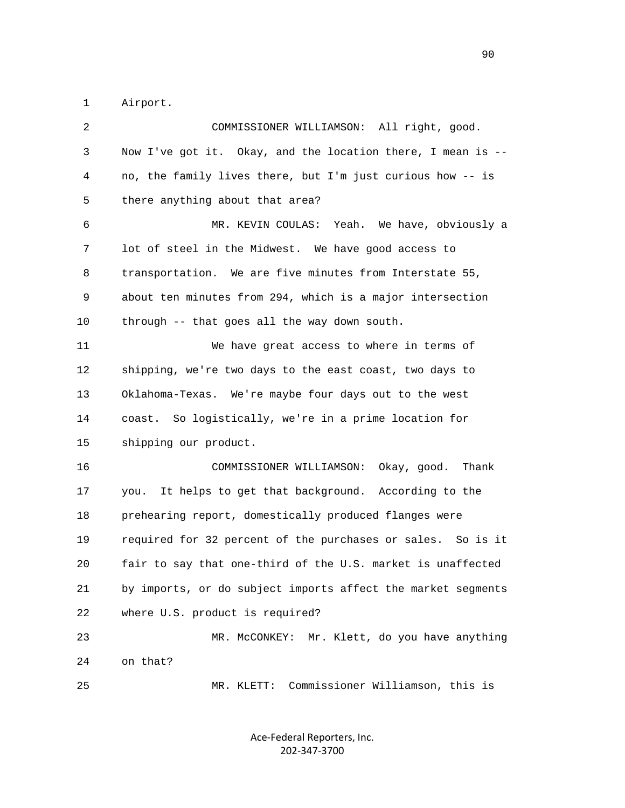1 Airport.

| 2  | COMMISSIONER WILLIAMSON: All right, good.                    |
|----|--------------------------------------------------------------|
| 3  | Now I've got it. Okay, and the location there, I mean is --  |
| 4  | no, the family lives there, but I'm just curious how -- is   |
| 5  | there anything about that area?                              |
| 6  | MR. KEVIN COULAS: Yeah. We have, obviously a                 |
| 7  | lot of steel in the Midwest. We have good access to          |
| 8  | transportation. We are five minutes from Interstate 55,      |
| 9  | about ten minutes from 294, which is a major intersection    |
| 10 | through -- that goes all the way down south.                 |
| 11 | We have great access to where in terms of                    |
| 12 | shipping, we're two days to the east coast, two days to      |
| 13 | Oklahoma-Texas. We're maybe four days out to the west        |
| 14 | coast. So logistically, we're in a prime location for        |
| 15 | shipping our product.                                        |
| 16 | COMMISSIONER WILLIAMSON:<br>Okay, good. Thank                |
| 17 | It helps to get that background. According to the<br>you.    |
| 18 | prehearing report, domestically produced flanges were        |
| 19 | required for 32 percent of the purchases or sales. So is it  |
| 20 | fair to say that one-third of the U.S. market is unaffected  |
| 21 | by imports, or do subject imports affect the market segments |
| 22 | where U.S. product is required?                              |
| 23 | Mr. Klett, do you have anything<br>MR. MCCONKEY:             |
| 24 | on that?                                                     |
| 25 | Commissioner Williamson, this is<br>MR. KLETT:               |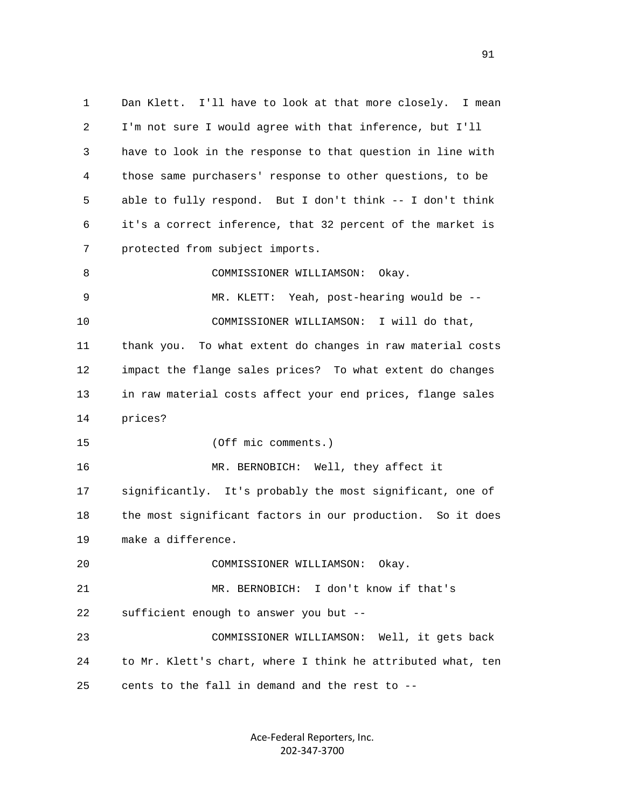1 Dan Klett. I'll have to look at that more closely. I mean 2 I'm not sure I would agree with that inference, but I'll 3 have to look in the response to that question in line with 4 those same purchasers' response to other questions, to be 5 able to fully respond. But I don't think -- I don't think 6 it's a correct inference, that 32 percent of the market is 7 protected from subject imports. 8 COMMISSIONER WILLIAMSON: Okay. 9 MR. KLETT: Yeah, post-hearing would be -- 10 COMMISSIONER WILLIAMSON: I will do that, 11 thank you. To what extent do changes in raw material costs 12 impact the flange sales prices? To what extent do changes 13 in raw material costs affect your end prices, flange sales 14 prices? 15 (Off mic comments.) 16 MR. BERNOBICH: Well, they affect it 17 significantly. It's probably the most significant, one of 18 the most significant factors in our production. So it does 19 make a difference. 20 COMMISSIONER WILLIAMSON: Okay. 21 MR. BERNOBICH: I don't know if that's 22 sufficient enough to answer you but -- 23 COMMISSIONER WILLIAMSON: Well, it gets back 24 to Mr. Klett's chart, where I think he attributed what, ten 25 cents to the fall in demand and the rest to --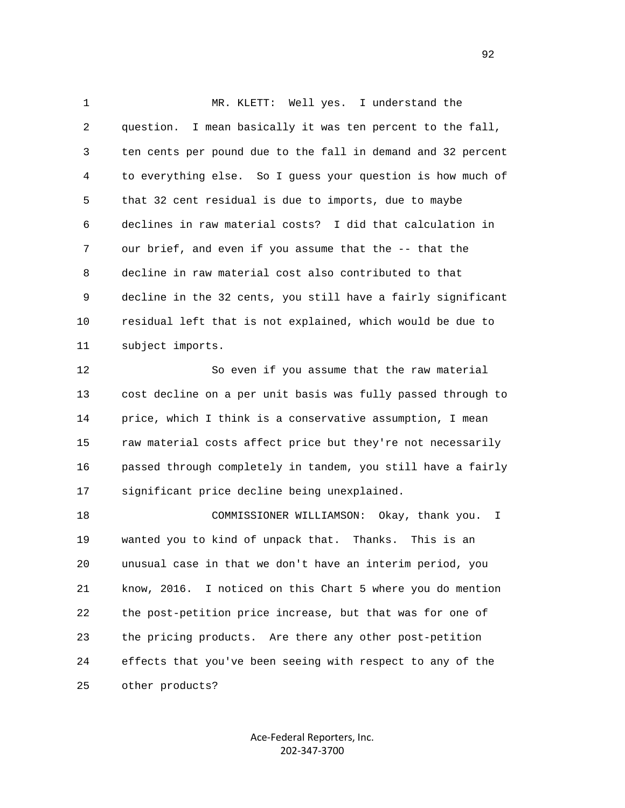1 MR. KLETT: Well yes. I understand the 2 question. I mean basically it was ten percent to the fall, 3 ten cents per pound due to the fall in demand and 32 percent 4 to everything else. So I guess your question is how much of 5 that 32 cent residual is due to imports, due to maybe 6 declines in raw material costs? I did that calculation in 7 our brief, and even if you assume that the -- that the 8 decline in raw material cost also contributed to that 9 decline in the 32 cents, you still have a fairly significant 10 residual left that is not explained, which would be due to 11 subject imports.

 12 So even if you assume that the raw material 13 cost decline on a per unit basis was fully passed through to 14 price, which I think is a conservative assumption, I mean 15 raw material costs affect price but they're not necessarily 16 passed through completely in tandem, you still have a fairly 17 significant price decline being unexplained.

 18 COMMISSIONER WILLIAMSON: Okay, thank you. I 19 wanted you to kind of unpack that. Thanks. This is an 20 unusual case in that we don't have an interim period, you 21 know, 2016. I noticed on this Chart 5 where you do mention 22 the post-petition price increase, but that was for one of 23 the pricing products. Are there any other post-petition 24 effects that you've been seeing with respect to any of the 25 other products?

> Ace‐Federal Reporters, Inc. 202‐347‐3700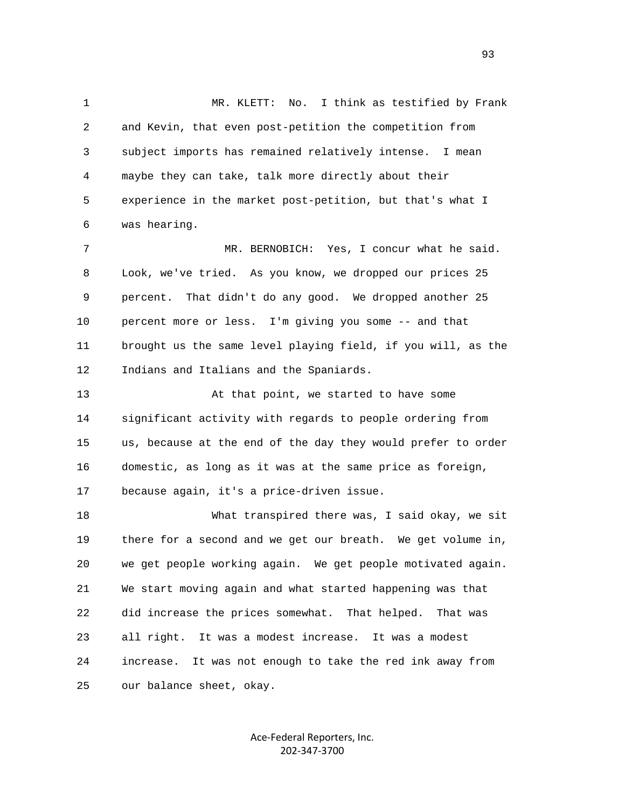1 MR. KLETT: No. I think as testified by Frank 2 and Kevin, that even post-petition the competition from 3 subject imports has remained relatively intense. I mean 4 maybe they can take, talk more directly about their 5 experience in the market post-petition, but that's what I 6 was hearing. 7 MR. BERNOBICH: Yes, I concur what he said. 8 Look, we've tried. As you know, we dropped our prices 25 9 percent. That didn't do any good. We dropped another 25 10 percent more or less. I'm giving you some -- and that 11 brought us the same level playing field, if you will, as the 12 Indians and Italians and the Spaniards. 13 At that point, we started to have some 14 significant activity with regards to people ordering from 15 us, because at the end of the day they would prefer to order 16 domestic, as long as it was at the same price as foreign, 17 because again, it's a price-driven issue. 18 What transpired there was, I said okay, we sit 19 there for a second and we get our breath. We get volume in, 20 we get people working again. We get people motivated again. 21 We start moving again and what started happening was that 22 did increase the prices somewhat. That helped. That was 23 all right. It was a modest increase. It was a modest 24 increase. It was not enough to take the red ink away from 25 our balance sheet, okay.

> Ace‐Federal Reporters, Inc. 202‐347‐3700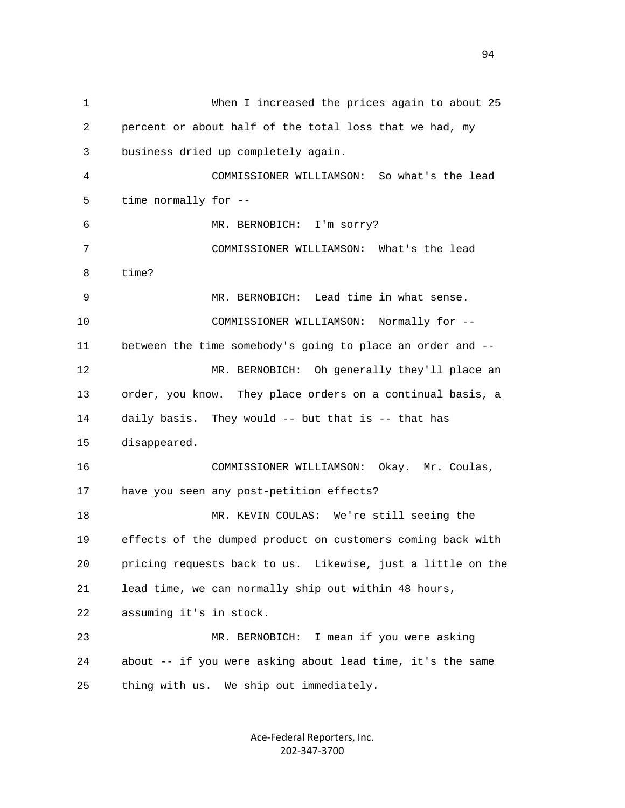1 When I increased the prices again to about 25 2 percent or about half of the total loss that we had, my 3 business dried up completely again. 4 COMMISSIONER WILLIAMSON: So what's the lead 5 time normally for -- 6 MR. BERNOBICH: I'm sorry? 7 COMMISSIONER WILLIAMSON: What's the lead 8 time? 9 MR. BERNOBICH: Lead time in what sense. 10 COMMISSIONER WILLIAMSON: Normally for -- 11 between the time somebody's going to place an order and -- 12 MR. BERNOBICH: Oh generally they'll place an 13 order, you know. They place orders on a continual basis, a 14 daily basis. They would -- but that is -- that has 15 disappeared. 16 COMMISSIONER WILLIAMSON: Okay. Mr. Coulas, 17 have you seen any post-petition effects? 18 MR. KEVIN COULAS: We're still seeing the 19 effects of the dumped product on customers coming back with 20 pricing requests back to us. Likewise, just a little on the 21 lead time, we can normally ship out within 48 hours, 22 assuming it's in stock. 23 MR. BERNOBICH: I mean if you were asking 24 about -- if you were asking about lead time, it's the same 25 thing with us. We ship out immediately.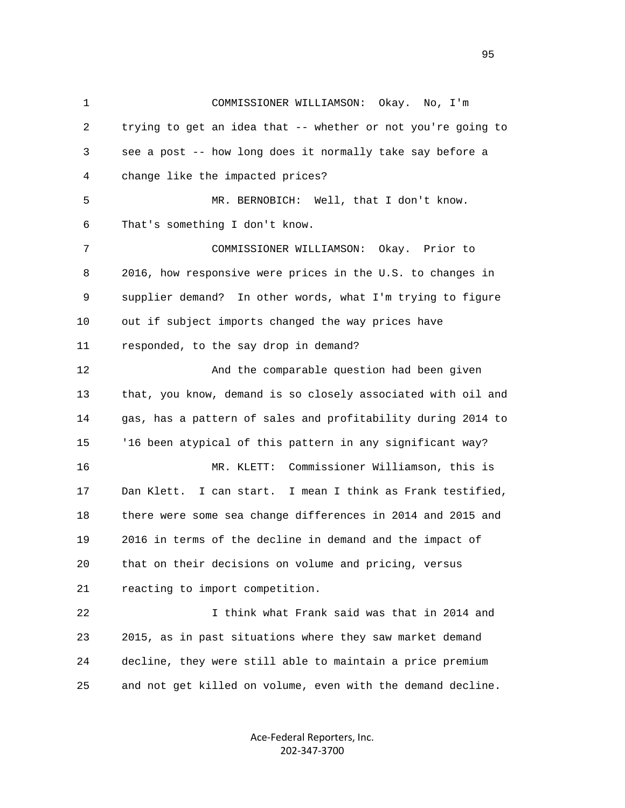1 COMMISSIONER WILLIAMSON: Okay. No, I'm 2 trying to get an idea that -- whether or not you're going to 3 see a post -- how long does it normally take say before a 4 change like the impacted prices? 5 MR. BERNOBICH: Well, that I don't know. 6 That's something I don't know. 7 COMMISSIONER WILLIAMSON: Okay. Prior to 8 2016, how responsive were prices in the U.S. to changes in 9 supplier demand? In other words, what I'm trying to figure 10 out if subject imports changed the way prices have 11 responded, to the say drop in demand? 12 And the comparable question had been given 13 that, you know, demand is so closely associated with oil and 14 gas, has a pattern of sales and profitability during 2014 to 15 '16 been atypical of this pattern in any significant way? 16 MR. KLETT: Commissioner Williamson, this is 17 Dan Klett. I can start. I mean I think as Frank testified, 18 there were some sea change differences in 2014 and 2015 and 19 2016 in terms of the decline in demand and the impact of 20 that on their decisions on volume and pricing, versus 21 reacting to import competition. 22 I think what Frank said was that in 2014 and 23 2015, as in past situations where they saw market demand 24 decline, they were still able to maintain a price premium 25 and not get killed on volume, even with the demand decline.

> Ace‐Federal Reporters, Inc. 202‐347‐3700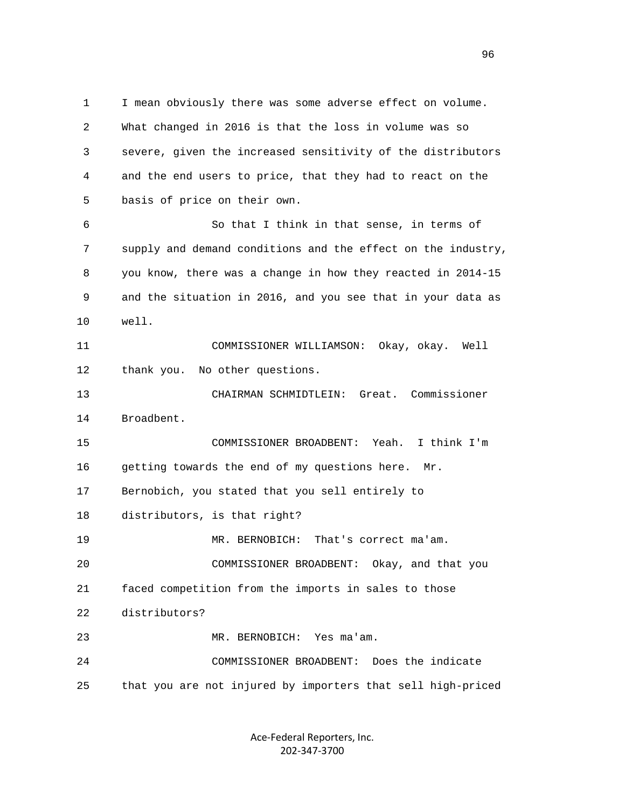1 I mean obviously there was some adverse effect on volume. 2 What changed in 2016 is that the loss in volume was so 3 severe, given the increased sensitivity of the distributors 4 and the end users to price, that they had to react on the 5 basis of price on their own. 6 So that I think in that sense, in terms of 7 supply and demand conditions and the effect on the industry, 8 you know, there was a change in how they reacted in 2014-15 9 and the situation in 2016, and you see that in your data as 10 well. 11 COMMISSIONER WILLIAMSON: Okay, okay. Well 12 thank you. No other questions. 13 CHAIRMAN SCHMIDTLEIN: Great. Commissioner 14 Broadbent. 15 COMMISSIONER BROADBENT: Yeah. I think I'm 16 getting towards the end of my questions here. Mr. 17 Bernobich, you stated that you sell entirely to 18 distributors, is that right? 19 MR. BERNOBICH: That's correct ma'am. 20 COMMISSIONER BROADBENT: Okay, and that you 21 faced competition from the imports in sales to those 22 distributors? 23 MR. BERNOBICH: Yes ma'am. 24 COMMISSIONER BROADBENT: Does the indicate 25 that you are not injured by importers that sell high-priced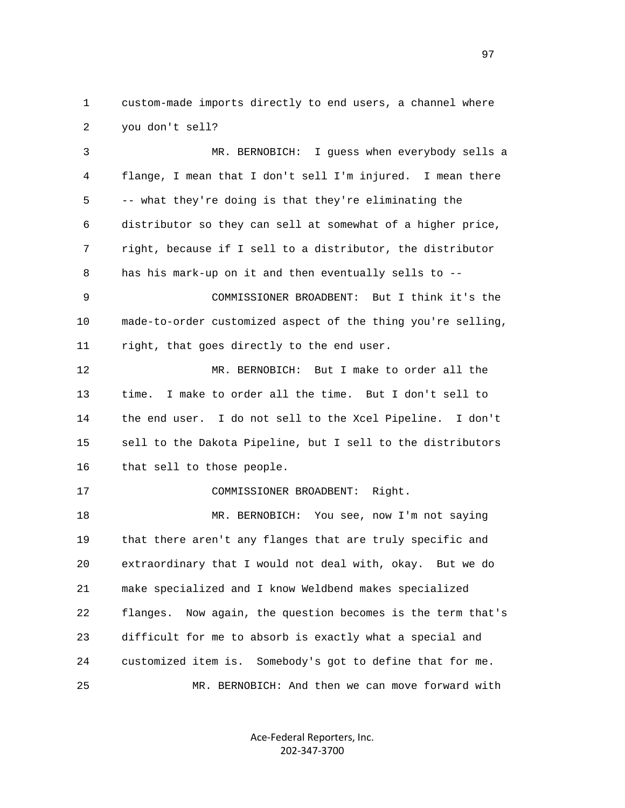1 custom-made imports directly to end users, a channel where 2 you don't sell?

 3 MR. BERNOBICH: I guess when everybody sells a 4 flange, I mean that I don't sell I'm injured. I mean there 5 -- what they're doing is that they're eliminating the 6 distributor so they can sell at somewhat of a higher price, 7 right, because if I sell to a distributor, the distributor 8 has his mark-up on it and then eventually sells to -- 9 COMMISSIONER BROADBENT: But I think it's the 10 made-to-order customized aspect of the thing you're selling, 11 right, that goes directly to the end user. 12 MR. BERNOBICH: But I make to order all the 13 time. I make to order all the time. But I don't sell to 14 the end user. I do not sell to the Xcel Pipeline. I don't 15 sell to the Dakota Pipeline, but I sell to the distributors 16 that sell to those people. 17 COMMISSIONER BROADBENT: Right. 18 MR. BERNOBICH: You see, now I'm not saying 19 that there aren't any flanges that are truly specific and 20 extraordinary that I would not deal with, okay. But we do 21 make specialized and I know Weldbend makes specialized 22 flanges. Now again, the question becomes is the term that's 23 difficult for me to absorb is exactly what a special and 24 customized item is. Somebody's got to define that for me.

> Ace‐Federal Reporters, Inc. 202‐347‐3700

25 MR. BERNOBICH: And then we can move forward with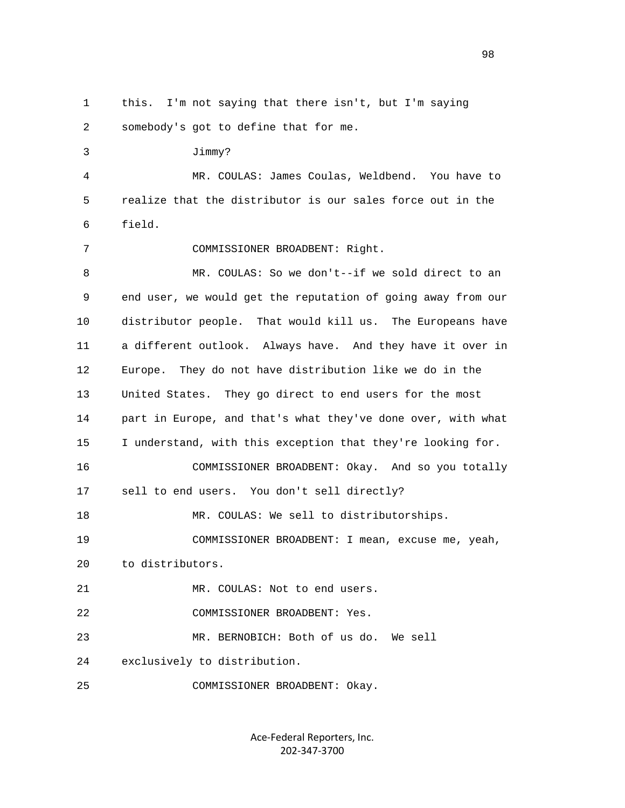1 this. I'm not saying that there isn't, but I'm saying 2 somebody's got to define that for me. 3 Jimmy? 4 MR. COULAS: James Coulas, Weldbend. You have to 5 realize that the distributor is our sales force out in the 6 field. 7 COMMISSIONER BROADBENT: Right. 8 MR. COULAS: So we don't--if we sold direct to an 9 end user, we would get the reputation of going away from our 10 distributor people. That would kill us. The Europeans have 11 a different outlook. Always have. And they have it over in 12 Europe. They do not have distribution like we do in the 13 United States. They go direct to end users for the most 14 part in Europe, and that's what they've done over, with what 15 I understand, with this exception that they're looking for. 16 COMMISSIONER BROADBENT: Okay. And so you totally 17 sell to end users. You don't sell directly? 18 MR. COULAS: We sell to distributorships. 19 COMMISSIONER BROADBENT: I mean, excuse me, yeah, 20 to distributors. 21 MR. COULAS: Not to end users. 22 COMMISSIONER BROADBENT: Yes. 23 MR. BERNOBICH: Both of us do. We sell 24 exclusively to distribution. 25 COMMISSIONER BROADBENT: Okay.

> Ace‐Federal Reporters, Inc. 202‐347‐3700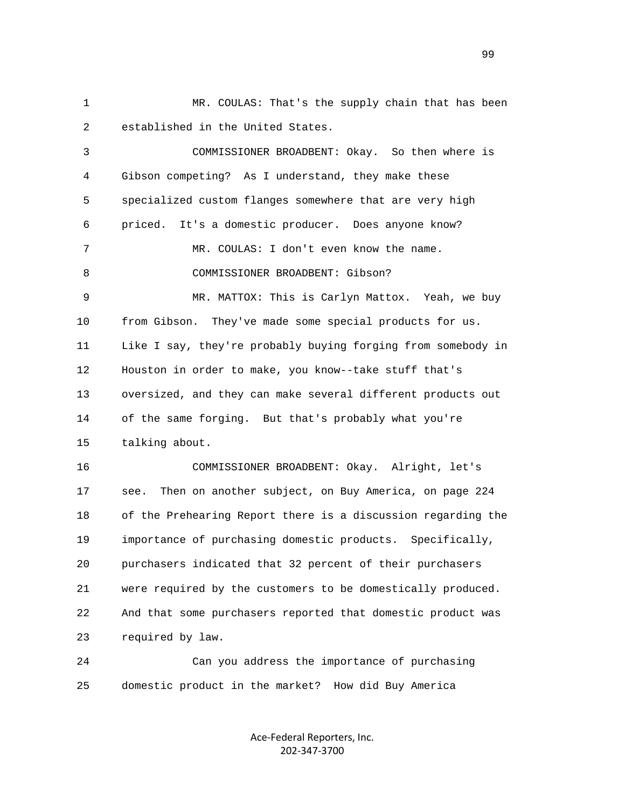1 MR. COULAS: That's the supply chain that has been 2 established in the United States.

 3 COMMISSIONER BROADBENT: Okay. So then where is 4 Gibson competing? As I understand, they make these 5 specialized custom flanges somewhere that are very high 6 priced. It's a domestic producer. Does anyone know? 7 MR. COULAS: I don't even know the name. 8 COMMISSIONER BROADBENT: Gibson? 9 MR. MATTOX: This is Carlyn Mattox. Yeah, we buy 10 from Gibson. They've made some special products for us. 11 Like I say, they're probably buying forging from somebody in 12 Houston in order to make, you know--take stuff that's 13 oversized, and they can make several different products out 14 of the same forging. But that's probably what you're 15 talking about. 16 COMMISSIONER BROADBENT: Okay. Alright, let's 17 see. Then on another subject, on Buy America, on page 224 18 of the Prehearing Report there is a discussion regarding the 19 importance of purchasing domestic products. Specifically, 20 purchasers indicated that 32 percent of their purchasers 21 were required by the customers to be domestically produced. 22 And that some purchasers reported that domestic product was 23 required by law.

 24 Can you address the importance of purchasing 25 domestic product in the market? How did Buy America

> Ace‐Federal Reporters, Inc. 202‐347‐3700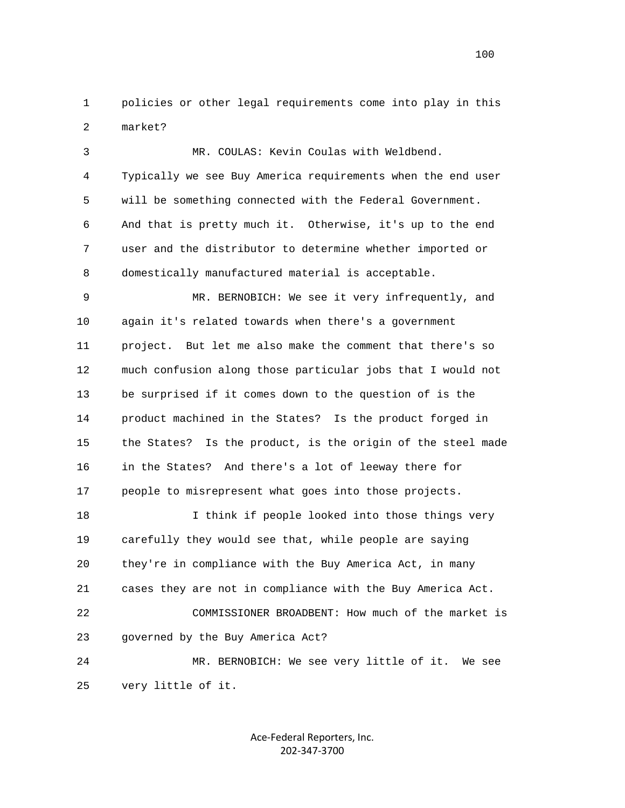1 policies or other legal requirements come into play in this 2 market?

 3 MR. COULAS: Kevin Coulas with Weldbend. 4 Typically we see Buy America requirements when the end user 5 will be something connected with the Federal Government. 6 And that is pretty much it. Otherwise, it's up to the end 7 user and the distributor to determine whether imported or 8 domestically manufactured material is acceptable.

 9 MR. BERNOBICH: We see it very infrequently, and 10 again it's related towards when there's a government 11 project. But let me also make the comment that there's so 12 much confusion along those particular jobs that I would not 13 be surprised if it comes down to the question of is the 14 product machined in the States? Is the product forged in 15 the States? Is the product, is the origin of the steel made 16 in the States? And there's a lot of leeway there for 17 people to misrepresent what goes into those projects.

 18 I think if people looked into those things very 19 carefully they would see that, while people are saying 20 they're in compliance with the Buy America Act, in many 21 cases they are not in compliance with the Buy America Act. 22 COMMISSIONER BROADBENT: How much of the market is 23 governed by the Buy America Act? 24 MR. BERNOBICH: We see very little of it. We see

25 very little of it.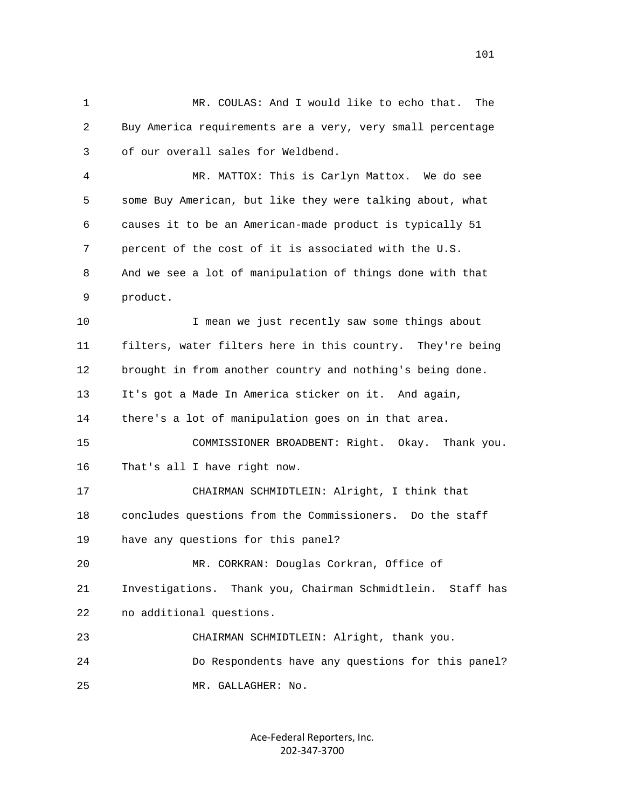1 MR. COULAS: And I would like to echo that. The 2 Buy America requirements are a very, very small percentage 3 of our overall sales for Weldbend.

 4 MR. MATTOX: This is Carlyn Mattox. We do see 5 some Buy American, but like they were talking about, what 6 causes it to be an American-made product is typically 51 7 percent of the cost of it is associated with the U.S. 8 And we see a lot of manipulation of things done with that 9 product.

 10 I mean we just recently saw some things about 11 filters, water filters here in this country. They're being 12 brought in from another country and nothing's being done. 13 It's got a Made In America sticker on it. And again, 14 there's a lot of manipulation goes on in that area. 15 COMMISSIONER BROADBENT: Right. Okay. Thank you. 16 That's all I have right now. 17 CHAIRMAN SCHMIDTLEIN: Alright, I think that 18 concludes questions from the Commissioners. Do the staff 19 have any questions for this panel? 20 MR. CORKRAN: Douglas Corkran, Office of 21 Investigations. Thank you, Chairman Schmidtlein. Staff has 22 no additional questions.

23 CHAIRMAN SCHMIDTLEIN: Alright, thank you.

 24 Do Respondents have any questions for this panel? 25 MR. GALLAGHER: No.

> Ace‐Federal Reporters, Inc. 202‐347‐3700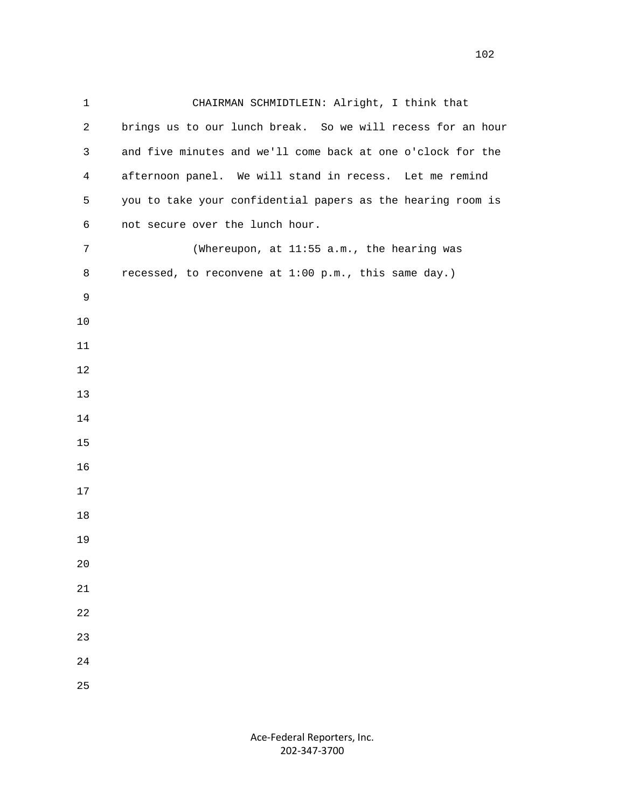1 CHAIRMAN SCHMIDTLEIN: Alright, I think that 2 brings us to our lunch break. So we will recess for an hour 3 and five minutes and we'll come back at one o'clock for the 4 afternoon panel. We will stand in recess. Let me remind 5 you to take your confidential papers as the hearing room is 6 not secure over the lunch hour. 7 (Whereupon, at 11:55 a.m., the hearing was 8 recessed, to reconvene at 1:00 p.m., this same day.)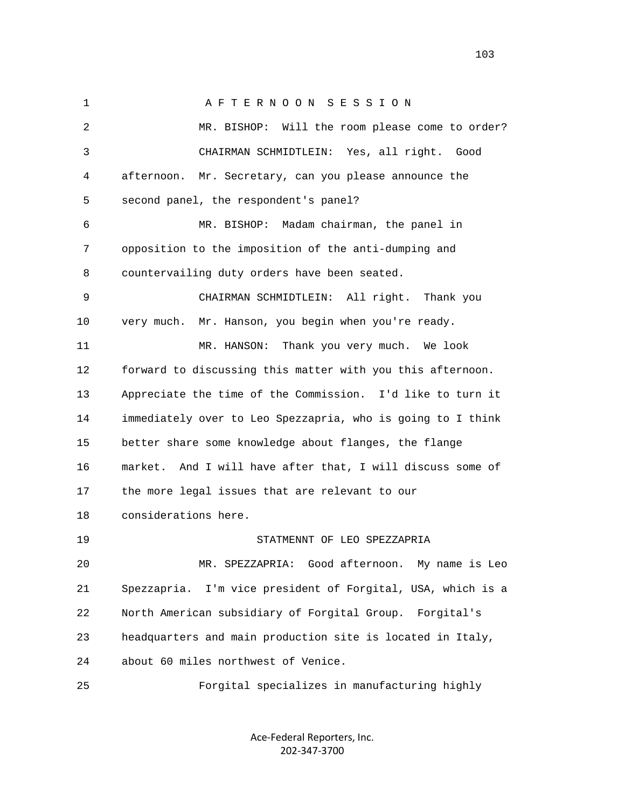1 A F T E R N O O N S E S S I O N 2 MR. BISHOP: Will the room please come to order? 3 CHAIRMAN SCHMIDTLEIN: Yes, all right. Good 4 afternoon. Mr. Secretary, can you please announce the 5 second panel, the respondent's panel? 6 MR. BISHOP: Madam chairman, the panel in 7 opposition to the imposition of the anti-dumping and 8 countervailing duty orders have been seated. 9 CHAIRMAN SCHMIDTLEIN: All right. Thank you 10 very much. Mr. Hanson, you begin when you're ready. 11 MR. HANSON: Thank you very much. We look 12 forward to discussing this matter with you this afternoon. 13 Appreciate the time of the Commission. I'd like to turn it 14 immediately over to Leo Spezzapria, who is going to I think 15 better share some knowledge about flanges, the flange 16 market. And I will have after that, I will discuss some of 17 the more legal issues that are relevant to our 18 considerations here. 19 STATMENNT OF LEO SPEZZAPRIA 20 MR. SPEZZAPRIA: Good afternoon. My name is Leo 21 Spezzapria. I'm vice president of Forgital, USA, which is a 22 North American subsidiary of Forgital Group. Forgital's 23 headquarters and main production site is located in Italy, 24 about 60 miles northwest of Venice. 25 Forgital specializes in manufacturing highly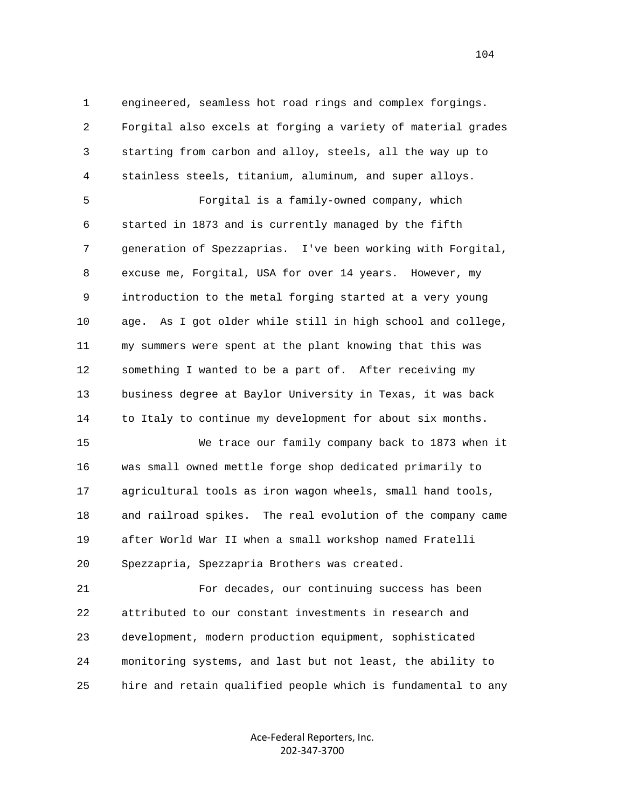1 engineered, seamless hot road rings and complex forgings. 2 Forgital also excels at forging a variety of material grades 3 starting from carbon and alloy, steels, all the way up to 4 stainless steels, titanium, aluminum, and super alloys.

 5 Forgital is a family-owned company, which 6 started in 1873 and is currently managed by the fifth 7 generation of Spezzaprias. I've been working with Forgital, 8 excuse me, Forgital, USA for over 14 years. However, my 9 introduction to the metal forging started at a very young 10 age. As I got older while still in high school and college, 11 my summers were spent at the plant knowing that this was 12 something I wanted to be a part of. After receiving my 13 business degree at Baylor University in Texas, it was back 14 to Italy to continue my development for about six months.

 15 We trace our family company back to 1873 when it 16 was small owned mettle forge shop dedicated primarily to 17 agricultural tools as iron wagon wheels, small hand tools, 18 and railroad spikes. The real evolution of the company came 19 after World War II when a small workshop named Fratelli 20 Spezzapria, Spezzapria Brothers was created.

 21 For decades, our continuing success has been 22 attributed to our constant investments in research and 23 development, modern production equipment, sophisticated 24 monitoring systems, and last but not least, the ability to 25 hire and retain qualified people which is fundamental to any

> Ace‐Federal Reporters, Inc. 202‐347‐3700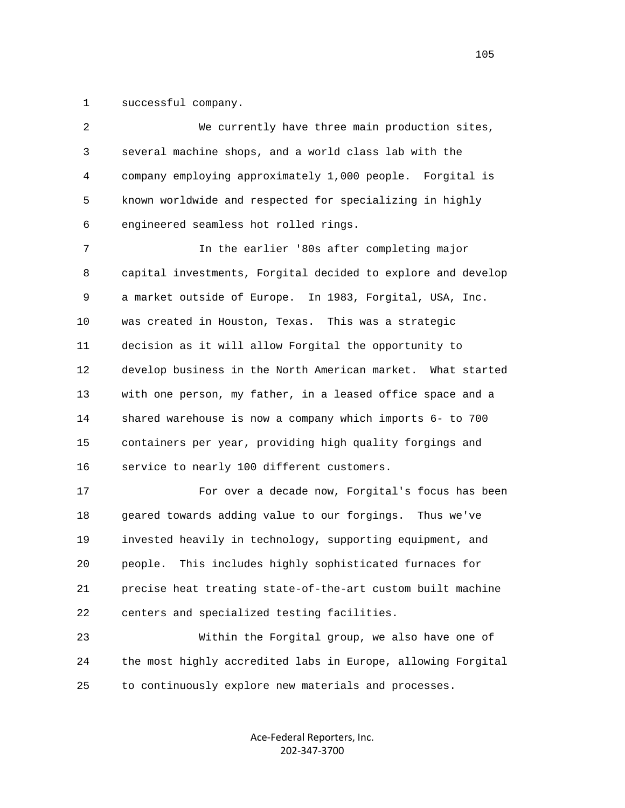1 successful company.

| 2            | We currently have three main production sites,               |
|--------------|--------------------------------------------------------------|
| $\mathsf{3}$ | several machine shops, and a world class lab with the        |
| 4            | company employing approximately 1,000 people. Forgital is    |
| 5            | known worldwide and respected for specializing in highly     |
| 6            | engineered seamless hot rolled rings.                        |
| 7            | In the earlier '80s after completing major                   |
| 8            | capital investments, Forgital decided to explore and develop |
| 9            | a market outside of Europe. In 1983, Forgital, USA, Inc.     |
| $10$         | was created in Houston, Texas. This was a strategic          |
| 11           | decision as it will allow Forgital the opportunity to        |
| 12           | develop business in the North American market. What started  |
| 13           | with one person, my father, in a leased office space and a   |
| 14           | shared warehouse is now a company which imports 6- to 700    |
| 15           | containers per year, providing high quality forgings and     |
| 16           | service to nearly 100 different customers.                   |
| 17           | For over a decade now, Forgital's focus has been             |
| 18           | geared towards adding value to our forgings.<br>Thus we've   |
| 19           | invested heavily in technology, supporting equipment, and    |
| 20           | This includes highly sophisticated furnaces for<br>people.   |
| 21           | precise heat treating state-of-the-art custom built machine  |
| 22           | centers and specialized testing facilities.                  |
| 23           | Within the Forgital group, we also have one of               |

 24 the most highly accredited labs in Europe, allowing Forgital 25 to continuously explore new materials and processes.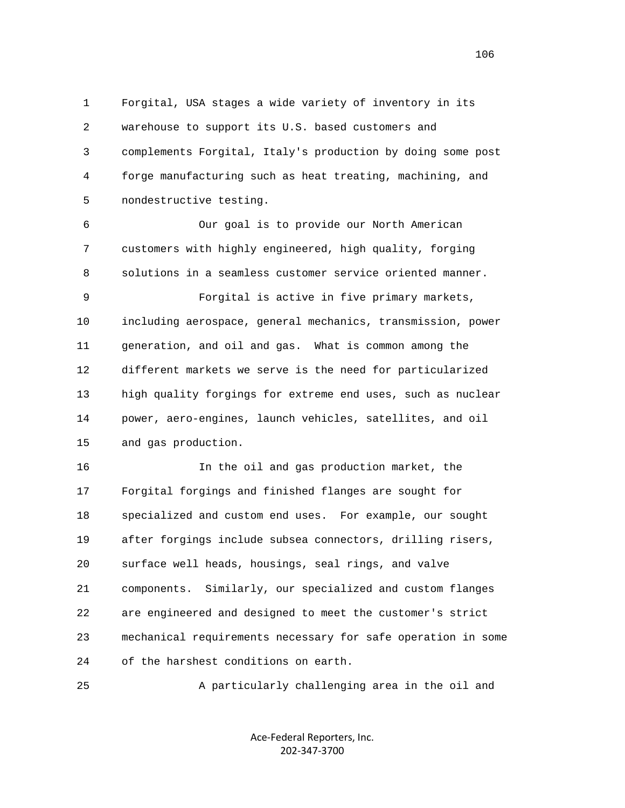1 Forgital, USA stages a wide variety of inventory in its 2 warehouse to support its U.S. based customers and 3 complements Forgital, Italy's production by doing some post 4 forge manufacturing such as heat treating, machining, and 5 nondestructive testing.

 6 Our goal is to provide our North American 7 customers with highly engineered, high quality, forging 8 solutions in a seamless customer service oriented manner.

 9 Forgital is active in five primary markets, 10 including aerospace, general mechanics, transmission, power 11 generation, and oil and gas. What is common among the 12 different markets we serve is the need for particularized 13 high quality forgings for extreme end uses, such as nuclear 14 power, aero-engines, launch vehicles, satellites, and oil 15 and gas production.

 16 In the oil and gas production market, the 17 Forgital forgings and finished flanges are sought for 18 specialized and custom end uses. For example, our sought 19 after forgings include subsea connectors, drilling risers, 20 surface well heads, housings, seal rings, and valve 21 components. Similarly, our specialized and custom flanges 22 are engineered and designed to meet the customer's strict 23 mechanical requirements necessary for safe operation in some 24 of the harshest conditions on earth.

25 A particularly challenging area in the oil and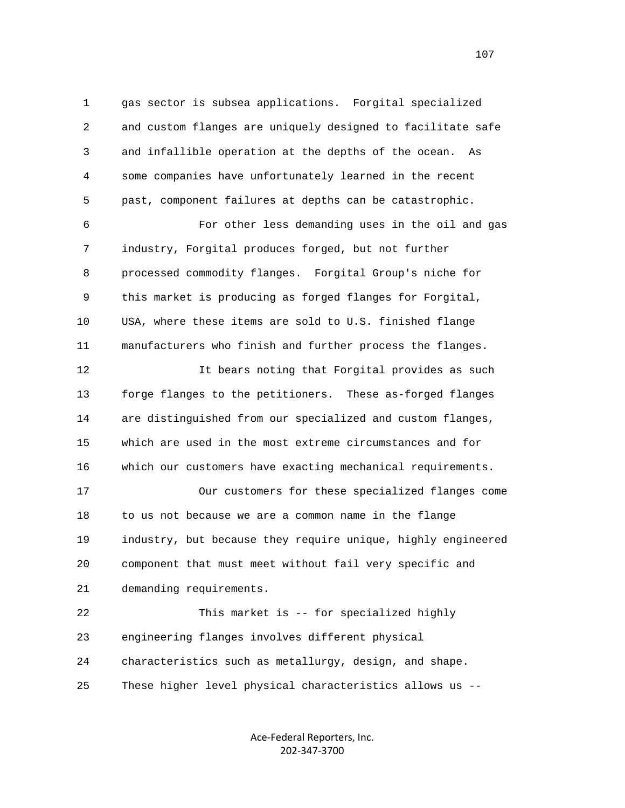1 gas sector is subsea applications. Forgital specialized 2 and custom flanges are uniquely designed to facilitate safe 3 and infallible operation at the depths of the ocean. As 4 some companies have unfortunately learned in the recent 5 past, component failures at depths can be catastrophic. 6 For other less demanding uses in the oil and gas 7 industry, Forgital produces forged, but not further 8 processed commodity flanges. Forgital Group's niche for 9 this market is producing as forged flanges for Forgital, 10 USA, where these items are sold to U.S. finished flange 11 manufacturers who finish and further process the flanges. 12 It bears noting that Forgital provides as such 13 forge flanges to the petitioners. These as-forged flanges 14 are distinguished from our specialized and custom flanges, 15 which are used in the most extreme circumstances and for

16 which our customers have exacting mechanical requirements.

 17 Our customers for these specialized flanges come 18 to us not because we are a common name in the flange 19 industry, but because they require unique, highly engineered 20 component that must meet without fail very specific and 21 demanding requirements.

 22 This market is -- for specialized highly 23 engineering flanges involves different physical 24 characteristics such as metallurgy, design, and shape. 25 These higher level physical characteristics allows us --

> Ace‐Federal Reporters, Inc. 202‐347‐3700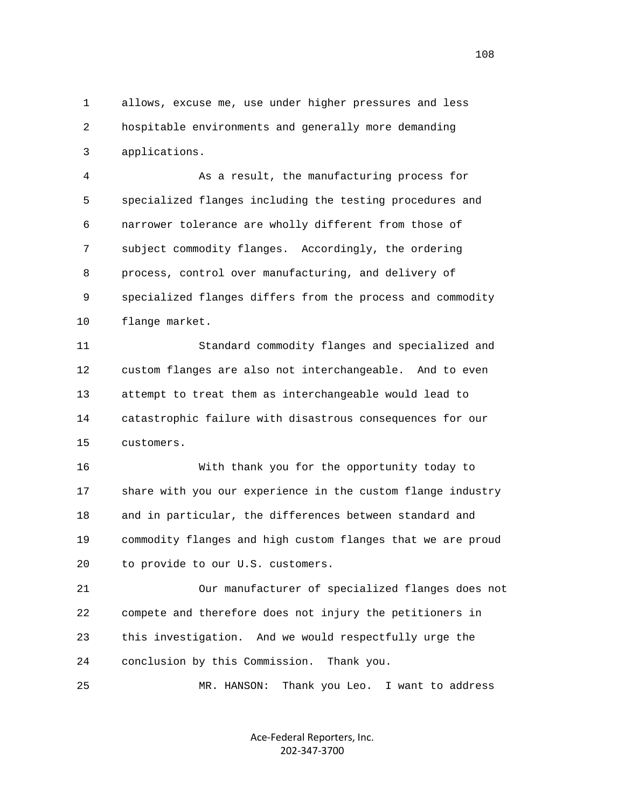1 allows, excuse me, use under higher pressures and less 2 hospitable environments and generally more demanding 3 applications.

 4 As a result, the manufacturing process for 5 specialized flanges including the testing procedures and 6 narrower tolerance are wholly different from those of 7 subject commodity flanges. Accordingly, the ordering 8 process, control over manufacturing, and delivery of 9 specialized flanges differs from the process and commodity 10 flange market.

 11 Standard commodity flanges and specialized and 12 custom flanges are also not interchangeable. And to even 13 attempt to treat them as interchangeable would lead to 14 catastrophic failure with disastrous consequences for our 15 customers.

 16 With thank you for the opportunity today to 17 share with you our experience in the custom flange industry 18 and in particular, the differences between standard and 19 commodity flanges and high custom flanges that we are proud 20 to provide to our U.S. customers.

 21 Our manufacturer of specialized flanges does not 22 compete and therefore does not injury the petitioners in 23 this investigation. And we would respectfully urge the 24 conclusion by this Commission. Thank you.

25 MR. HANSON: Thank you Leo. I want to address

Ace‐Federal Reporters, Inc. 202‐347‐3700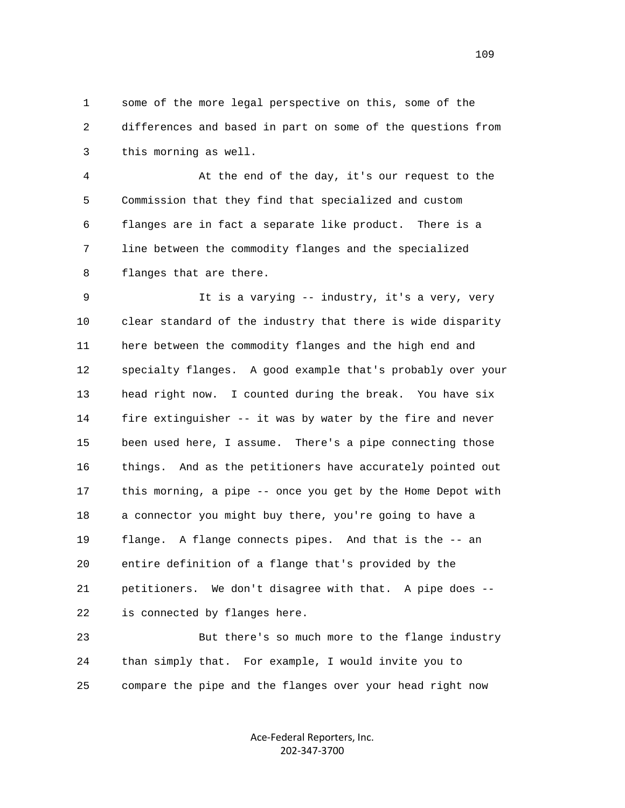1 some of the more legal perspective on this, some of the 2 differences and based in part on some of the questions from 3 this morning as well.

 4 At the end of the day, it's our request to the 5 Commission that they find that specialized and custom 6 flanges are in fact a separate like product. There is a 7 line between the commodity flanges and the specialized 8 flanges that are there.

 9 It is a varying -- industry, it's a very, very 10 clear standard of the industry that there is wide disparity 11 here between the commodity flanges and the high end and 12 specialty flanges. A good example that's probably over your 13 head right now. I counted during the break. You have six 14 fire extinguisher -- it was by water by the fire and never 15 been used here, I assume. There's a pipe connecting those 16 things. And as the petitioners have accurately pointed out 17 this morning, a pipe -- once you get by the Home Depot with 18 a connector you might buy there, you're going to have a 19 flange. A flange connects pipes. And that is the -- an 20 entire definition of a flange that's provided by the 21 petitioners. We don't disagree with that. A pipe does -- 22 is connected by flanges here.

 23 But there's so much more to the flange industry 24 than simply that. For example, I would invite you to 25 compare the pipe and the flanges over your head right now

> Ace‐Federal Reporters, Inc. 202‐347‐3700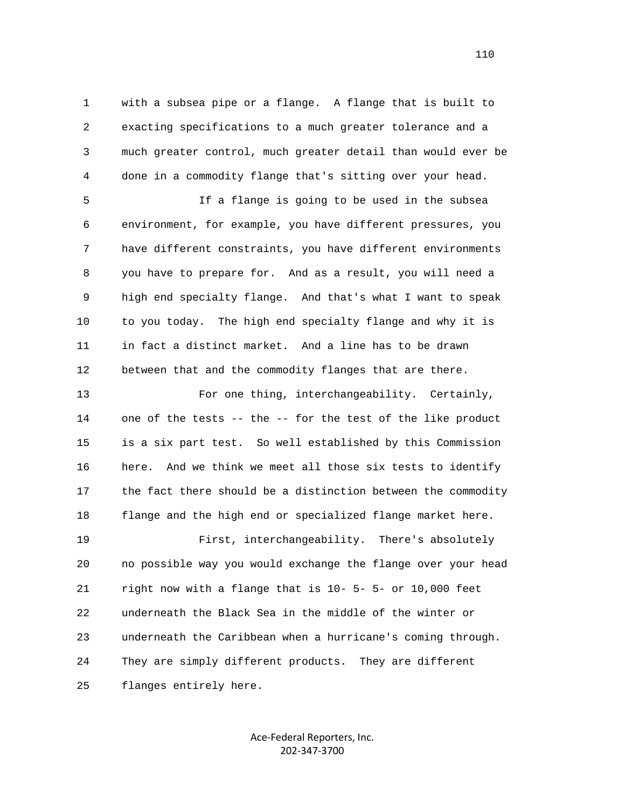1 with a subsea pipe or a flange. A flange that is built to 2 exacting specifications to a much greater tolerance and a 3 much greater control, much greater detail than would ever be 4 done in a commodity flange that's sitting over your head.

 5 If a flange is going to be used in the subsea 6 environment, for example, you have different pressures, you 7 have different constraints, you have different environments 8 you have to prepare for. And as a result, you will need a 9 high end specialty flange. And that's what I want to speak 10 to you today. The high end specialty flange and why it is 11 in fact a distinct market. And a line has to be drawn 12 between that and the commodity flanges that are there.

 13 For one thing, interchangeability. Certainly, 14 one of the tests -- the -- for the test of the like product 15 is a six part test. So well established by this Commission 16 here. And we think we meet all those six tests to identify 17 the fact there should be a distinction between the commodity 18 flange and the high end or specialized flange market here. 19 First, interchangeability. There's absolutely 20 no possible way you would exchange the flange over your head 21 right now with a flange that is 10- 5- 5- or 10,000 feet 22 underneath the Black Sea in the middle of the winter or 23 underneath the Caribbean when a hurricane's coming through. 24 They are simply different products. They are different

25 flanges entirely here.

Ace‐Federal Reporters, Inc. 202‐347‐3700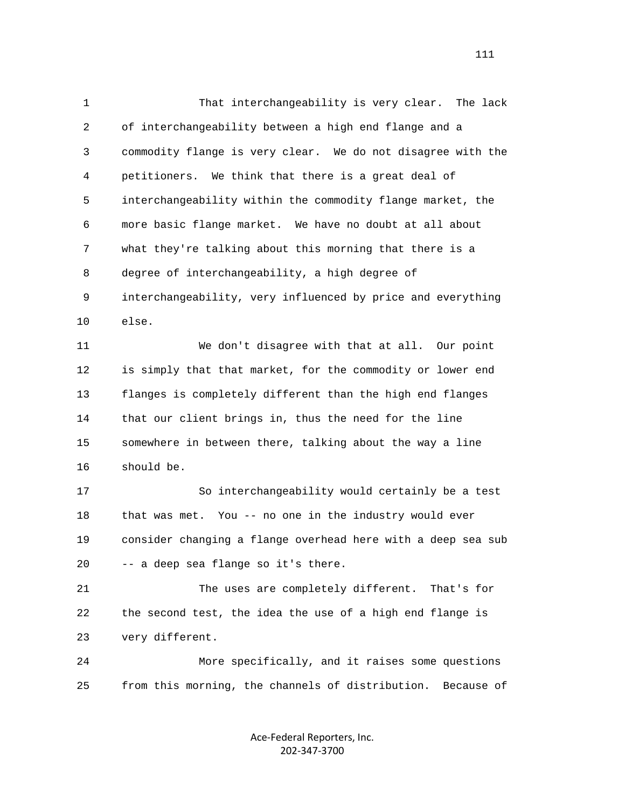1 That interchangeability is very clear. The lack 2 of interchangeability between a high end flange and a 3 commodity flange is very clear. We do not disagree with the 4 petitioners. We think that there is a great deal of 5 interchangeability within the commodity flange market, the 6 more basic flange market. We have no doubt at all about 7 what they're talking about this morning that there is a 8 degree of interchangeability, a high degree of 9 interchangeability, very influenced by price and everything 10 else. 11 We don't disagree with that at all. Our point 12 is simply that that market, for the commodity or lower end 13 flanges is completely different than the high end flanges 14 that our client brings in, thus the need for the line 15 somewhere in between there, talking about the way a line 16 should be. 17 So interchangeability would certainly be a test 18 that was met. You -- no one in the industry would ever 19 consider changing a flange overhead here with a deep sea sub 20 -- a deep sea flange so it's there. 21 The uses are completely different. That's for 22 the second test, the idea the use of a high end flange is 23 very different. 24 More specifically, and it raises some questions 25 from this morning, the channels of distribution. Because of

> Ace‐Federal Reporters, Inc. 202‐347‐3700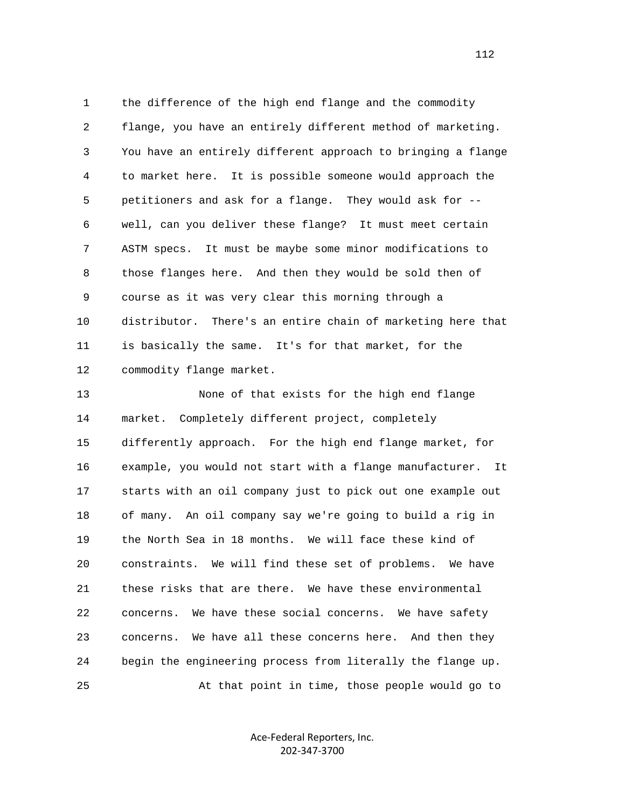1 the difference of the high end flange and the commodity 2 flange, you have an entirely different method of marketing. 3 You have an entirely different approach to bringing a flange 4 to market here. It is possible someone would approach the 5 petitioners and ask for a flange. They would ask for -- 6 well, can you deliver these flange? It must meet certain 7 ASTM specs. It must be maybe some minor modifications to 8 those flanges here. And then they would be sold then of 9 course as it was very clear this morning through a 10 distributor. There's an entire chain of marketing here that 11 is basically the same. It's for that market, for the 12 commodity flange market.

 13 None of that exists for the high end flange 14 market. Completely different project, completely 15 differently approach. For the high end flange market, for 16 example, you would not start with a flange manufacturer. It 17 starts with an oil company just to pick out one example out 18 of many. An oil company say we're going to build a rig in 19 the North Sea in 18 months. We will face these kind of 20 constraints. We will find these set of problems. We have 21 these risks that are there. We have these environmental 22 concerns. We have these social concerns. We have safety 23 concerns. We have all these concerns here. And then they 24 begin the engineering process from literally the flange up. 25 At that point in time, those people would go to

> Ace‐Federal Reporters, Inc. 202‐347‐3700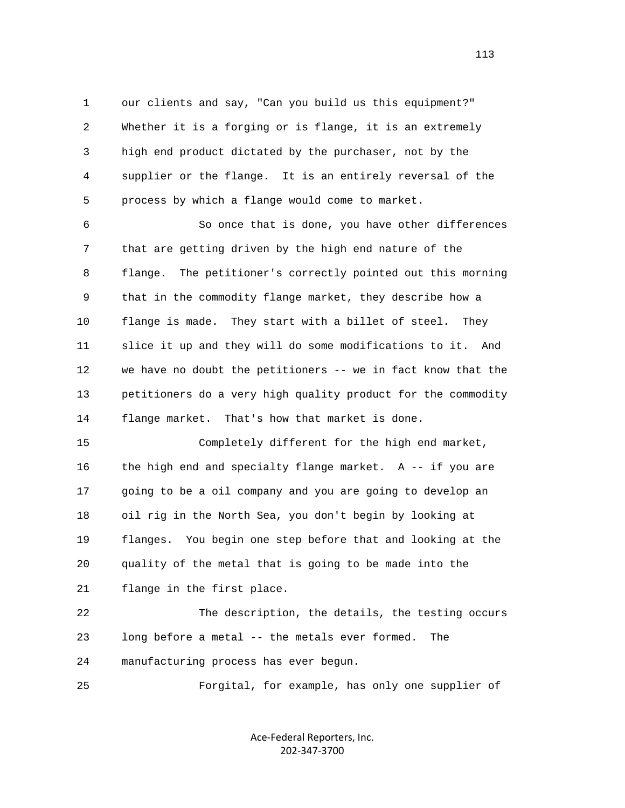1 our clients and say, "Can you build us this equipment?" 2 Whether it is a forging or is flange, it is an extremely 3 high end product dictated by the purchaser, not by the 4 supplier or the flange. It is an entirely reversal of the 5 process by which a flange would come to market.

 6 So once that is done, you have other differences 7 that are getting driven by the high end nature of the 8 flange. The petitioner's correctly pointed out this morning 9 that in the commodity flange market, they describe how a 10 flange is made. They start with a billet of steel. They 11 slice it up and they will do some modifications to it. And 12 we have no doubt the petitioners -- we in fact know that the 13 petitioners do a very high quality product for the commodity 14 flange market. That's how that market is done.

 15 Completely different for the high end market, 16 the high end and specialty flange market. A -- if you are 17 going to be a oil company and you are going to develop an 18 oil rig in the North Sea, you don't begin by looking at 19 flanges. You begin one step before that and looking at the 20 quality of the metal that is going to be made into the 21 flange in the first place.

 22 The description, the details, the testing occurs 23 long before a metal -- the metals ever formed. The 24 manufacturing process has ever begun.

25 Forgital, for example, has only one supplier of

Ace‐Federal Reporters, Inc. 202‐347‐3700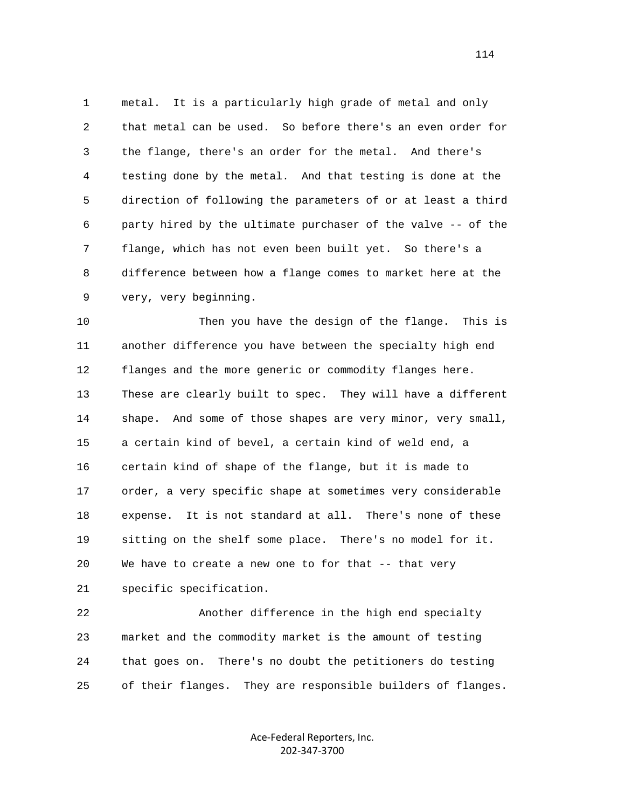1 metal. It is a particularly high grade of metal and only 2 that metal can be used. So before there's an even order for 3 the flange, there's an order for the metal. And there's 4 testing done by the metal. And that testing is done at the 5 direction of following the parameters of or at least a third 6 party hired by the ultimate purchaser of the valve -- of the 7 flange, which has not even been built yet. So there's a 8 difference between how a flange comes to market here at the 9 very, very beginning.

 10 Then you have the design of the flange. This is 11 another difference you have between the specialty high end 12 flanges and the more generic or commodity flanges here. 13 These are clearly built to spec. They will have a different 14 shape. And some of those shapes are very minor, very small, 15 a certain kind of bevel, a certain kind of weld end, a 16 certain kind of shape of the flange, but it is made to 17 order, a very specific shape at sometimes very considerable 18 expense. It is not standard at all. There's none of these 19 sitting on the shelf some place. There's no model for it. 20 We have to create a new one to for that -- that very 21 specific specification.

 22 Another difference in the high end specialty 23 market and the commodity market is the amount of testing 24 that goes on. There's no doubt the petitioners do testing 25 of their flanges. They are responsible builders of flanges.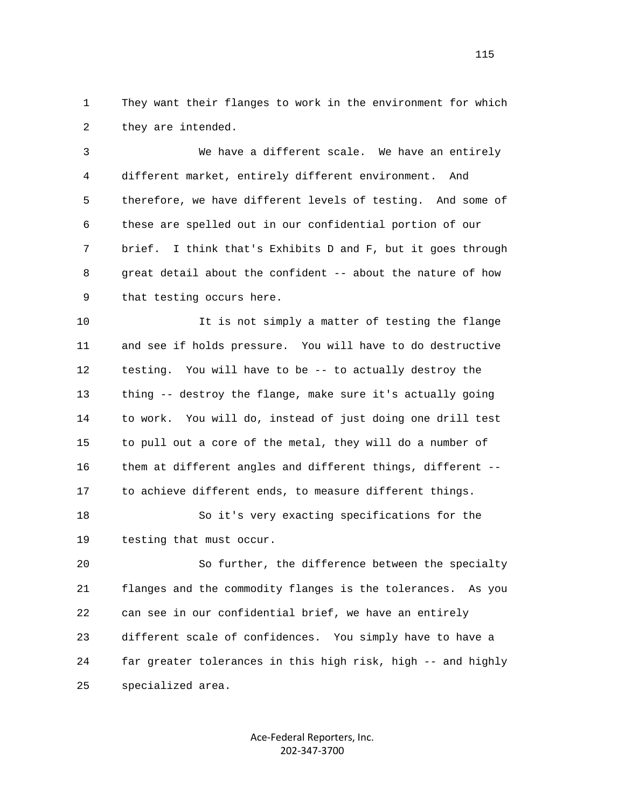1 They want their flanges to work in the environment for which 2 they are intended.

 3 We have a different scale. We have an entirely 4 different market, entirely different environment. And 5 therefore, we have different levels of testing. And some of 6 these are spelled out in our confidential portion of our 7 brief. I think that's Exhibits D and F, but it goes through 8 great detail about the confident -- about the nature of how 9 that testing occurs here.

 10 It is not simply a matter of testing the flange 11 and see if holds pressure. You will have to do destructive 12 testing. You will have to be -- to actually destroy the 13 thing -- destroy the flange, make sure it's actually going 14 to work. You will do, instead of just doing one drill test 15 to pull out a core of the metal, they will do a number of 16 them at different angles and different things, different -- 17 to achieve different ends, to measure different things.

 18 So it's very exacting specifications for the 19 testing that must occur.

 20 So further, the difference between the specialty 21 flanges and the commodity flanges is the tolerances. As you 22 can see in our confidential brief, we have an entirely 23 different scale of confidences. You simply have to have a 24 far greater tolerances in this high risk, high -- and highly 25 specialized area.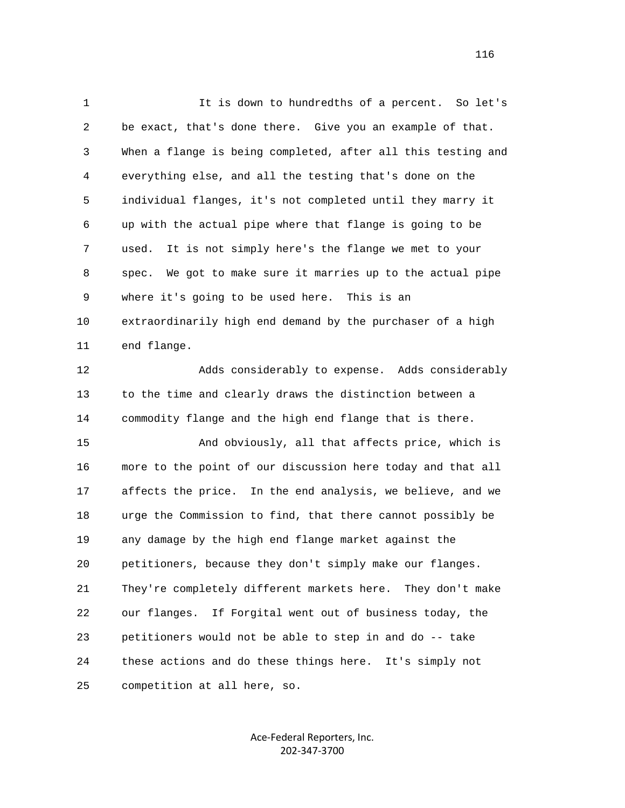1 It is down to hundredths of a percent. So let's 2 be exact, that's done there. Give you an example of that. 3 When a flange is being completed, after all this testing and 4 everything else, and all the testing that's done on the 5 individual flanges, it's not completed until they marry it 6 up with the actual pipe where that flange is going to be 7 used. It is not simply here's the flange we met to your 8 spec. We got to make sure it marries up to the actual pipe 9 where it's going to be used here. This is an 10 extraordinarily high end demand by the purchaser of a high 11 end flange. 12 Adds considerably to expense. Adds considerably 13 to the time and clearly draws the distinction between a 14 commodity flange and the high end flange that is there. 15 And obviously, all that affects price, which is 16 more to the point of our discussion here today and that all 17 affects the price. In the end analysis, we believe, and we 18 urge the Commission to find, that there cannot possibly be 19 any damage by the high end flange market against the 20 petitioners, because they don't simply make our flanges. 21 They're completely different markets here. They don't make 22 our flanges. If Forgital went out of business today, the 23 petitioners would not be able to step in and do -- take 24 these actions and do these things here. It's simply not 25 competition at all here, so.

> Ace‐Federal Reporters, Inc. 202‐347‐3700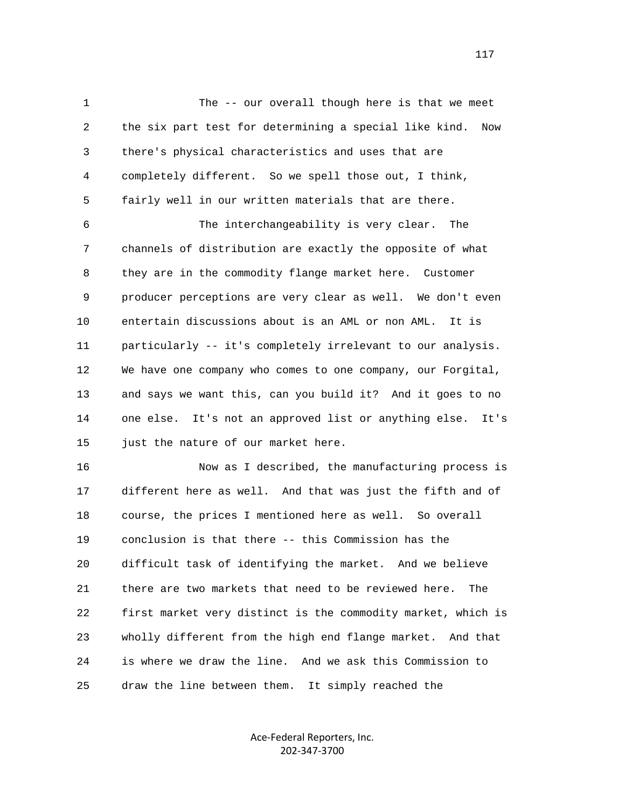1 The -- our overall though here is that we meet 2 the six part test for determining a special like kind. Now 3 there's physical characteristics and uses that are 4 completely different. So we spell those out, I think, 5 fairly well in our written materials that are there. 6 The interchangeability is very clear. The 7 channels of distribution are exactly the opposite of what 8 they are in the commodity flange market here. Customer 9 producer perceptions are very clear as well. We don't even 10 entertain discussions about is an AML or non AML. It is 11 particularly -- it's completely irrelevant to our analysis. 12 We have one company who comes to one company, our Forgital, 13 and says we want this, can you build it? And it goes to no 14 one else. It's not an approved list or anything else. It's

15 just the nature of our market here.

 16 Now as I described, the manufacturing process is 17 different here as well. And that was just the fifth and of 18 course, the prices I mentioned here as well. So overall 19 conclusion is that there -- this Commission has the 20 difficult task of identifying the market. And we believe 21 there are two markets that need to be reviewed here. The 22 first market very distinct is the commodity market, which is 23 wholly different from the high end flange market. And that 24 is where we draw the line. And we ask this Commission to 25 draw the line between them. It simply reached the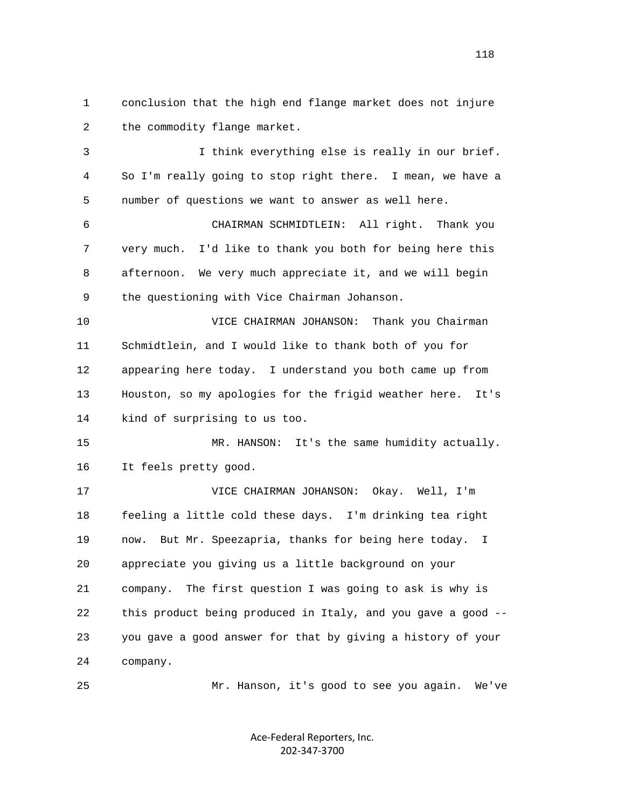1 conclusion that the high end flange market does not injure 2 the commodity flange market.

 3 I think everything else is really in our brief. 4 So I'm really going to stop right there. I mean, we have a 5 number of questions we want to answer as well here.

 6 CHAIRMAN SCHMIDTLEIN: All right. Thank you 7 very much. I'd like to thank you both for being here this 8 afternoon. We very much appreciate it, and we will begin 9 the questioning with Vice Chairman Johanson.

 10 VICE CHAIRMAN JOHANSON: Thank you Chairman 11 Schmidtlein, and I would like to thank both of you for 12 appearing here today. I understand you both came up from 13 Houston, so my apologies for the frigid weather here. It's 14 kind of surprising to us too.

 15 MR. HANSON: It's the same humidity actually. 16 It feels pretty good.

 17 VICE CHAIRMAN JOHANSON: Okay. Well, I'm 18 feeling a little cold these days. I'm drinking tea right 19 now. But Mr. Speezapria, thanks for being here today. I 20 appreciate you giving us a little background on your 21 company. The first question I was going to ask is why is 22 this product being produced in Italy, and you gave a good -- 23 you gave a good answer for that by giving a history of your 24 company.

25 Mr. Hanson, it's good to see you again. We've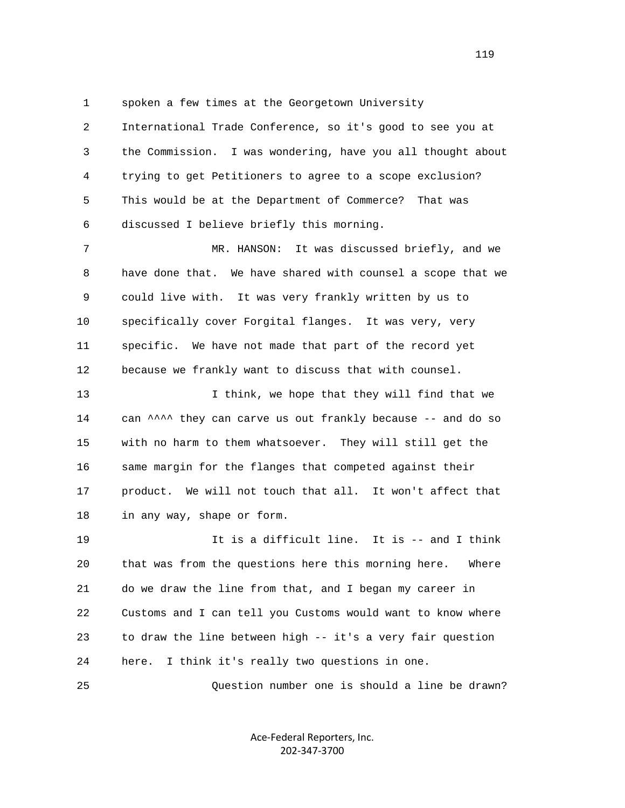1 spoken a few times at the Georgetown University

 2 International Trade Conference, so it's good to see you at 3 the Commission. I was wondering, have you all thought about 4 trying to get Petitioners to agree to a scope exclusion? 5 This would be at the Department of Commerce? That was 6 discussed I believe briefly this morning.

 7 MR. HANSON: It was discussed briefly, and we 8 have done that. We have shared with counsel a scope that we 9 could live with. It was very frankly written by us to 10 specifically cover Forgital flanges. It was very, very 11 specific. We have not made that part of the record yet 12 because we frankly want to discuss that with counsel.

13 13 I think, we hope that they will find that we 14 can  $\lambda$ <sup>1</sup> they can carve us out frankly because -- and do so 15 with no harm to them whatsoever. They will still get the 16 same margin for the flanges that competed against their 17 product. We will not touch that all. It won't affect that 18 in any way, shape or form.

 19 It is a difficult line. It is -- and I think 20 that was from the questions here this morning here. Where 21 do we draw the line from that, and I began my career in 22 Customs and I can tell you Customs would want to know where 23 to draw the line between high -- it's a very fair question 24 here. I think it's really two questions in one.

25 Question number one is should a line be drawn?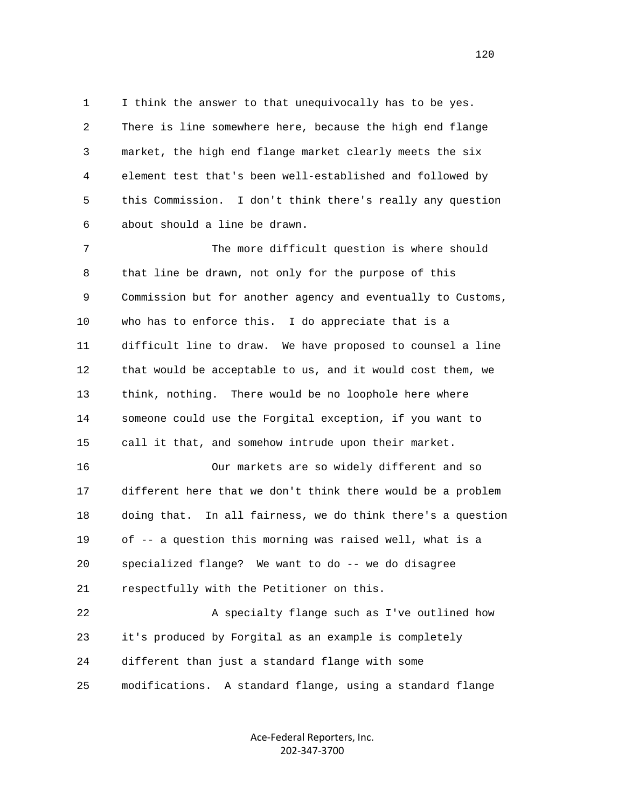1 I think the answer to that unequivocally has to be yes. 2 There is line somewhere here, because the high end flange 3 market, the high end flange market clearly meets the six 4 element test that's been well-established and followed by 5 this Commission. I don't think there's really any question 6 about should a line be drawn.

 7 The more difficult question is where should 8 that line be drawn, not only for the purpose of this 9 Commission but for another agency and eventually to Customs, 10 who has to enforce this. I do appreciate that is a 11 difficult line to draw. We have proposed to counsel a line 12 that would be acceptable to us, and it would cost them, we 13 think, nothing. There would be no loophole here where 14 someone could use the Forgital exception, if you want to 15 call it that, and somehow intrude upon their market.

 16 Our markets are so widely different and so 17 different here that we don't think there would be a problem 18 doing that. In all fairness, we do think there's a question 19 of -- a question this morning was raised well, what is a 20 specialized flange? We want to do -- we do disagree 21 respectfully with the Petitioner on this.

 22 A specialty flange such as I've outlined how 23 it's produced by Forgital as an example is completely 24 different than just a standard flange with some 25 modifications. A standard flange, using a standard flange

> Ace‐Federal Reporters, Inc. 202‐347‐3700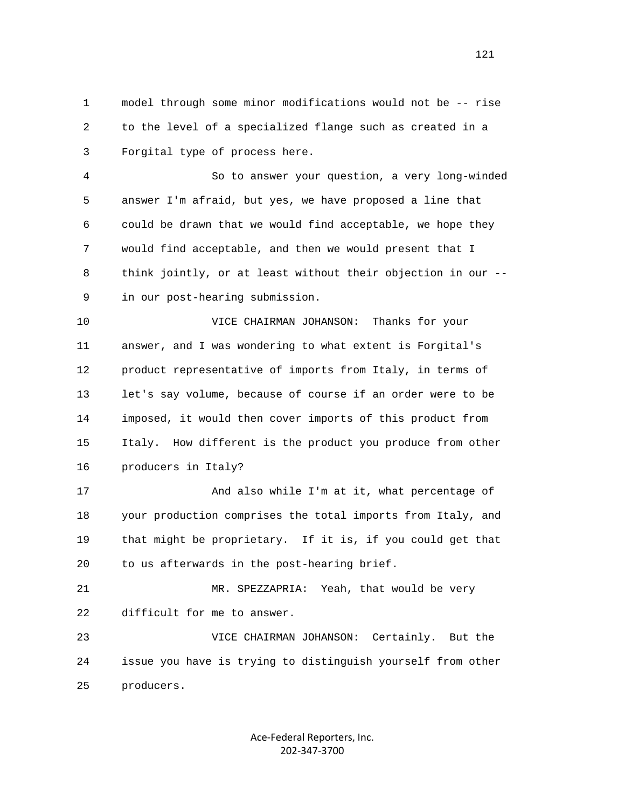1 model through some minor modifications would not be -- rise 2 to the level of a specialized flange such as created in a 3 Forgital type of process here.

 4 So to answer your question, a very long-winded 5 answer I'm afraid, but yes, we have proposed a line that 6 could be drawn that we would find acceptable, we hope they 7 would find acceptable, and then we would present that I 8 think jointly, or at least without their objection in our -- 9 in our post-hearing submission.

 10 VICE CHAIRMAN JOHANSON: Thanks for your 11 answer, and I was wondering to what extent is Forgital's 12 product representative of imports from Italy, in terms of 13 let's say volume, because of course if an order were to be 14 imposed, it would then cover imports of this product from 15 Italy. How different is the product you produce from other 16 producers in Italy?

 17 And also while I'm at it, what percentage of 18 your production comprises the total imports from Italy, and 19 that might be proprietary. If it is, if you could get that 20 to us afterwards in the post-hearing brief.

 21 MR. SPEZZAPRIA: Yeah, that would be very 22 difficult for me to answer.

 23 VICE CHAIRMAN JOHANSON: Certainly. But the 24 issue you have is trying to distinguish yourself from other 25 producers.

> Ace‐Federal Reporters, Inc. 202‐347‐3700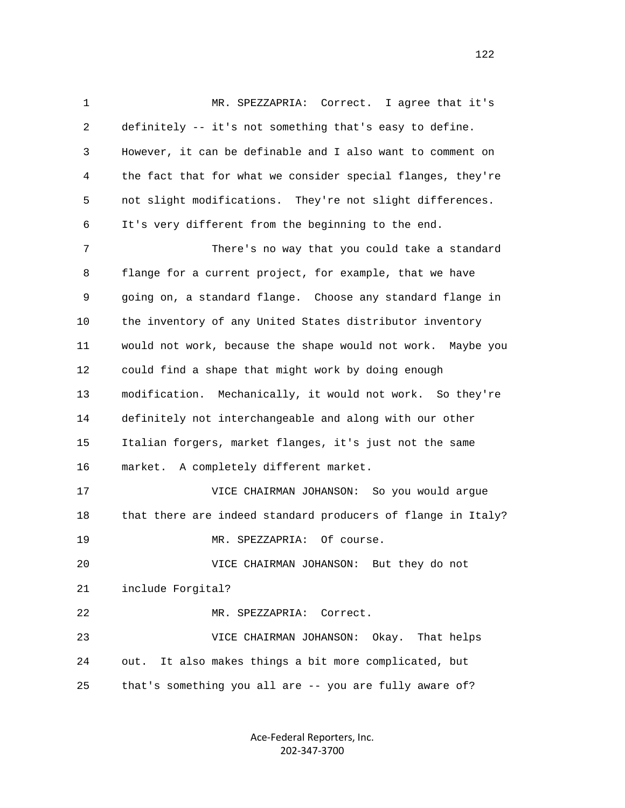1 MR. SPEZZAPRIA: Correct. I agree that it's 2 definitely -- it's not something that's easy to define. 3 However, it can be definable and I also want to comment on 4 the fact that for what we consider special flanges, they're 5 not slight modifications. They're not slight differences. 6 It's very different from the beginning to the end. 7 There's no way that you could take a standard 8 flange for a current project, for example, that we have 9 going on, a standard flange. Choose any standard flange in 10 the inventory of any United States distributor inventory 11 would not work, because the shape would not work. Maybe you 12 could find a shape that might work by doing enough 13 modification. Mechanically, it would not work. So they're 14 definitely not interchangeable and along with our other 15 Italian forgers, market flanges, it's just not the same 16 market. A completely different market. 17 VICE CHAIRMAN JOHANSON: So you would argue 18 that there are indeed standard producers of flange in Italy? 19 MR. SPEZZAPRIA: Of course. 20 VICE CHAIRMAN JOHANSON: But they do not 21 include Forgital? 22 MR. SPEZZAPRIA: Correct. 23 VICE CHAIRMAN JOHANSON: Okay. That helps 24 out. It also makes things a bit more complicated, but 25 that's something you all are -- you are fully aware of?

> Ace‐Federal Reporters, Inc. 202‐347‐3700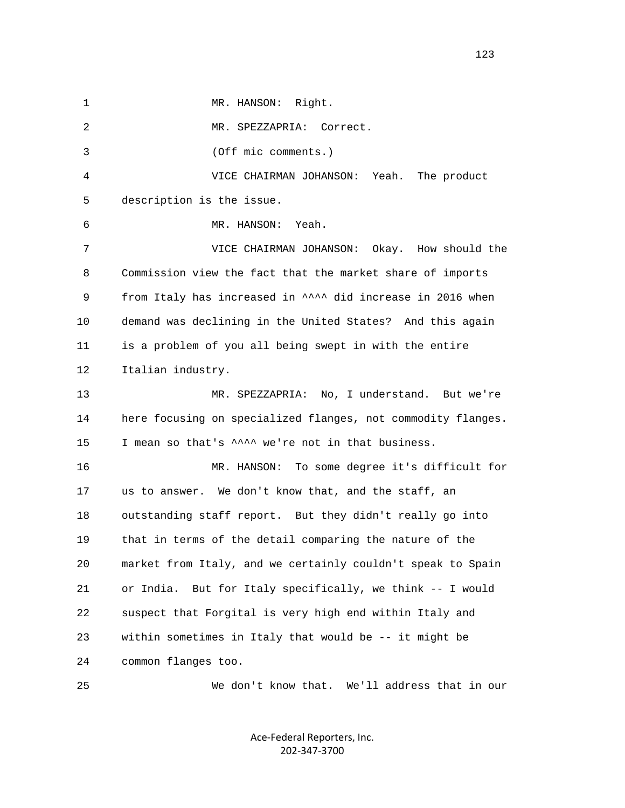1 MR. HANSON: Right. 2 MR. SPEZZAPRIA: Correct. 3 (Off mic comments.) 4 VICE CHAIRMAN JOHANSON: Yeah. The product 5 description is the issue. 6 MR. HANSON: Yeah. 7 VICE CHAIRMAN JOHANSON: Okay. How should the 8 Commission view the fact that the market share of imports 9 from Italy has increased in  $\lambda \lambda$  did increase in 2016 when 10 demand was declining in the United States? And this again 11 is a problem of you all being swept in with the entire 12 Italian industry. 13 MR. SPEZZAPRIA: No, I understand. But we're 14 here focusing on specialized flanges, not commodity flanges. 15 I mean so that's  $\lambda$ <sup>2</sup> we're not in that business. 16 MR. HANSON: To some degree it's difficult for 17 us to answer. We don't know that, and the staff, an 18 outstanding staff report. But they didn't really go into 19 that in terms of the detail comparing the nature of the 20 market from Italy, and we certainly couldn't speak to Spain 21 or India. But for Italy specifically, we think -- I would 22 suspect that Forgital is very high end within Italy and 23 within sometimes in Italy that would be -- it might be 24 common flanges too.

> Ace‐Federal Reporters, Inc. 202‐347‐3700

25 We don't know that. We'll address that in our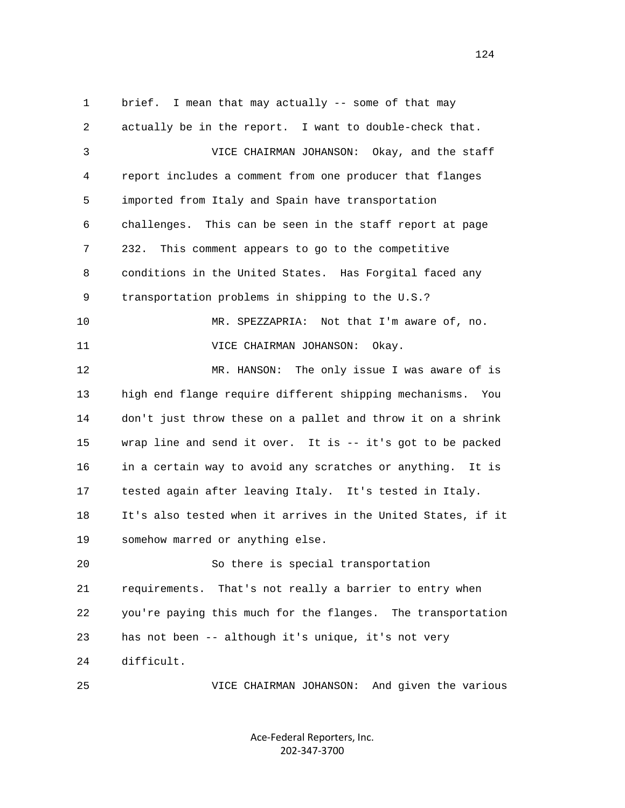1 brief. I mean that may actually -- some of that may 2 actually be in the report. I want to double-check that. 3 VICE CHAIRMAN JOHANSON: Okay, and the staff 4 report includes a comment from one producer that flanges 5 imported from Italy and Spain have transportation 6 challenges. This can be seen in the staff report at page 7 232. This comment appears to go to the competitive 8 conditions in the United States. Has Forgital faced any 9 transportation problems in shipping to the U.S.? 10 MR. SPEZZAPRIA: Not that I'm aware of, no. 11 VICE CHAIRMAN JOHANSON: Okay. 12 MR. HANSON: The only issue I was aware of is 13 high end flange require different shipping mechanisms. You 14 don't just throw these on a pallet and throw it on a shrink 15 wrap line and send it over. It is -- it's got to be packed 16 in a certain way to avoid any scratches or anything. It is 17 tested again after leaving Italy. It's tested in Italy. 18 It's also tested when it arrives in the United States, if it 19 somehow marred or anything else. 20 So there is special transportation 21 requirements. That's not really a barrier to entry when 22 you're paying this much for the flanges. The transportation 23 has not been -- although it's unique, it's not very 24 difficult. 25 VICE CHAIRMAN JOHANSON: And given the various

> Ace‐Federal Reporters, Inc. 202‐347‐3700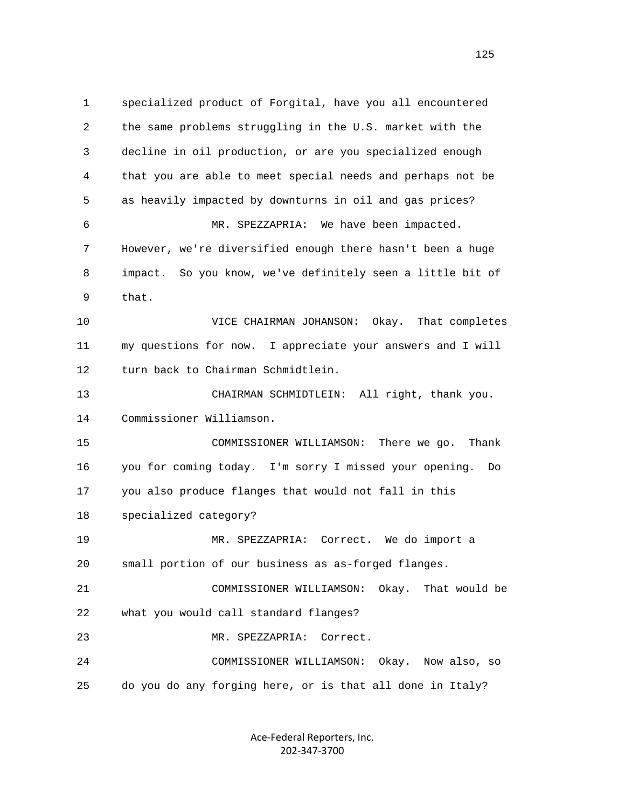1 specialized product of Forgital, have you all encountered 2 the same problems struggling in the U.S. market with the 3 decline in oil production, or are you specialized enough 4 that you are able to meet special needs and perhaps not be 5 as heavily impacted by downturns in oil and gas prices? 6 MR. SPEZZAPRIA: We have been impacted. 7 However, we're diversified enough there hasn't been a huge 8 impact. So you know, we've definitely seen a little bit of 9 that. 10 VICE CHAIRMAN JOHANSON: Okay. That completes 11 my questions for now. I appreciate your answers and I will 12 turn back to Chairman Schmidtlein. 13 CHAIRMAN SCHMIDTLEIN: All right, thank you. 14 Commissioner Williamson. 15 COMMISSIONER WILLIAMSON: There we go. Thank 16 you for coming today. I'm sorry I missed your opening. Do 17 you also produce flanges that would not fall in this 18 specialized category? 19 MR. SPEZZAPRIA: Correct. We do import a 20 small portion of our business as as-forged flanges. 21 COMMISSIONER WILLIAMSON: Okay. That would be 22 what you would call standard flanges? 23 MR. SPEZZAPRIA: Correct. 24 COMMISSIONER WILLIAMSON: Okay. Now also, so 25 do you do any forging here, or is that all done in Italy?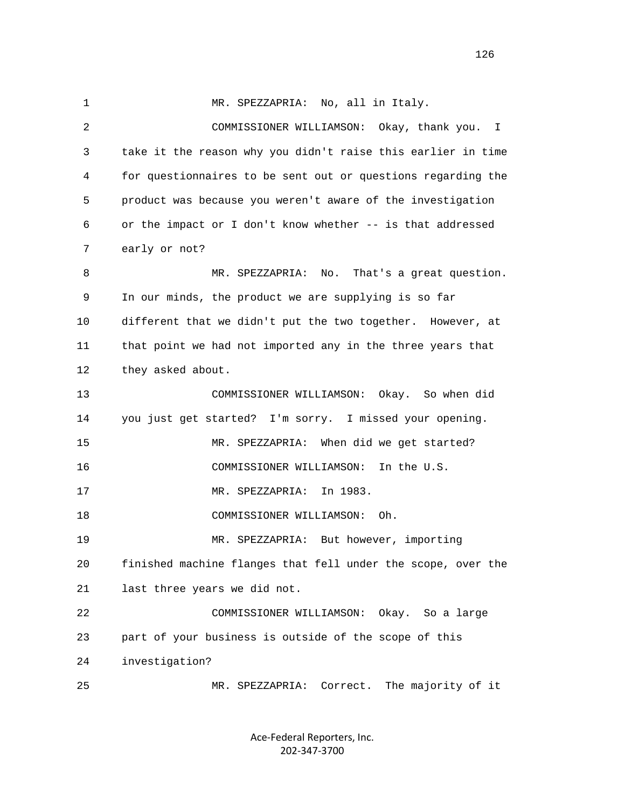1 MR. SPEZZAPRIA: No, all in Italy. 2 COMMISSIONER WILLIAMSON: Okay, thank you. I 3 take it the reason why you didn't raise this earlier in time 4 for questionnaires to be sent out or questions regarding the 5 product was because you weren't aware of the investigation 6 or the impact or I don't know whether -- is that addressed 7 early or not? 8 MR. SPEZZAPRIA: No. That's a great question. 9 In our minds, the product we are supplying is so far 10 different that we didn't put the two together. However, at 11 that point we had not imported any in the three years that 12 they asked about. 13 COMMISSIONER WILLIAMSON: Okay. So when did 14 you just get started? I'm sorry. I missed your opening. 15 MR. SPEZZAPRIA: When did we get started? 16 COMMISSIONER WILLIAMSON: In the U.S. 17 MR. SPEZZAPRIA: In 1983. 18 COMMISSIONER WILLIAMSON: Oh. 19 MR. SPEZZAPRIA: But however, importing 20 finished machine flanges that fell under the scope, over the 21 last three years we did not. 22 COMMISSIONER WILLIAMSON: Okay. So a large 23 part of your business is outside of the scope of this 24 investigation? 25 MR. SPEZZAPRIA: Correct. The majority of it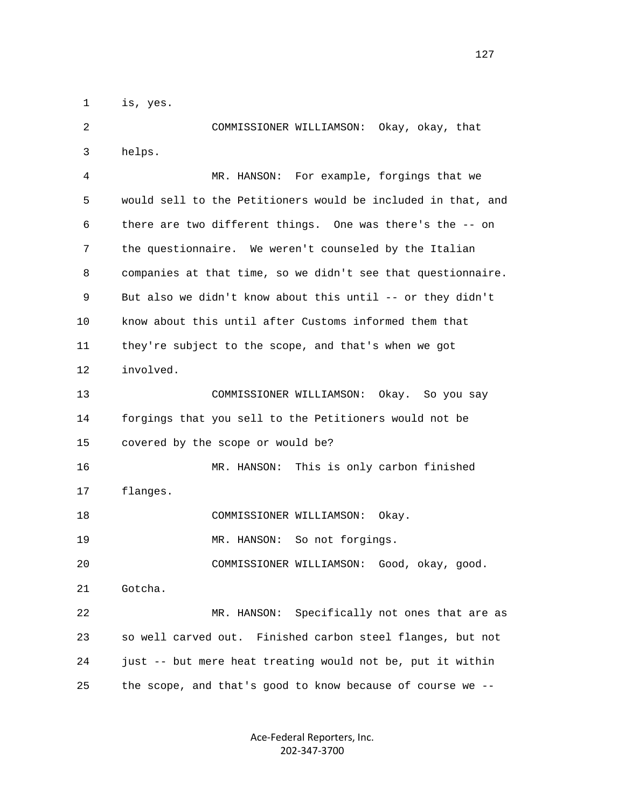1 is, yes.

 2 COMMISSIONER WILLIAMSON: Okay, okay, that 3 helps. 4 MR. HANSON: For example, forgings that we 5 would sell to the Petitioners would be included in that, and 6 there are two different things. One was there's the -- on 7 the questionnaire. We weren't counseled by the Italian 8 companies at that time, so we didn't see that questionnaire. 9 But also we didn't know about this until -- or they didn't 10 know about this until after Customs informed them that 11 they're subject to the scope, and that's when we got 12 involved. 13 COMMISSIONER WILLIAMSON: Okay. So you say 14 forgings that you sell to the Petitioners would not be 15 covered by the scope or would be? 16 MR. HANSON: This is only carbon finished 17 flanges. 18 COMMISSIONER WILLIAMSON: Okay. 19 MR. HANSON: So not forgings. 20 COMMISSIONER WILLIAMSON: Good, okay, good. 21 Gotcha. 22 MR. HANSON: Specifically not ones that are as 23 so well carved out. Finished carbon steel flanges, but not 24 just -- but mere heat treating would not be, put it within 25 the scope, and that's good to know because of course we --

> Ace‐Federal Reporters, Inc. 202‐347‐3700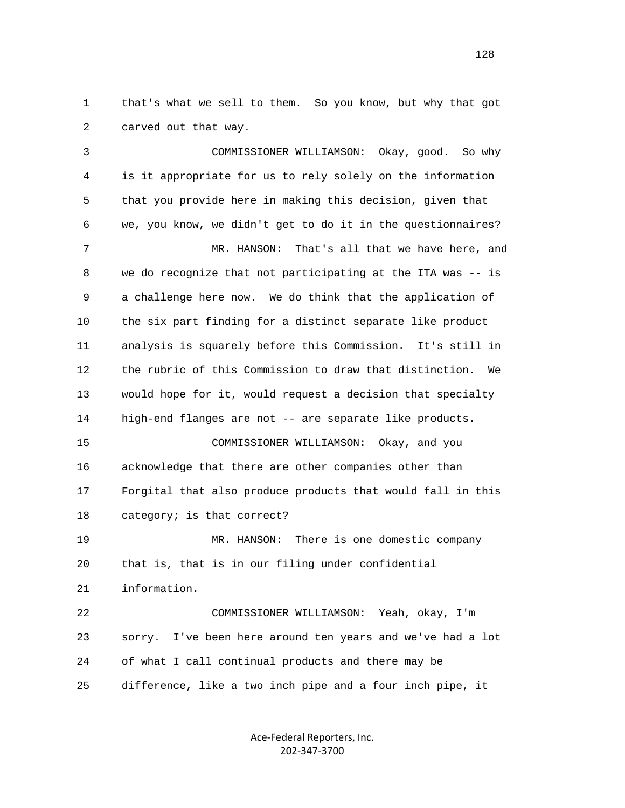1 that's what we sell to them. So you know, but why that got 2 carved out that way.

 3 COMMISSIONER WILLIAMSON: Okay, good. So why 4 is it appropriate for us to rely solely on the information 5 that you provide here in making this decision, given that 6 we, you know, we didn't get to do it in the questionnaires? 7 MR. HANSON: That's all that we have here, and 8 we do recognize that not participating at the ITA was -- is 9 a challenge here now. We do think that the application of 10 the six part finding for a distinct separate like product 11 analysis is squarely before this Commission. It's still in 12 the rubric of this Commission to draw that distinction. We 13 would hope for it, would request a decision that specialty 14 high-end flanges are not -- are separate like products. 15 COMMISSIONER WILLIAMSON: Okay, and you 16 acknowledge that there are other companies other than 17 Forgital that also produce products that would fall in this 18 category; is that correct? 19 MR. HANSON: There is one domestic company 20 that is, that is in our filing under confidential 21 information. 22 COMMISSIONER WILLIAMSON: Yeah, okay, I'm 23 sorry. I've been here around ten years and we've had a lot 24 of what I call continual products and there may be 25 difference, like a two inch pipe and a four inch pipe, it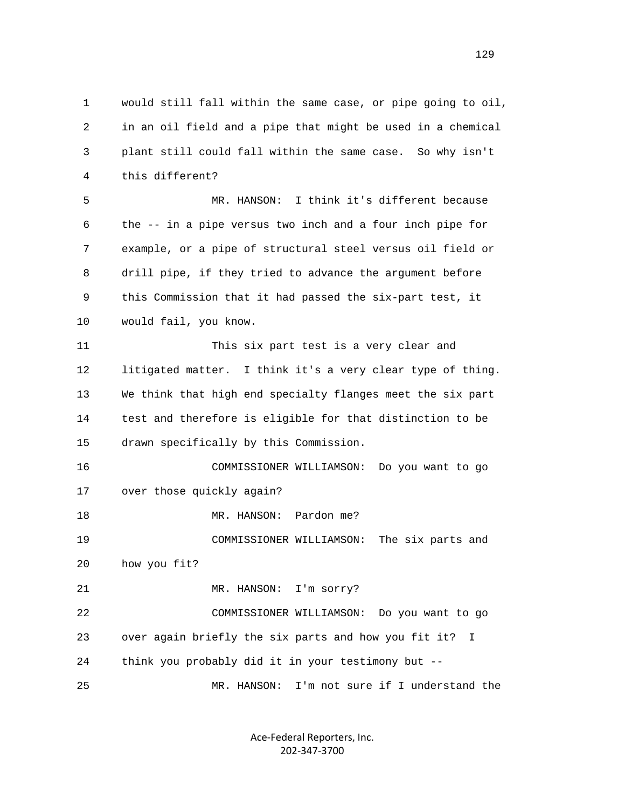1 would still fall within the same case, or pipe going to oil, 2 in an oil field and a pipe that might be used in a chemical 3 plant still could fall within the same case. So why isn't 4 this different? 5 MR. HANSON: I think it's different because 6 the -- in a pipe versus two inch and a four inch pipe for 7 example, or a pipe of structural steel versus oil field or 8 drill pipe, if they tried to advance the argument before 9 this Commission that it had passed the six-part test, it 10 would fail, you know. 11 This six part test is a very clear and 12 litigated matter. I think it's a very clear type of thing. 13 We think that high end specialty flanges meet the six part 14 test and therefore is eligible for that distinction to be 15 drawn specifically by this Commission. 16 COMMISSIONER WILLIAMSON: Do you want to go 17 over those quickly again? 18 MR. HANSON: Pardon me? 19 COMMISSIONER WILLIAMSON: The six parts and 20 how you fit? 21 MR. HANSON: I'm sorry? 22 COMMISSIONER WILLIAMSON: Do you want to go 23 over again briefly the six parts and how you fit it? I 24 think you probably did it in your testimony but -- 25 MR. HANSON: I'm not sure if I understand the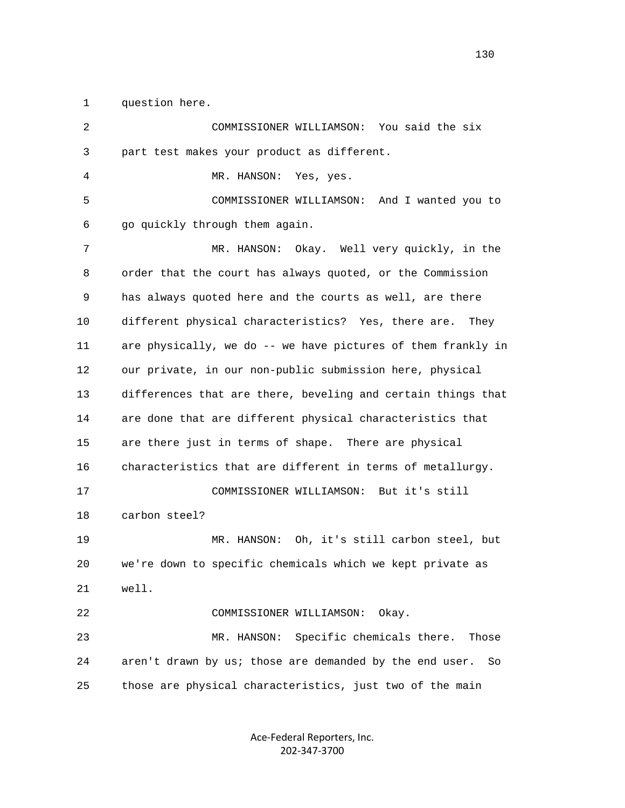1 question here.

| 2  | COMMISSIONER WILLIAMSON:<br>You said the six                  |
|----|---------------------------------------------------------------|
| 3  | part test makes your product as different.                    |
| 4  | MR. HANSON:<br>Yes, yes.                                      |
| 5  | COMMISSIONER WILLIAMSON: And I wanted you to                  |
| 6  | go quickly through them again.                                |
| 7  | MR. HANSON: Okay. Well very quickly, in the                   |
| 8  | order that the court has always quoted, or the Commission     |
| 9  | has always quoted here and the courts as well, are there      |
| 10 | different physical characteristics? Yes, there are.<br>They   |
| 11 | are physically, we do -- we have pictures of them frankly in  |
| 12 | our private, in our non-public submission here, physical      |
| 13 | differences that are there, beveling and certain things that  |
| 14 | are done that are different physical characteristics that     |
| 15 | are there just in terms of shape. There are physical          |
| 16 | characteristics that are different in terms of metallurgy.    |
| 17 | COMMISSIONER WILLIAMSON: But it's still                       |
| 18 | carbon steel?                                                 |
| 19 | MR. HANSON: Oh, it's still carbon steel, but                  |
| 20 | we're down to specific chemicals which we kept private as     |
| 21 | well.                                                         |
| 22 | COMMISSIONER WILLIAMSON:<br>Okay.                             |
| 23 | Specific chemicals there.<br>MR. HANSON:<br>Those             |
| 24 | aren't drawn by us; those are demanded by the end user.<br>So |
| 25 | those are physical characteristics, just two of the main      |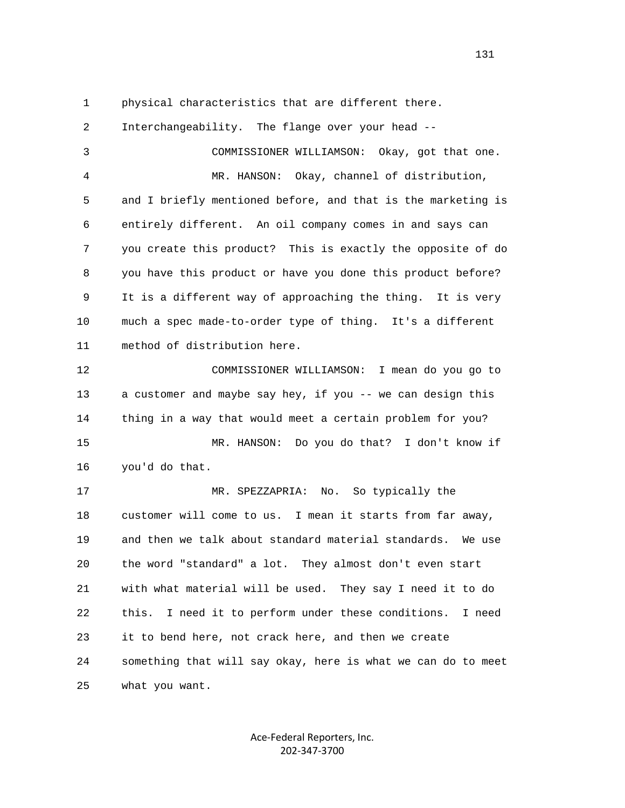1 physical characteristics that are different there.

 2 Interchangeability. The flange over your head -- 3 COMMISSIONER WILLIAMSON: Okay, got that one. 4 MR. HANSON: Okay, channel of distribution, 5 and I briefly mentioned before, and that is the marketing is 6 entirely different. An oil company comes in and says can 7 you create this product? This is exactly the opposite of do 8 you have this product or have you done this product before? 9 It is a different way of approaching the thing. It is very 10 much a spec made-to-order type of thing. It's a different 11 method of distribution here. 12 COMMISSIONER WILLIAMSON: I mean do you go to 13 a customer and maybe say hey, if you -- we can design this 14 thing in a way that would meet a certain problem for you? 15 MR. HANSON: Do you do that? I don't know if 16 you'd do that. 17 MR. SPEZZAPRIA: No. So typically the 18 customer will come to us. I mean it starts from far away, 19 and then we talk about standard material standards. We use 20 the word "standard" a lot. They almost don't even start 21 with what material will be used. They say I need it to do 22 this. I need it to perform under these conditions. I need 23 it to bend here, not crack here, and then we create 24 something that will say okay, here is what we can do to meet 25 what you want.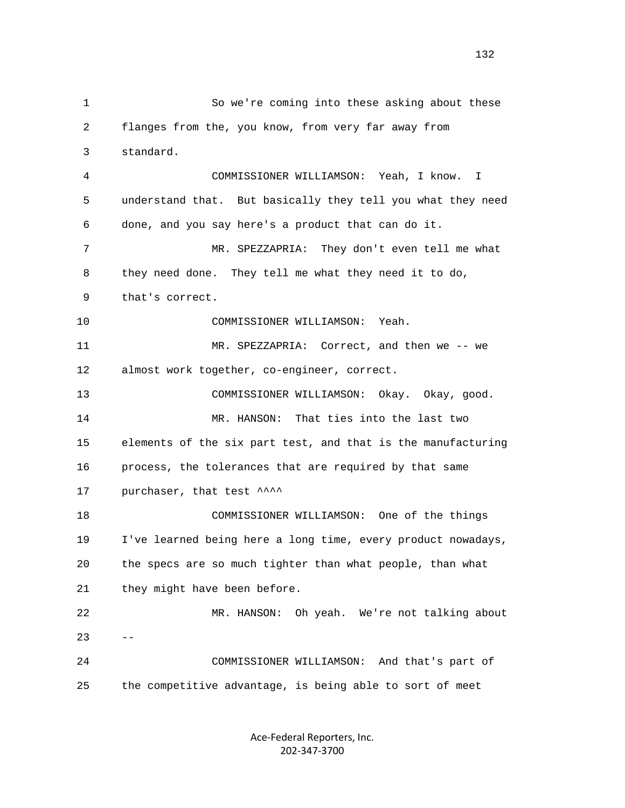1 So we're coming into these asking about these 2 flanges from the, you know, from very far away from 3 standard. 4 COMMISSIONER WILLIAMSON: Yeah, I know. I 5 understand that. But basically they tell you what they need 6 done, and you say here's a product that can do it. 7 MR. SPEZZAPRIA: They don't even tell me what 8 they need done. They tell me what they need it to do, 9 that's correct. 10 COMMISSIONER WILLIAMSON: Yeah. 11 MR. SPEZZAPRIA: Correct, and then we -- we 12 almost work together, co-engineer, correct. 13 COMMISSIONER WILLIAMSON: Okay. Okay, good. 14 MR. HANSON: That ties into the last two 15 elements of the six part test, and that is the manufacturing 16 process, the tolerances that are required by that same 17 purchaser, that test ^^^^ 18 COMMISSIONER WILLIAMSON: One of the things 19 I've learned being here a long time, every product nowadays, 20 the specs are so much tighter than what people, than what 21 they might have been before. 22 MR. HANSON: Oh yeah. We're not talking about  $23 - -$  24 COMMISSIONER WILLIAMSON: And that's part of 25 the competitive advantage, is being able to sort of meet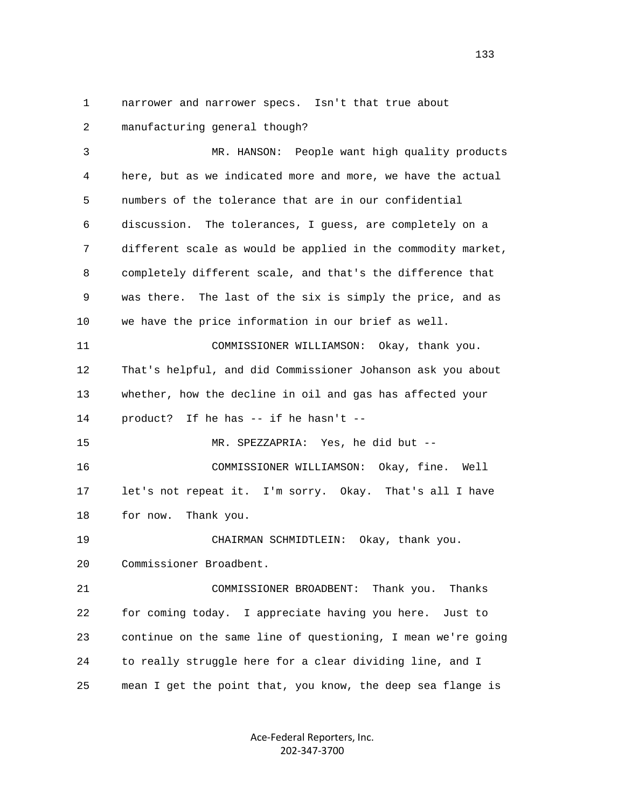1 narrower and narrower specs. Isn't that true about 2 manufacturing general though?

 3 MR. HANSON: People want high quality products 4 here, but as we indicated more and more, we have the actual 5 numbers of the tolerance that are in our confidential 6 discussion. The tolerances, I guess, are completely on a 7 different scale as would be applied in the commodity market, 8 completely different scale, and that's the difference that 9 was there. The last of the six is simply the price, and as 10 we have the price information in our brief as well. 11 COMMISSIONER WILLIAMSON: Okay, thank you. 12 That's helpful, and did Commissioner Johanson ask you about 13 whether, how the decline in oil and gas has affected your 14 product? If he has -- if he hasn't -- 15 MR. SPEZZAPRIA: Yes, he did but -- 16 COMMISSIONER WILLIAMSON: Okay, fine. Well 17 let's not repeat it. I'm sorry. Okay. That's all I have 18 for now. Thank you. 19 CHAIRMAN SCHMIDTLEIN: Okay, thank you. 20 Commissioner Broadbent. 21 COMMISSIONER BROADBENT: Thank you. Thanks 22 for coming today. I appreciate having you here. Just to 23 continue on the same line of questioning, I mean we're going 24 to really struggle here for a clear dividing line, and I 25 mean I get the point that, you know, the deep sea flange is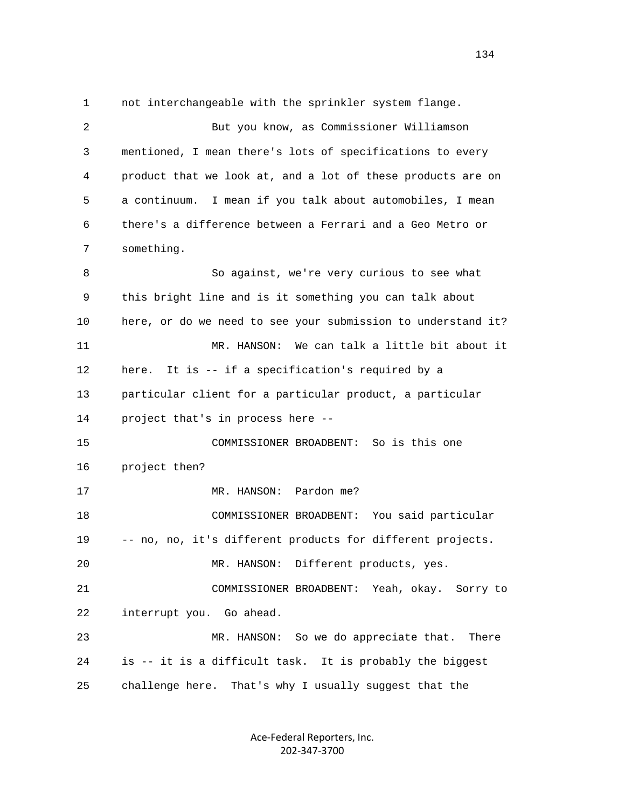1 not interchangeable with the sprinkler system flange. 2 But you know, as Commissioner Williamson 3 mentioned, I mean there's lots of specifications to every 4 product that we look at, and a lot of these products are on 5 a continuum. I mean if you talk about automobiles, I mean 6 there's a difference between a Ferrari and a Geo Metro or 7 something. 8 So against, we're very curious to see what 9 this bright line and is it something you can talk about 10 here, or do we need to see your submission to understand it? 11 MR. HANSON: We can talk a little bit about it 12 here. It is -- if a specification's required by a 13 particular client for a particular product, a particular 14 project that's in process here -- 15 COMMISSIONER BROADBENT: So is this one 16 project then? 17 MR. HANSON: Pardon me? 18 COMMISSIONER BROADBENT: You said particular 19 -- no, no, it's different products for different projects. 20 MR. HANSON: Different products, yes. 21 COMMISSIONER BROADBENT: Yeah, okay. Sorry to 22 interrupt you. Go ahead. 23 MR. HANSON: So we do appreciate that. There 24 is -- it is a difficult task. It is probably the biggest 25 challenge here. That's why I usually suggest that the

> Ace‐Federal Reporters, Inc. 202‐347‐3700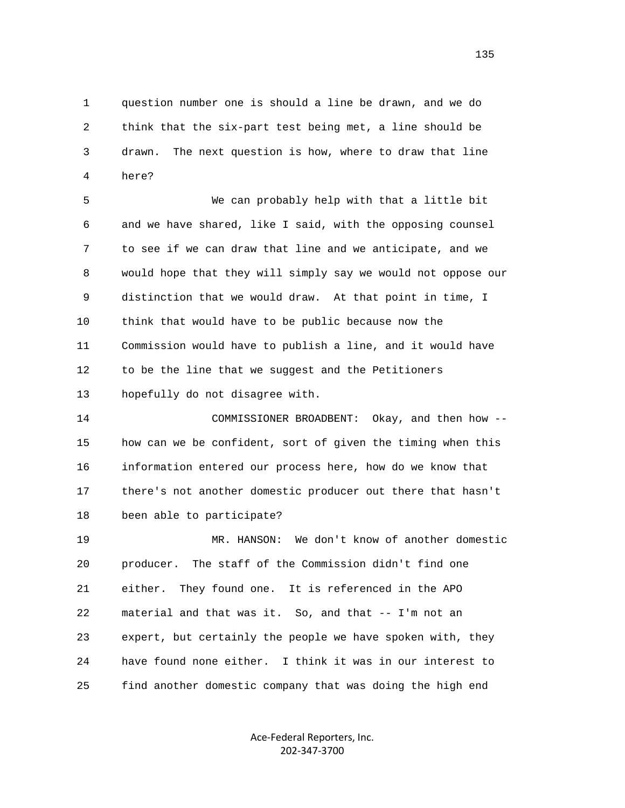1 question number one is should a line be drawn, and we do 2 think that the six-part test being met, a line should be 3 drawn. The next question is how, where to draw that line 4 here?

 5 We can probably help with that a little bit 6 and we have shared, like I said, with the opposing counsel 7 to see if we can draw that line and we anticipate, and we 8 would hope that they will simply say we would not oppose our 9 distinction that we would draw. At that point in time, I 10 think that would have to be public because now the 11 Commission would have to publish a line, and it would have 12 to be the line that we suggest and the Petitioners 13 hopefully do not disagree with.

 14 COMMISSIONER BROADBENT: Okay, and then how -- 15 how can we be confident, sort of given the timing when this 16 information entered our process here, how do we know that 17 there's not another domestic producer out there that hasn't 18 been able to participate?

 19 MR. HANSON: We don't know of another domestic 20 producer. The staff of the Commission didn't find one 21 either. They found one. It is referenced in the APO 22 material and that was it. So, and that -- I'm not an 23 expert, but certainly the people we have spoken with, they 24 have found none either. I think it was in our interest to 25 find another domestic company that was doing the high end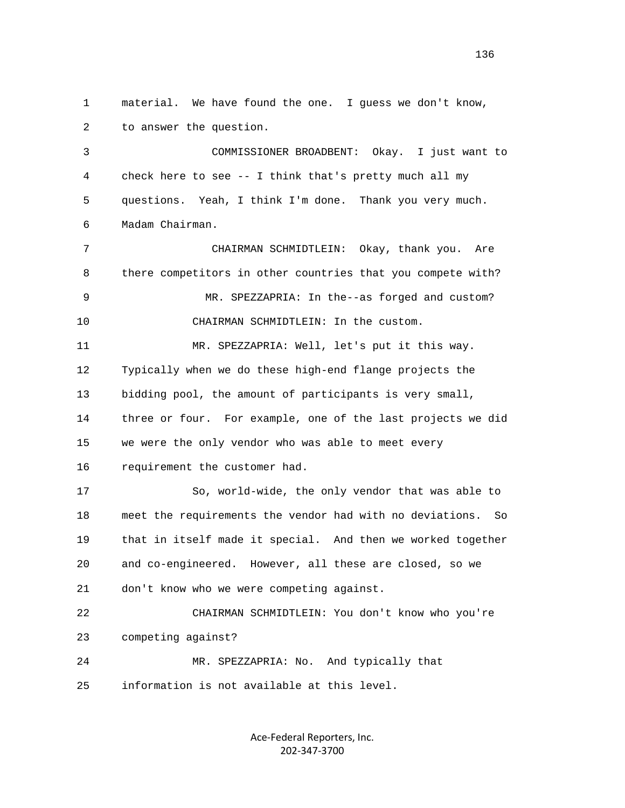1 material. We have found the one. I guess we don't know, 2 to answer the question. 3 COMMISSIONER BROADBENT: Okay. I just want to 4 check here to see -- I think that's pretty much all my 5 questions. Yeah, I think I'm done. Thank you very much. 6 Madam Chairman. 7 CHAIRMAN SCHMIDTLEIN: Okay, thank you. Are 8 there competitors in other countries that you compete with? 9 MR. SPEZZAPRIA: In the--as forged and custom? 10 CHAIRMAN SCHMIDTLEIN: In the custom. 11 MR. SPEZZAPRIA: Well, let's put it this way. 12 Typically when we do these high-end flange projects the 13 bidding pool, the amount of participants is very small, 14 three or four. For example, one of the last projects we did 15 we were the only vendor who was able to meet every 16 requirement the customer had. 17 So, world-wide, the only vendor that was able to 18 meet the requirements the vendor had with no deviations. So 19 that in itself made it special. And then we worked together 20 and co-engineered. However, all these are closed, so we 21 don't know who we were competing against. 22 CHAIRMAN SCHMIDTLEIN: You don't know who you're 23 competing against? 24 MR. SPEZZAPRIA: No. And typically that 25 information is not available at this level.

> Ace‐Federal Reporters, Inc. 202‐347‐3700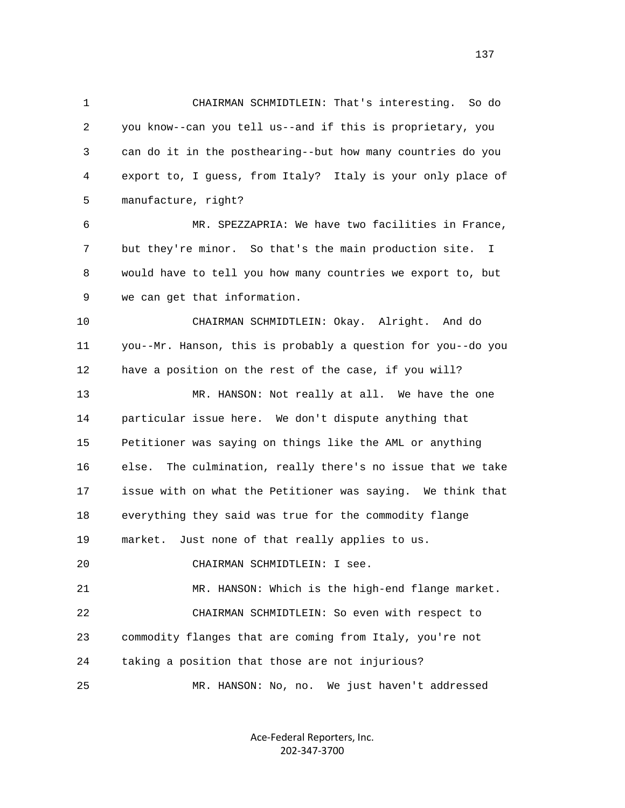1 CHAIRMAN SCHMIDTLEIN: That's interesting. So do 2 you know--can you tell us--and if this is proprietary, you 3 can do it in the posthearing--but how many countries do you 4 export to, I guess, from Italy? Italy is your only place of 5 manufacture, right?

 6 MR. SPEZZAPRIA: We have two facilities in France, 7 but they're minor. So that's the main production site. I 8 would have to tell you how many countries we export to, but 9 we can get that information.

 10 CHAIRMAN SCHMIDTLEIN: Okay. Alright. And do 11 you--Mr. Hanson, this is probably a question for you--do you 12 have a position on the rest of the case, if you will?

 13 MR. HANSON: Not really at all. We have the one 14 particular issue here. We don't dispute anything that 15 Petitioner was saying on things like the AML or anything 16 else. The culmination, really there's no issue that we take 17 issue with on what the Petitioner was saying. We think that 18 everything they said was true for the commodity flange 19 market. Just none of that really applies to us. 20 CHAIRMAN SCHMIDTLEIN: I see.

 21 MR. HANSON: Which is the high-end flange market. 22 CHAIRMAN SCHMIDTLEIN: So even with respect to 23 commodity flanges that are coming from Italy, you're not 24 taking a position that those are not injurious? 25 MR. HANSON: No, no. We just haven't addressed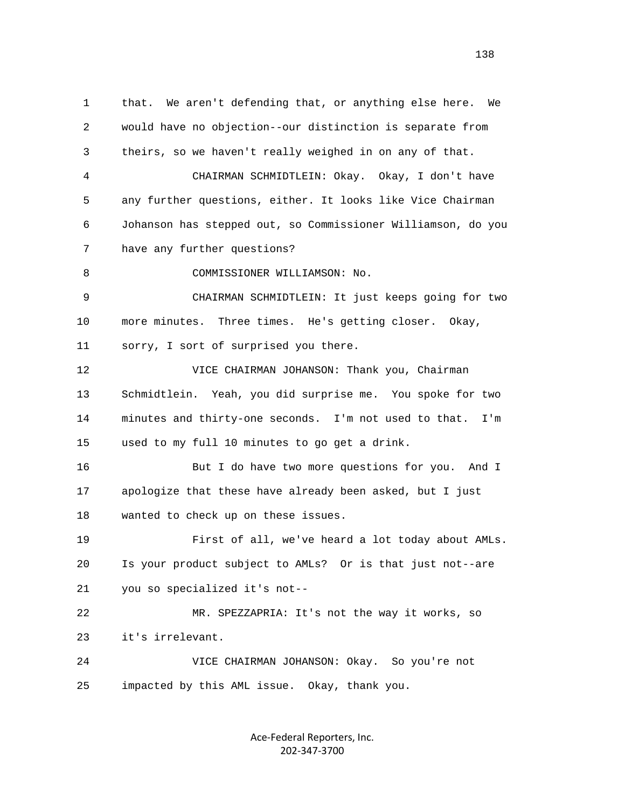1 that. We aren't defending that, or anything else here. We 2 would have no objection--our distinction is separate from 3 theirs, so we haven't really weighed in on any of that. 4 CHAIRMAN SCHMIDTLEIN: Okay. Okay, I don't have 5 any further questions, either. It looks like Vice Chairman 6 Johanson has stepped out, so Commissioner Williamson, do you 7 have any further questions? 8 COMMISSIONER WILLIAMSON: No. 9 CHAIRMAN SCHMIDTLEIN: It just keeps going for two 10 more minutes. Three times. He's getting closer. Okay, 11 sorry, I sort of surprised you there. 12 VICE CHAIRMAN JOHANSON: Thank you, Chairman 13 Schmidtlein. Yeah, you did surprise me. You spoke for two 14 minutes and thirty-one seconds. I'm not used to that. I'm 15 used to my full 10 minutes to go get a drink. 16 But I do have two more questions for you. And I 17 apologize that these have already been asked, but I just 18 wanted to check up on these issues. 19 First of all, we've heard a lot today about AMLs. 20 Is your product subject to AMLs? Or is that just not--are 21 you so specialized it's not-- 22 MR. SPEZZAPRIA: It's not the way it works, so 23 it's irrelevant. 24 VICE CHAIRMAN JOHANSON: Okay. So you're not 25 impacted by this AML issue. Okay, thank you.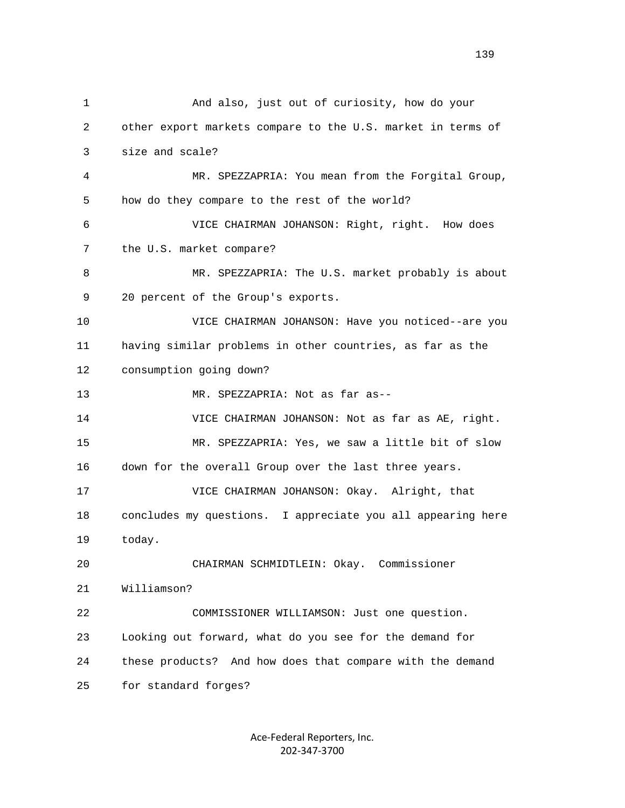1 And also, just out of curiosity, how do your 2 other export markets compare to the U.S. market in terms of 3 size and scale? 4 MR. SPEZZAPRIA: You mean from the Forgital Group, 5 how do they compare to the rest of the world? 6 VICE CHAIRMAN JOHANSON: Right, right. How does 7 the U.S. market compare? 8 MR. SPEZZAPRIA: The U.S. market probably is about 9 20 percent of the Group's exports. 10 VICE CHAIRMAN JOHANSON: Have you noticed--are you 11 having similar problems in other countries, as far as the 12 consumption going down? 13 MR. SPEZZAPRIA: Not as far as-- 14 VICE CHAIRMAN JOHANSON: Not as far as AE, right. 15 MR. SPEZZAPRIA: Yes, we saw a little bit of slow 16 down for the overall Group over the last three years. 17 VICE CHAIRMAN JOHANSON: Okay. Alright, that 18 concludes my questions. I appreciate you all appearing here 19 today. 20 CHAIRMAN SCHMIDTLEIN: Okay. Commissioner 21 Williamson? 22 COMMISSIONER WILLIAMSON: Just one question. 23 Looking out forward, what do you see for the demand for 24 these products? And how does that compare with the demand 25 for standard forges?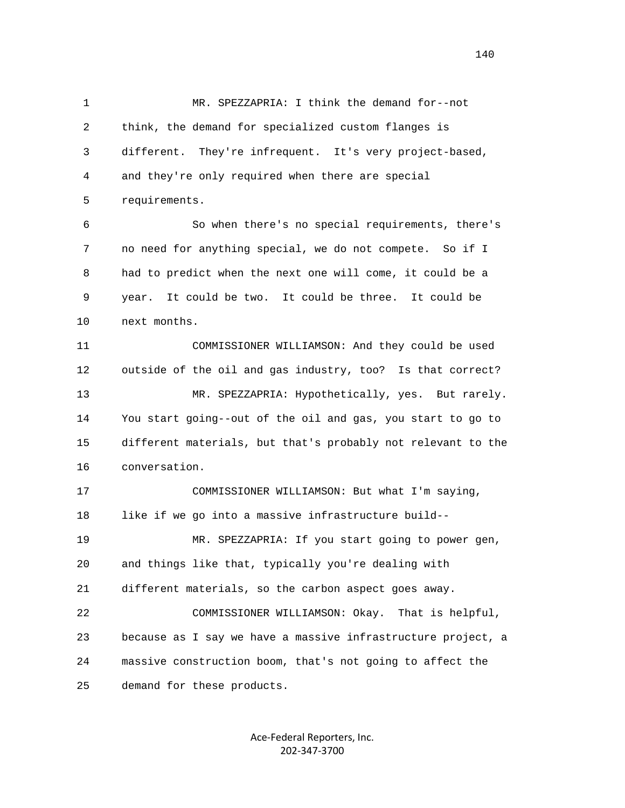1 MR. SPEZZAPRIA: I think the demand for--not 2 think, the demand for specialized custom flanges is 3 different. They're infrequent. It's very project-based, 4 and they're only required when there are special 5 requirements. 6 So when there's no special requirements, there's 7 no need for anything special, we do not compete. So if I 8 had to predict when the next one will come, it could be a 9 year. It could be two. It could be three. It could be 10 next months. 11 COMMISSIONER WILLIAMSON: And they could be used 12 outside of the oil and gas industry, too? Is that correct? 13 MR. SPEZZAPRIA: Hypothetically, yes. But rarely. 14 You start going--out of the oil and gas, you start to go to 15 different materials, but that's probably not relevant to the 16 conversation. 17 COMMISSIONER WILLIAMSON: But what I'm saying, 18 like if we go into a massive infrastructure build-- 19 MR. SPEZZAPRIA: If you start going to power gen, 20 and things like that, typically you're dealing with 21 different materials, so the carbon aspect goes away. 22 COMMISSIONER WILLIAMSON: Okay. That is helpful, 23 because as I say we have a massive infrastructure project, a 24 massive construction boom, that's not going to affect the 25 demand for these products.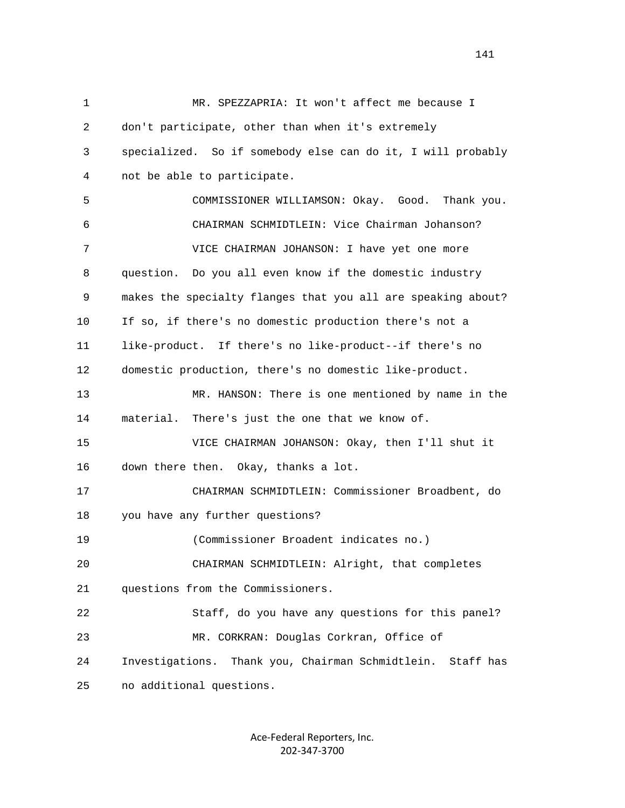1 MR. SPEZZAPRIA: It won't affect me because I 2 don't participate, other than when it's extremely 3 specialized. So if somebody else can do it, I will probably 4 not be able to participate. 5 COMMISSIONER WILLIAMSON: Okay. Good. Thank you. 6 CHAIRMAN SCHMIDTLEIN: Vice Chairman Johanson? 7 VICE CHAIRMAN JOHANSON: I have yet one more 8 question. Do you all even know if the domestic industry 9 makes the specialty flanges that you all are speaking about? 10 If so, if there's no domestic production there's not a 11 like-product. If there's no like-product--if there's no 12 domestic production, there's no domestic like-product. 13 MR. HANSON: There is one mentioned by name in the 14 material. There's just the one that we know of. 15 VICE CHAIRMAN JOHANSON: Okay, then I'll shut it 16 down there then. Okay, thanks a lot. 17 CHAIRMAN SCHMIDTLEIN: Commissioner Broadbent, do 18 you have any further questions? 19 (Commissioner Broadent indicates no.) 20 CHAIRMAN SCHMIDTLEIN: Alright, that completes 21 questions from the Commissioners. 22 Staff, do you have any questions for this panel? 23 MR. CORKRAN: Douglas Corkran, Office of 24 Investigations. Thank you, Chairman Schmidtlein. Staff has 25 no additional questions.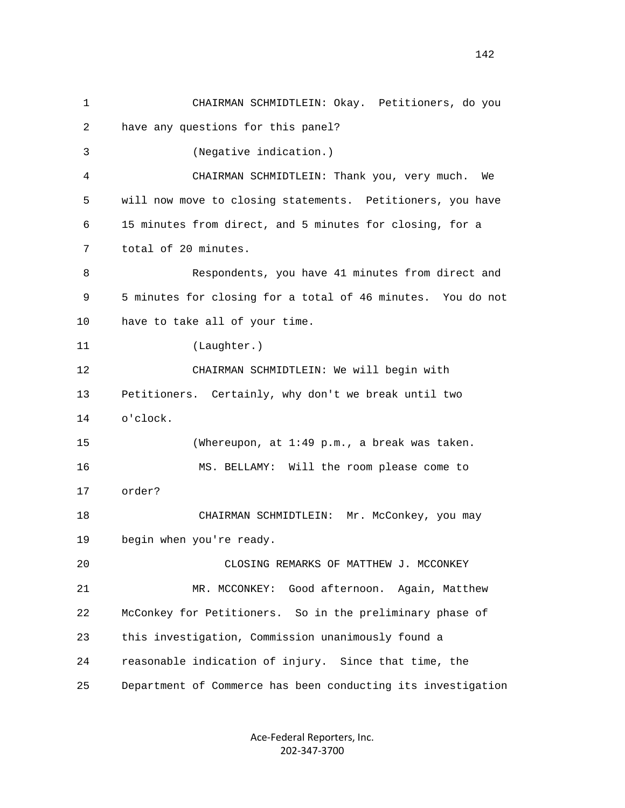1 CHAIRMAN SCHMIDTLEIN: Okay. Petitioners, do you 2 have any questions for this panel? 3 (Negative indication.) 4 CHAIRMAN SCHMIDTLEIN: Thank you, very much. We 5 will now move to closing statements. Petitioners, you have 6 15 minutes from direct, and 5 minutes for closing, for a 7 total of 20 minutes. 8 Respondents, you have 41 minutes from direct and 9 5 minutes for closing for a total of 46 minutes. You do not 10 have to take all of your time. 11 (Laughter.) 12 CHAIRMAN SCHMIDTLEIN: We will begin with 13 Petitioners. Certainly, why don't we break until two 14 o'clock. 15 (Whereupon, at 1:49 p.m., a break was taken. 16 MS. BELLAMY: Will the room please come to 17 order? 18 CHAIRMAN SCHMIDTLEIN: Mr. McConkey, you may 19 begin when you're ready. 20 CLOSING REMARKS OF MATTHEW J. MCCONKEY 21 MR. MCCONKEY: Good afternoon. Again, Matthew 22 McConkey for Petitioners. So in the preliminary phase of 23 this investigation, Commission unanimously found a 24 reasonable indication of injury. Since that time, the 25 Department of Commerce has been conducting its investigation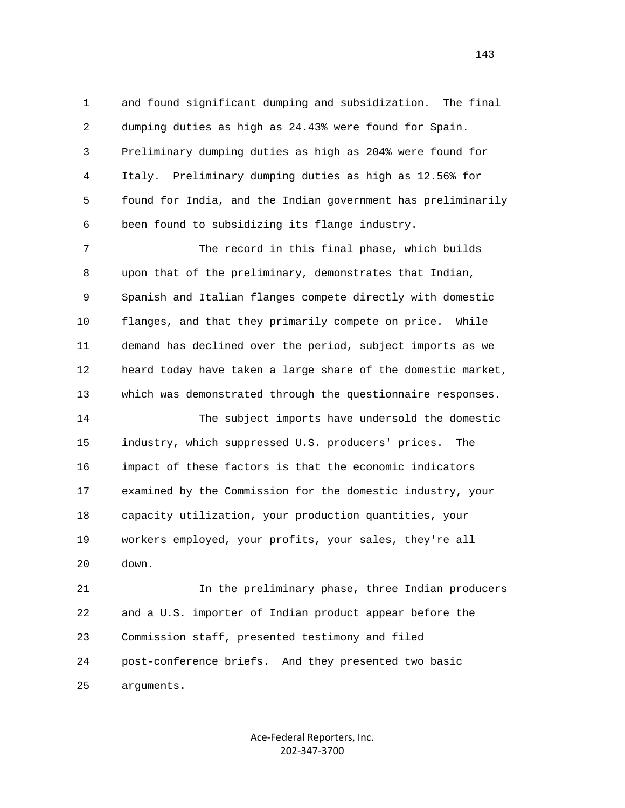1 and found significant dumping and subsidization. The final 2 dumping duties as high as 24.43% were found for Spain. 3 Preliminary dumping duties as high as 204% were found for 4 Italy. Preliminary dumping duties as high as 12.56% for 5 found for India, and the Indian government has preliminarily 6 been found to subsidizing its flange industry.

 7 The record in this final phase, which builds 8 upon that of the preliminary, demonstrates that Indian, 9 Spanish and Italian flanges compete directly with domestic 10 flanges, and that they primarily compete on price. While 11 demand has declined over the period, subject imports as we 12 heard today have taken a large share of the domestic market, 13 which was demonstrated through the questionnaire responses.

 14 The subject imports have undersold the domestic 15 industry, which suppressed U.S. producers' prices. The 16 impact of these factors is that the economic indicators 17 examined by the Commission for the domestic industry, your 18 capacity utilization, your production quantities, your 19 workers employed, your profits, your sales, they're all 20 down.

 21 In the preliminary phase, three Indian producers 22 and a U.S. importer of Indian product appear before the 23 Commission staff, presented testimony and filed 24 post-conference briefs. And they presented two basic 25 arguments.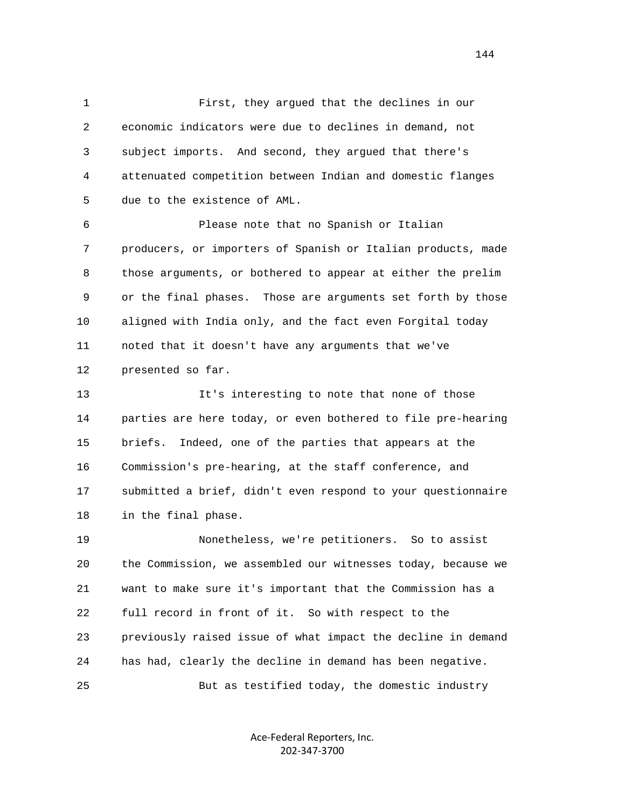1 First, they argued that the declines in our 2 economic indicators were due to declines in demand, not 3 subject imports. And second, they argued that there's 4 attenuated competition between Indian and domestic flanges 5 due to the existence of AML.

 6 Please note that no Spanish or Italian 7 producers, or importers of Spanish or Italian products, made 8 those arguments, or bothered to appear at either the prelim 9 or the final phases. Those are arguments set forth by those 10 aligned with India only, and the fact even Forgital today 11 noted that it doesn't have any arguments that we've 12 presented so far.

 13 It's interesting to note that none of those 14 parties are here today, or even bothered to file pre-hearing 15 briefs. Indeed, one of the parties that appears at the 16 Commission's pre-hearing, at the staff conference, and 17 submitted a brief, didn't even respond to your questionnaire 18 in the final phase.

 19 Nonetheless, we're petitioners. So to assist 20 the Commission, we assembled our witnesses today, because we 21 want to make sure it's important that the Commission has a 22 full record in front of it. So with respect to the 23 previously raised issue of what impact the decline in demand 24 has had, clearly the decline in demand has been negative. 25 But as testified today, the domestic industry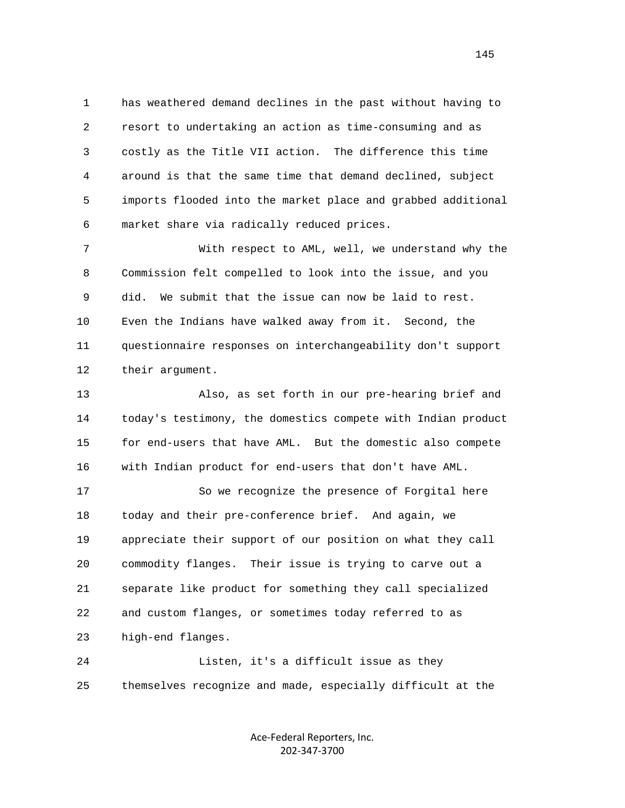1 has weathered demand declines in the past without having to 2 resort to undertaking an action as time-consuming and as 3 costly as the Title VII action. The difference this time 4 around is that the same time that demand declined, subject 5 imports flooded into the market place and grabbed additional 6 market share via radically reduced prices.

 7 With respect to AML, well, we understand why the 8 Commission felt compelled to look into the issue, and you 9 did. We submit that the issue can now be laid to rest. 10 Even the Indians have walked away from it. Second, the 11 questionnaire responses on interchangeability don't support 12 their argument.

 13 Also, as set forth in our pre-hearing brief and 14 today's testimony, the domestics compete with Indian product 15 for end-users that have AML. But the domestic also compete 16 with Indian product for end-users that don't have AML.

 17 So we recognize the presence of Forgital here 18 today and their pre-conference brief. And again, we 19 appreciate their support of our position on what they call 20 commodity flanges. Their issue is trying to carve out a 21 separate like product for something they call specialized 22 and custom flanges, or sometimes today referred to as 23 high-end flanges.

 24 Listen, it's a difficult issue as they 25 themselves recognize and made, especially difficult at the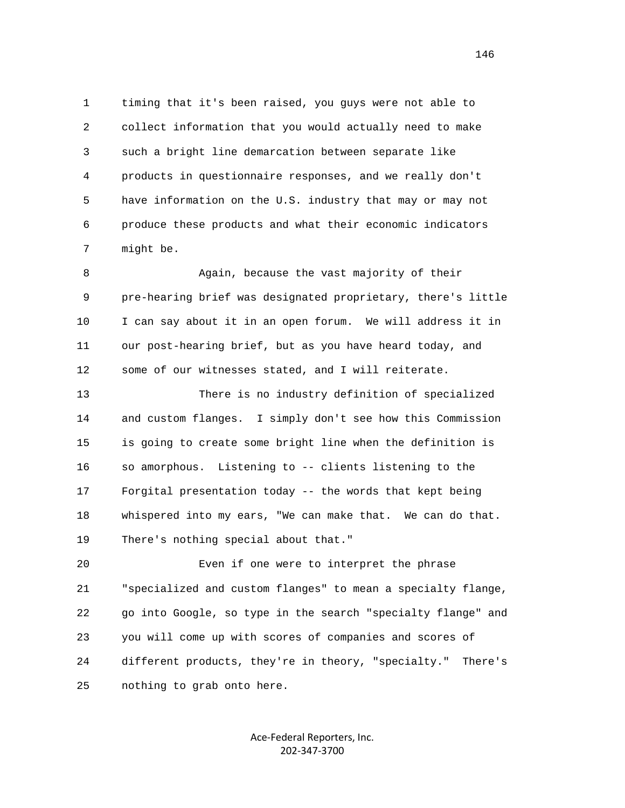1 timing that it's been raised, you guys were not able to 2 collect information that you would actually need to make 3 such a bright line demarcation between separate like 4 products in questionnaire responses, and we really don't 5 have information on the U.S. industry that may or may not 6 produce these products and what their economic indicators 7 might be.

 8 Again, because the vast majority of their 9 pre-hearing brief was designated proprietary, there's little 10 I can say about it in an open forum. We will address it in 11 our post-hearing brief, but as you have heard today, and 12 some of our witnesses stated, and I will reiterate.

 13 There is no industry definition of specialized 14 and custom flanges. I simply don't see how this Commission 15 is going to create some bright line when the definition is 16 so amorphous. Listening to -- clients listening to the 17 Forgital presentation today -- the words that kept being 18 whispered into my ears, "We can make that. We can do that. 19 There's nothing special about that."

 20 Even if one were to interpret the phrase 21 "specialized and custom flanges" to mean a specialty flange, 22 go into Google, so type in the search "specialty flange" and 23 you will come up with scores of companies and scores of 24 different products, they're in theory, "specialty." There's 25 nothing to grab onto here.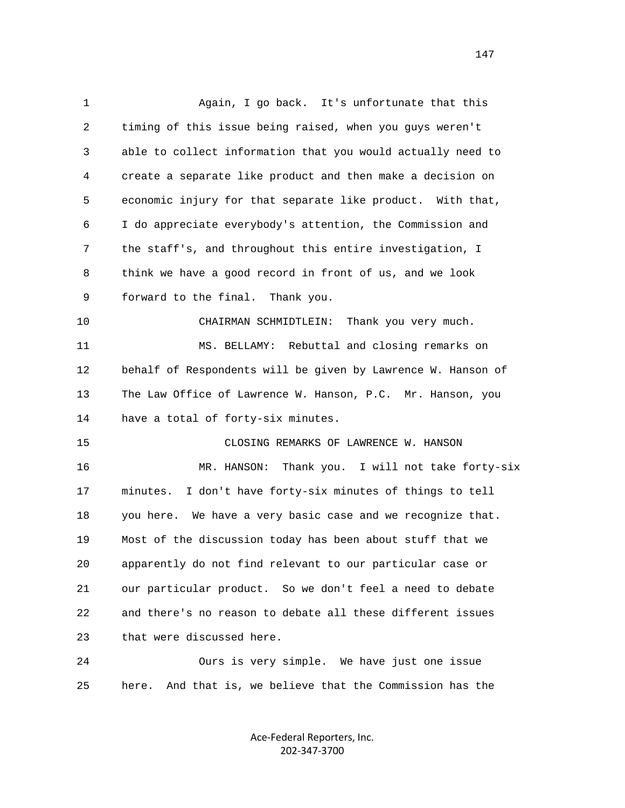1 Again, I go back. It's unfortunate that this 2 timing of this issue being raised, when you guys weren't 3 able to collect information that you would actually need to 4 create a separate like product and then make a decision on 5 economic injury for that separate like product. With that, 6 I do appreciate everybody's attention, the Commission and 7 the staff's, and throughout this entire investigation, I 8 think we have a good record in front of us, and we look 9 forward to the final. Thank you. 10 CHAIRMAN SCHMIDTLEIN: Thank you very much. 11 MS. BELLAMY: Rebuttal and closing remarks on 12 behalf of Respondents will be given by Lawrence W. Hanson of 13 The Law Office of Lawrence W. Hanson, P.C. Mr. Hanson, you 14 have a total of forty-six minutes. 15 CLOSING REMARKS OF LAWRENCE W. HANSON 16 MR. HANSON: Thank you. I will not take forty-six 17 minutes. I don't have forty-six minutes of things to tell 18 you here. We have a very basic case and we recognize that. 19 Most of the discussion today has been about stuff that we 20 apparently do not find relevant to our particular case or 21 our particular product. So we don't feel a need to debate 22 and there's no reason to debate all these different issues 23 that were discussed here. 24 Ours is very simple. We have just one issue 25 here. And that is, we believe that the Commission has the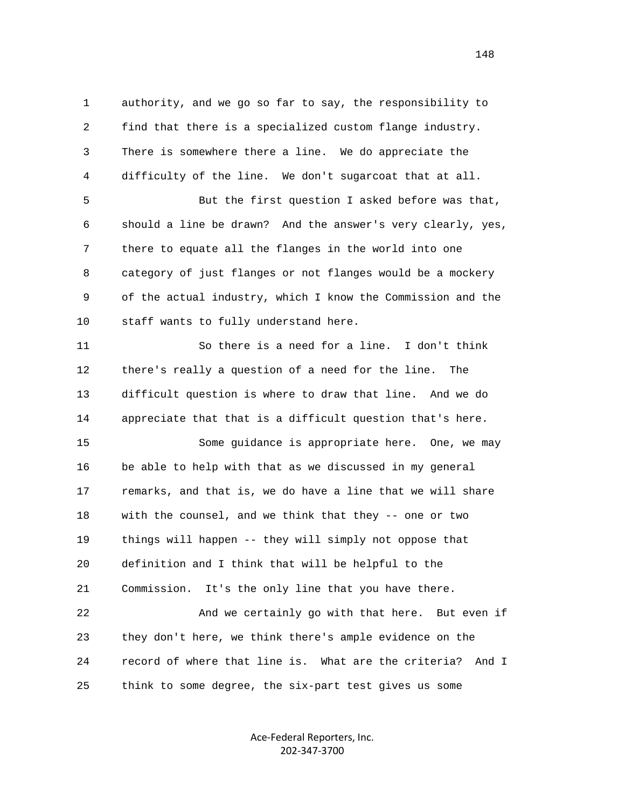1 authority, and we go so far to say, the responsibility to 2 find that there is a specialized custom flange industry. 3 There is somewhere there a line. We do appreciate the 4 difficulty of the line. We don't sugarcoat that at all. 5 But the first question I asked before was that, 6 should a line be drawn? And the answer's very clearly, yes, 7 there to equate all the flanges in the world into one 8 category of just flanges or not flanges would be a mockery 9 of the actual industry, which I know the Commission and the 10 staff wants to fully understand here. 11 So there is a need for a line. I don't think 12 there's really a question of a need for the line. The 13 difficult question is where to draw that line. And we do 14 appreciate that that is a difficult question that's here. 15 Some guidance is appropriate here. One, we may 16 be able to help with that as we discussed in my general 17 remarks, and that is, we do have a line that we will share 18 with the counsel, and we think that they -- one or two 19 things will happen -- they will simply not oppose that 20 definition and I think that will be helpful to the 21 Commission. It's the only line that you have there. 22 And we certainly go with that here. But even if 23 they don't here, we think there's ample evidence on the

25 think to some degree, the six-part test gives us some

Ace‐Federal Reporters, Inc. 202‐347‐3700

24 record of where that line is. What are the criteria? And I

148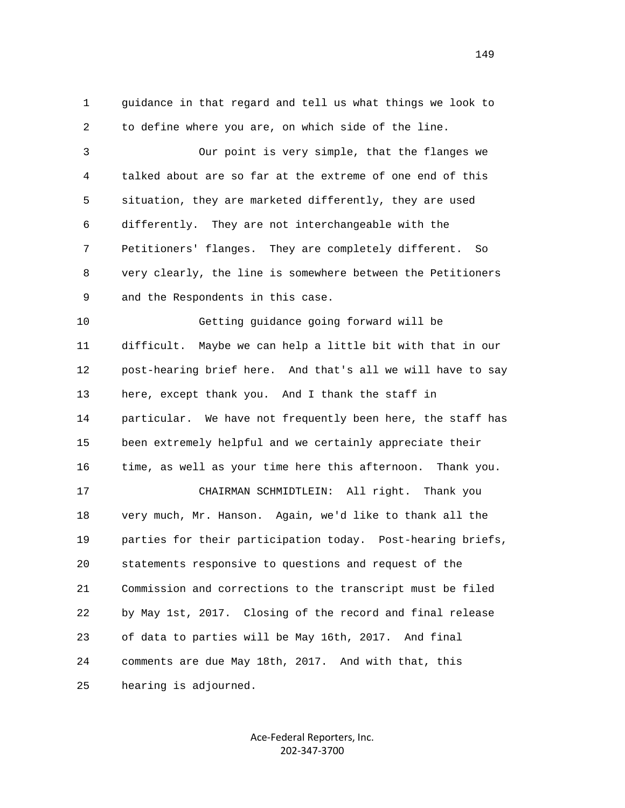1 guidance in that regard and tell us what things we look to 2 to define where you are, on which side of the line.

 3 Our point is very simple, that the flanges we 4 talked about are so far at the extreme of one end of this 5 situation, they are marketed differently, they are used 6 differently. They are not interchangeable with the 7 Petitioners' flanges. They are completely different. So 8 very clearly, the line is somewhere between the Petitioners 9 and the Respondents in this case.

 10 Getting guidance going forward will be 11 difficult. Maybe we can help a little bit with that in our 12 post-hearing brief here. And that's all we will have to say 13 here, except thank you. And I thank the staff in 14 particular. We have not frequently been here, the staff has 15 been extremely helpful and we certainly appreciate their 16 time, as well as your time here this afternoon. Thank you. 17 CHAIRMAN SCHMIDTLEIN: All right. Thank you 18 very much, Mr. Hanson. Again, we'd like to thank all the 19 parties for their participation today. Post-hearing briefs, 20 statements responsive to questions and request of the 21 Commission and corrections to the transcript must be filed 22 by May 1st, 2017. Closing of the record and final release 23 of data to parties will be May 16th, 2017. And final 24 comments are due May 18th, 2017. And with that, this 25 hearing is adjourned.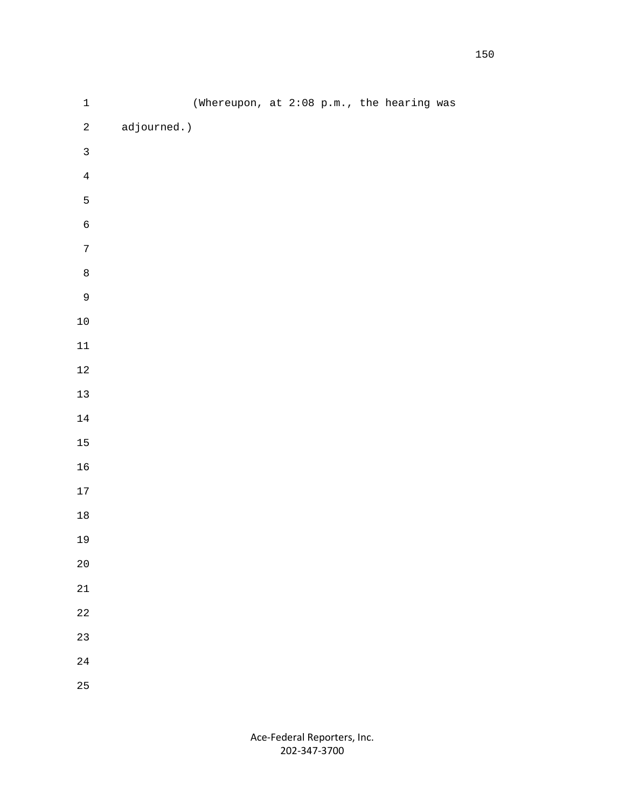| $\mathbf 1$    |             | (Whereupon, at 2:08 p.m., the hearing was |  |  |  |
|----------------|-------------|-------------------------------------------|--|--|--|
| $\sqrt{2}$     | adjourned.) |                                           |  |  |  |
| $\mathsf{3}$   |             |                                           |  |  |  |
| $\overline{4}$ |             |                                           |  |  |  |
| 5              |             |                                           |  |  |  |
| $\epsilon$     |             |                                           |  |  |  |
| $\sqrt{7}$     |             |                                           |  |  |  |
| $\,8\,$        |             |                                           |  |  |  |
| $\mathsf 9$    |             |                                           |  |  |  |
| $1\,0$         |             |                                           |  |  |  |
| $11\,$         |             |                                           |  |  |  |
| $1\,2$         |             |                                           |  |  |  |
| $13\,$         |             |                                           |  |  |  |
| $1\,4$         |             |                                           |  |  |  |
| $15\,$         |             |                                           |  |  |  |
| $16\,$         |             |                                           |  |  |  |
| $17\,$         |             |                                           |  |  |  |
| $18\,$         |             |                                           |  |  |  |
| $19$           |             |                                           |  |  |  |
| $2\,0$         |             |                                           |  |  |  |
| $2\sqrt{1}$    |             |                                           |  |  |  |
| $2\sqrt{2}$    |             |                                           |  |  |  |
| 23             |             |                                           |  |  |  |
| $2\sqrt{4}$    |             |                                           |  |  |  |